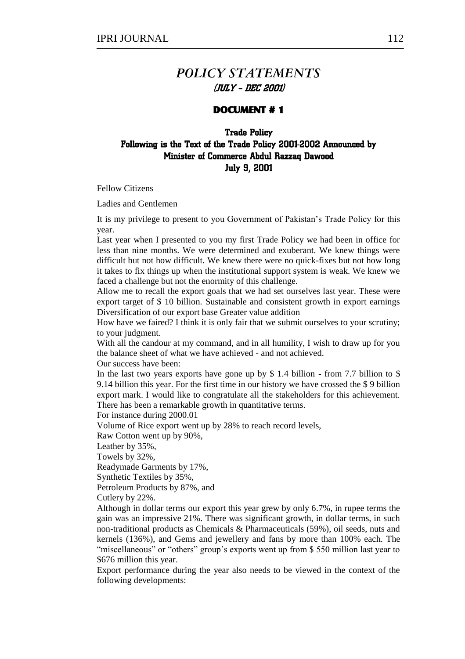# *POLICY STATEMENTS* (JULY – DEC 2001)

## DOCUMENT # 1

## Trade Policy Following is the Text of the Trade Policy 2001-2002 Announced by Minister of Commerce Abdul Razzaq Dawood July 9, 2001

Fellow Citizens

Ladies and Gentlemen

It is my privilege to present to you Government of Pakistan's Trade Policy for this year.

Last year when I presented to you my first Trade Policy we had been in office for less than nine months. We were determined and exuberant. We knew things were difficult but not how difficult. We knew there were no quick-fixes but not how long it takes to fix things up when the institutional support system is weak. We knew we faced a challenge but not the enormity of this challenge.

Allow me to recall the export goals that we had set ourselves last year. These were export target of \$ 10 billion. Sustainable and consistent growth in export earnings Diversification of our export base Greater value addition

How have we faired? I think it is only fair that we submit ourselves to your scrutiny; to your judgment.

With all the candour at my command, and in all humility, I wish to draw up for you the balance sheet of what we have achieved - and not achieved.

Our success have been:

In the last two years exports have gone up by \$ 1.4 billion - from 7.7 billion to \$ 9.14 billion this year. For the first time in our history we have crossed the \$ 9 billion export mark. I would like to congratulate all the stakeholders for this achievement. There has been a remarkable growth in quantitative terms.

For instance during 2000.01

Volume of Rice export went up by 28% to reach record levels,

Raw Cotton went up by 90%,

Leather by 35%,

Towels by 32%,

Readymade Garments by 17%,

Synthetic Textiles by 35%,

Petroleum Products by 87%, and

Cutlery by 22%.

Although in dollar terms our export this year grew by only 6.7%, in rupee terms the gain was an impressive 21%. There was significant growth, in dollar terms, in such non-traditional products as Chemicals & Pharmaceuticals (59%), oil seeds, nuts and kernels (136%), and Gems and jewellery and fans by more than 100% each. The "miscellaneous" or "others" group's exports went up from \$ 550 million last year to \$676 million this year.

Export performance during the year also needs to be viewed in the context of the following developments: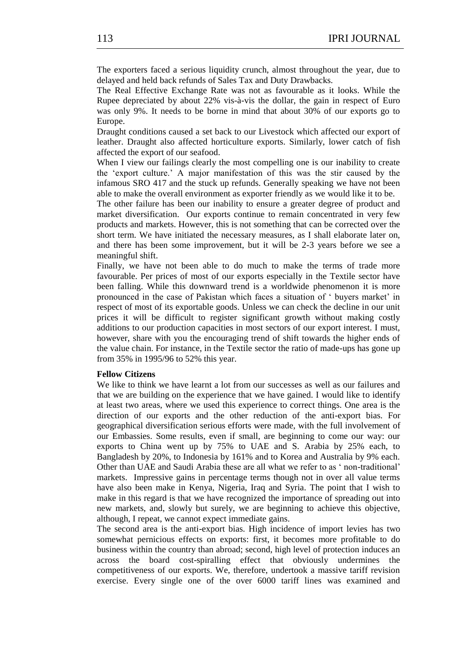The exporters faced a serious liquidity crunch, almost throughout the year, due to delayed and held back refunds of Sales Tax and Duty Drawbacks.

The Real Effective Exchange Rate was not as favourable as it looks. While the Rupee depreciated by about 22% vis-à-vis the dollar, the gain in respect of Euro was only 9%. It needs to be borne in mind that about 30% of our exports go to Europe.

Draught conditions caused a set back to our Livestock which affected our export of leather. Draught also affected horticulture exports. Similarly, lower catch of fish affected the export of our seafood.

When I view our failings clearly the most compelling one is our inability to create the ‗export culture.' A major manifestation of this was the stir caused by the infamous SRO 417 and the stuck up refunds. Generally speaking we have not been able to make the overall environment as exporter friendly as we would like it to be.

The other failure has been our inability to ensure a greater degree of product and market diversification. Our exports continue to remain concentrated in very few products and markets. However, this is not something that can be corrected over the short term. We have initiated the necessary measures, as I shall elaborate later on, and there has been some improvement, but it will be 2-3 years before we see a meaningful shift.

Finally, we have not been able to do much to make the terms of trade more favourable. Per prices of most of our exports especially in the Textile sector have been falling. While this downward trend is a worldwide phenomenon it is more pronounced in the case of Pakistan which faces a situation of ‗ buyers market' in respect of most of its exportable goods. Unless we can check the decline in our unit prices it will be difficult to register significant growth without making costly additions to our production capacities in most sectors of our export interest. I must, however, share with you the encouraging trend of shift towards the higher ends of the value chain. For instance, in the Textile sector the ratio of made-ups has gone up from 35% in 1995/96 to 52% this year.

#### **Fellow Citizens**

We like to think we have learnt a lot from our successes as well as our failures and that we are building on the experience that we have gained. I would like to identify at least two areas, where we used this experience to correct things. One area is the direction of our exports and the other reduction of the anti-export bias. For geographical diversification serious efforts were made, with the full involvement of our Embassies. Some results, even if small, are beginning to come our way: our exports to China went up by 75% to UAE and S. Arabia by 25% each, to Bangladesh by 20%, to Indonesia by 161% and to Korea and Australia by 9% each. Other than UAE and Saudi Arabia these are all what we refer to as ‗ non-traditional' markets. Impressive gains in percentage terms though not in over all value terms have also been make in Kenya, Nigeria, Iraq and Syria. The point that I wish to make in this regard is that we have recognized the importance of spreading out into new markets, and, slowly but surely, we are beginning to achieve this objective, although, I repeat, we cannot expect immediate gains.

The second area is the anti-export bias. High incidence of import levies has two somewhat pernicious effects on exports: first, it becomes more profitable to do business within the country than abroad; second, high level of protection induces an across the board cost-spiralling effect that obviously undermines the competitiveness of our exports. We, therefore, undertook a massive tariff revision exercise. Every single one of the over 6000 tariff lines was examined and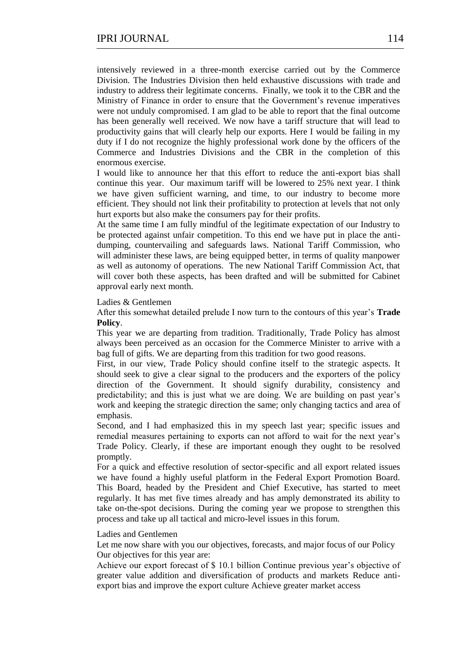intensively reviewed in a three-month exercise carried out by the Commerce Division. The Industries Division then held exhaustive discussions with trade and industry to address their legitimate concerns. Finally, we took it to the CBR and the Ministry of Finance in order to ensure that the Government's revenue imperatives were not unduly compromised. I am glad to be able to report that the final outcome has been generally well received. We now have a tariff structure that will lead to productivity gains that will clearly help our exports. Here I would be failing in my duty if I do not recognize the highly professional work done by the officers of the Commerce and Industries Divisions and the CBR in the completion of this enormous exercise.

I would like to announce her that this effort to reduce the anti-export bias shall continue this year. Our maximum tariff will be lowered to 25% next year. I think we have given sufficient warning, and time, to our industry to become more efficient. They should not link their profitability to protection at levels that not only hurt exports but also make the consumers pay for their profits.

At the same time I am fully mindful of the legitimate expectation of our Industry to be protected against unfair competition. To this end we have put in place the antidumping, countervailing and safeguards laws. National Tariff Commission, who will administer these laws, are being equipped better, in terms of quality manpower as well as autonomy of operations. The new National Tariff Commission Act, that will cover both these aspects, has been drafted and will be submitted for Cabinet approval early next month.

### Ladies & Gentlemen

After this somewhat detailed prelude I now turn to the contours of this year's **Trade Policy**.

This year we are departing from tradition. Traditionally, Trade Policy has almost always been perceived as an occasion for the Commerce Minister to arrive with a bag full of gifts. We are departing from this tradition for two good reasons.

First, in our view, Trade Policy should confine itself to the strategic aspects. It should seek to give a clear signal to the producers and the exporters of the policy direction of the Government. It should signify durability, consistency and predictability; and this is just what we are doing. We are building on past year's work and keeping the strategic direction the same; only changing tactics and area of emphasis.

Second, and I had emphasized this in my speech last year; specific issues and remedial measures pertaining to exports can not afford to wait for the next year's Trade Policy. Clearly, if these are important enough they ought to be resolved promptly.

For a quick and effective resolution of sector-specific and all export related issues we have found a highly useful platform in the Federal Export Promotion Board. This Board, headed by the President and Chief Executive, has started to meet regularly. It has met five times already and has amply demonstrated its ability to take on-the-spot decisions. During the coming year we propose to strengthen this process and take up all tactical and micro-level issues in this forum.

### Ladies and Gentlemen

Let me now share with you our objectives, forecasts, and major focus of our Policy Our objectives for this year are:

Achieve our export forecast of \$ 10.1 billion Continue previous year's objective of greater value addition and diversification of products and markets Reduce antiexport bias and improve the export culture Achieve greater market access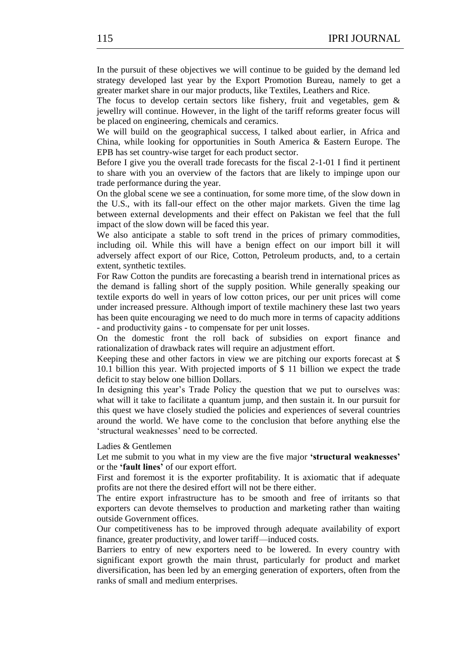In the pursuit of these objectives we will continue to be guided by the demand led strategy developed last year by the Export Promotion Bureau, namely to get a greater market share in our major products, like Textiles, Leathers and Rice.

The focus to develop certain sectors like fishery, fruit and vegetables, gem & jewellry will continue. However, in the light of the tariff reforms greater focus will be placed on engineering, chemicals and ceramics.

We will build on the geographical success, I talked about earlier, in Africa and China, while looking for opportunities in South America & Eastern Europe. The EPB has set country-wise target for each product sector.

Before I give you the overall trade forecasts for the fiscal 2-1-01 I find it pertinent to share with you an overview of the factors that are likely to impinge upon our trade performance during the year.

On the global scene we see a continuation, for some more time, of the slow down in the U.S., with its fall-our effect on the other major markets. Given the time lag between external developments and their effect on Pakistan we feel that the full impact of the slow down will be faced this year.

We also anticipate a stable to soft trend in the prices of primary commodities, including oil. While this will have a benign effect on our import bill it will adversely affect export of our Rice, Cotton, Petroleum products, and, to a certain extent, synthetic textiles.

For Raw Cotton the pundits are forecasting a bearish trend in international prices as the demand is falling short of the supply position. While generally speaking our textile exports do well in years of low cotton prices, our per unit prices will come under increased pressure. Although import of textile machinery these last two years has been quite encouraging we need to do much more in terms of capacity additions - and productivity gains - to compensate for per unit losses.

On the domestic front the roll back of subsidies on export finance and rationalization of drawback rates will require an adjustment effort.

Keeping these and other factors in view we are pitching our exports forecast at \$ 10.1 billion this year. With projected imports of \$ 11 billion we expect the trade deficit to stay below one billion Dollars.

In designing this year's Trade Policy the question that we put to ourselves was: what will it take to facilitate a quantum jump, and then sustain it. In our pursuit for this quest we have closely studied the policies and experiences of several countries around the world. We have come to the conclusion that before anything else the ‗structural weaknesses' need to be corrected.

### Ladies & Gentlemen

Let me submit to you what in my view are the five major **'structural weaknesses'** or the **'fault lines'** of our export effort.

First and foremost it is the exporter profitability. It is axiomatic that if adequate profits are not there the desired effort will not be there either.

The entire export infrastructure has to be smooth and free of irritants so that exporters can devote themselves to production and marketing rather than waiting outside Government offices.

Our competitiveness has to be improved through adequate availability of export finance, greater productivity, and lower tariff—induced costs.

Barriers to entry of new exporters need to be lowered. In every country with significant export growth the main thrust, particularly for product and market diversification, has been led by an emerging generation of exporters, often from the ranks of small and medium enterprises.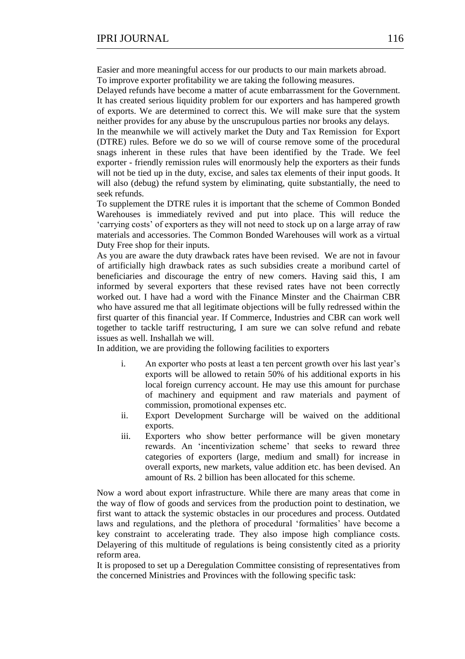Easier and more meaningful access for our products to our main markets abroad. To improve exporter profitability we are taking the following measures.

Delayed refunds have become a matter of acute embarrassment for the Government. It has created serious liquidity problem for our exporters and has hampered growth of exports. We are determined to correct this. We will make sure that the system neither provides for any abuse by the unscrupulous parties nor brooks any delays.

In the meanwhile we will actively market the Duty and Tax Remission for Export (DTRE) rules. Before we do so we will of course remove some of the procedural snags inherent in these rules that have been identified by the Trade. We feel exporter - friendly remission rules will enormously help the exporters as their funds will not be tied up in the duty, excise, and sales tax elements of their input goods. It will also (debug) the refund system by eliminating, quite substantially, the need to seek refunds.

To supplement the DTRE rules it is important that the scheme of Common Bonded Warehouses is immediately revived and put into place. This will reduce the ‗carrying costs' of exporters as they will not need to stock up on a large array of raw materials and accessories. The Common Bonded Warehouses will work as a virtual Duty Free shop for their inputs.

As you are aware the duty drawback rates have been revised. We are not in favour of artificially high drawback rates as such subsidies create a moribund cartel of beneficiaries and discourage the entry of new comers. Having said this, I am informed by several exporters that these revised rates have not been correctly worked out. I have had a word with the Finance Minster and the Chairman CBR who have assured me that all legitimate objections will be fully redressed within the first quarter of this financial year. If Commerce, Industries and CBR can work well together to tackle tariff restructuring, I am sure we can solve refund and rebate issues as well. Inshallah we will.

In addition, we are providing the following facilities to exporters

- i. An exporter who posts at least a ten percent growth over his last year's exports will be allowed to retain 50% of his additional exports in his local foreign currency account. He may use this amount for purchase of machinery and equipment and raw materials and payment of commission, promotional expenses etc.
- ii. Export Development Surcharge will be waived on the additional exports.
- iii. Exporters who show better performance will be given monetary rewards. An ‗incentivization scheme' that seeks to reward three categories of exporters (large, medium and small) for increase in overall exports, new markets, value addition etc. has been devised. An amount of Rs. 2 billion has been allocated for this scheme.

Now a word about export infrastructure. While there are many areas that come in the way of flow of goods and services from the production point to destination, we first want to attack the systemic obstacles in our procedures and process. Outdated laws and regulations, and the plethora of procedural 'formalities' have become a key constraint to accelerating trade. They also impose high compliance costs. Delayering of this multitude of regulations is being consistently cited as a priority reform area.

It is proposed to set up a Deregulation Committee consisting of representatives from the concerned Ministries and Provinces with the following specific task: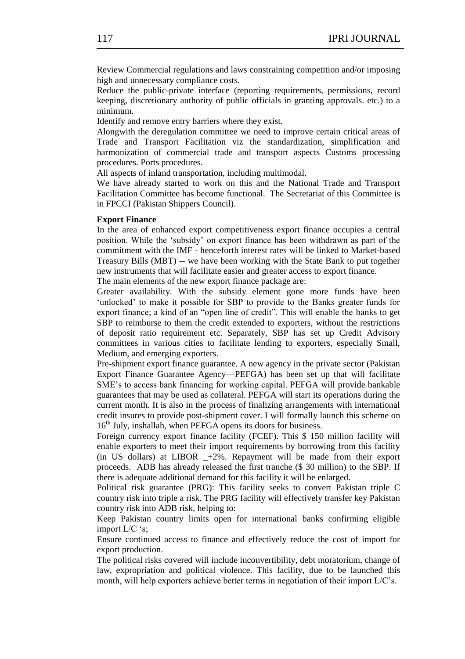Review Commercial regulations and laws constraining competition and/or imposing high and unnecessary compliance costs.

Reduce the public-private interface (reporting requirements, permissions, record keeping, discretionary authority of public officials in granting approvals. etc.) to a minimum.

Identify and remove entry barriers where they exist.

Alongwith the deregulation committee we need to improve certain critical areas of Trade and Transport Facilitation viz the standardization, simplification and harmonization of commercial trade and transport aspects Customs processing procedures. Ports procedures.

All aspects of inland transportation, including multimodal.

We have already started to work on this and the National Trade and Transport Facilitation Committee has become functional. The Secretariat of this Committee is in FPCCI (Pakistan Shippers Council).

#### **Export Finance**

In the area of enhanced export competitiveness export finance occupies a central position. While the ‗subsidy' on export finance has been withdrawn as part of the commitment with the IMF - henceforth interest rates will be linked to Market-based Treasury Bills (MBT) -- we have been working with the State Bank to put together new instruments that will facilitate easier and greater access to export finance.

The main elements of the new export finance package are:

Greater availability. With the subsidy element gone more funds have been ‗unlocked' to make it possible for SBP to provide to the Banks greater funds for export finance; a kind of an "open line of credit". This will enable the banks to get SBP to reimburse to them the credit extended to exporters, without the restrictions of deposit ratio requirement etc. Separately, SBP has set up Credit Advisory committees in various cities to facilitate lending to exporters, especially Small, Medium, and emerging exporters.

Pre-shipment export finance guarantee. A new agency in the private sector (Pakistan Export Finance Guarantee Agency—PEFGA) has been set up that will facilitate SME's to access bank financing for working capital. PEFGA will provide bankable guarantees that may be used as collateral. PEFGA will start its operations during the current month. It is also in the process of finalizing arrangements with international credit insures to provide post-shipment cover. I will formally launch this scheme on 16<sup>th</sup> July, inshallah, when PEFGA opens its doors for business.

Foreign currency export finance facility (FCEF). This \$ 150 million facility will enable exporters to meet their import requirements by borrowing from this facility (in US dollars) at LIBOR \_+2%. Repayment will be made from their export proceeds. ADB has already released the first tranche (\$ 30 million) to the SBP. If there is adequate additional demand for this facility it will be enlarged.

Political risk guarantee (PRG): This facility seeks to convert Pakistan triple C country risk into triple a risk. The PRG facility will effectively transfer key Pakistan country risk into ADB risk, helping to:

Keep Pakistan country limits open for international banks confirming eligible import  $L/C$  's;

Ensure continued access to finance and effectively reduce the cost of import for export production.

The political risks covered will include inconvertibility, debt moratorium, change of law, expropriation and political violence. This facility, due to be launched this month, will help exporters achieve better terms in negotiation of their import L/C's.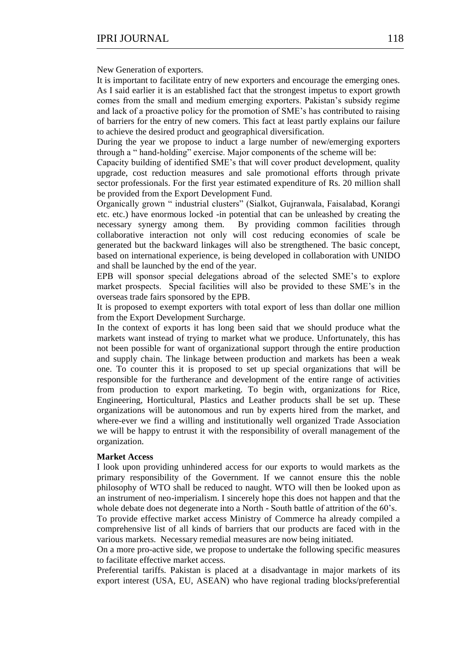New Generation of exporters.

It is important to facilitate entry of new exporters and encourage the emerging ones. As I said earlier it is an established fact that the strongest impetus to export growth comes from the small and medium emerging exporters. Pakistan's subsidy regime and lack of a proactive policy for the promotion of SME's has contributed to raising of barriers for the entry of new comers. This fact at least partly explains our failure to achieve the desired product and geographical diversification.

During the year we propose to induct a large number of new/emerging exporters through a "hand-holding" exercise. Major components of the scheme will be:

Capacity building of identified SME's that will cover product development, quality upgrade, cost reduction measures and sale promotional efforts through private sector professionals. For the first year estimated expenditure of Rs. 20 million shall be provided from the Export Development Fund.

Organically grown ― industrial clusters‖ (Sialkot, Gujranwala, Faisalabad, Korangi etc. etc.) have enormous locked -in potential that can be unleashed by creating the necessary synergy among them. By providing common facilities through collaborative interaction not only will cost reducing economies of scale be generated but the backward linkages will also be strengthened. The basic concept, based on international experience, is being developed in collaboration with UNIDO and shall be launched by the end of the year.

EPB will sponsor special delegations abroad of the selected SME's to explore market prospects. Special facilities will also be provided to these SME's in the overseas trade fairs sponsored by the EPB.

It is proposed to exempt exporters with total export of less than dollar one million from the Export Development Surcharge.

In the context of exports it has long been said that we should produce what the markets want instead of trying to market what we produce. Unfortunately, this has not been possible for want of organizational support through the entire production and supply chain. The linkage between production and markets has been a weak one. To counter this it is proposed to set up special organizations that will be responsible for the furtherance and development of the entire range of activities from production to export marketing. To begin with, organizations for Rice, Engineering, Horticultural, Plastics and Leather products shall be set up. These organizations will be autonomous and run by experts hired from the market, and where-ever we find a willing and institutionally well organized Trade Association we will be happy to entrust it with the responsibility of overall management of the organization.

### **Market Access**

I look upon providing unhindered access for our exports to would markets as the primary responsibility of the Government. If we cannot ensure this the noble philosophy of WTO shall be reduced to naught. WTO will then be looked upon as an instrument of neo-imperialism. I sincerely hope this does not happen and that the whole debate does not degenerate into a North - South battle of attrition of the 60's.

To provide effective market access Ministry of Commerce ha already compiled a comprehensive list of all kinds of barriers that our products are faced with in the various markets. Necessary remedial measures are now being initiated.

On a more pro-active side, we propose to undertake the following specific measures to facilitate effective market access.

Preferential tariffs. Pakistan is placed at a disadvantage in major markets of its export interest (USA, EU, ASEAN) who have regional trading blocks/preferential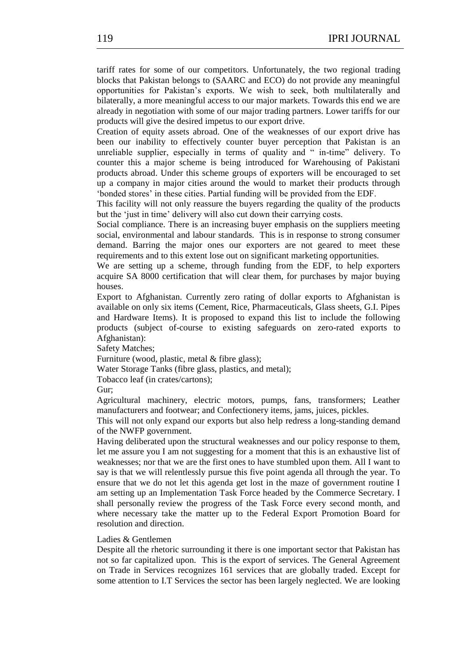tariff rates for some of our competitors. Unfortunately, the two regional trading blocks that Pakistan belongs to (SAARC and ECO) do not provide any meaningful opportunities for Pakistan's exports. We wish to seek, both multilaterally and bilaterally, a more meaningful access to our major markets. Towards this end we are already in negotiation with some of our major trading partners. Lower tariffs for our products will give the desired impetus to our export drive.

Creation of equity assets abroad. One of the weaknesses of our export drive has been our inability to effectively counter buyer perception that Pakistan is an unreliable supplier, especially in terms of quality and " in-time" delivery. To counter this a major scheme is being introduced for Warehousing of Pakistani products abroad. Under this scheme groups of exporters will be encouraged to set up a company in major cities around the would to market their products through ‗bonded stores' in these cities. Partial funding will be provided from the EDF.

This facility will not only reassure the buyers regarding the quality of the products but the 'just in time' delivery will also cut down their carrying costs.

Social compliance. There is an increasing buyer emphasis on the suppliers meeting social, environmental and labour standards. This is in response to strong consumer demand. Barring the major ones our exporters are not geared to meet these requirements and to this extent lose out on significant marketing opportunities.

We are setting up a scheme, through funding from the EDF, to help exporters acquire SA 8000 certification that will clear them, for purchases by major buying houses.

Export to Afghanistan. Currently zero rating of dollar exports to Afghanistan is available on only six items (Cement, Rice, Pharmaceuticals, Glass sheets, G.I. Pipes and Hardware Items). It is proposed to expand this list to include the following products (subject of-course to existing safeguards on zero-rated exports to Afghanistan):

Safety Matches;

Furniture (wood, plastic, metal & fibre glass);

Water Storage Tanks (fibre glass, plastics, and metal);

Tobacco leaf (in crates/cartons);

Gur;

Agricultural machinery, electric motors, pumps, fans, transformers; Leather manufacturers and footwear; and Confectionery items, jams, juices, pickles.

This will not only expand our exports but also help redress a long-standing demand of the NWFP government.

Having deliberated upon the structural weaknesses and our policy response to them, let me assure you I am not suggesting for a moment that this is an exhaustive list of weaknesses; nor that we are the first ones to have stumbled upon them. All I want to say is that we will relentlessly pursue this five point agenda all through the year. To ensure that we do not let this agenda get lost in the maze of government routine I am setting up an Implementation Task Force headed by the Commerce Secretary. I shall personally review the progress of the Task Force every second month, and where necessary take the matter up to the Federal Export Promotion Board for resolution and direction.

### Ladies & Gentlemen

Despite all the rhetoric surrounding it there is one important sector that Pakistan has not so far capitalized upon. This is the export of services. The General Agreement on Trade in Services recognizes 161 services that are globally traded. Except for some attention to I.T Services the sector has been largely neglected. We are looking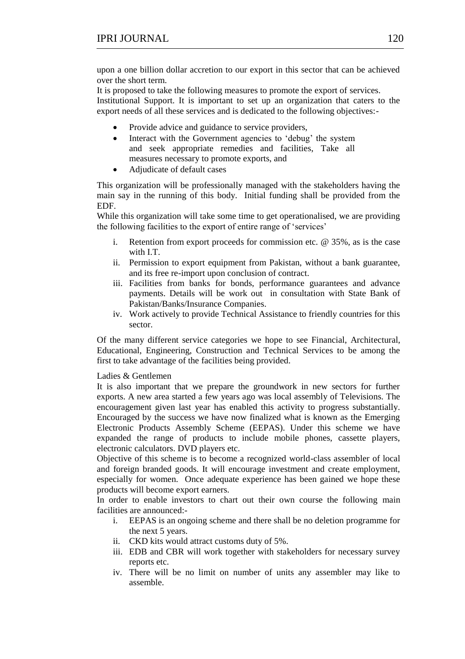upon a one billion dollar accretion to our export in this sector that can be achieved over the short term.

It is proposed to take the following measures to promote the export of services. Institutional Support. It is important to set up an organization that caters to the export needs of all these services and is dedicated to the following objectives:-

- Provide advice and guidance to service providers,
- Interact with the Government agencies to 'debug' the system and seek appropriate remedies and facilities, Take all measures necessary to promote exports, and
- Adjudicate of default cases

This organization will be professionally managed with the stakeholders having the main say in the running of this body. Initial funding shall be provided from the EDF.

While this organization will take some time to get operationalised, we are providing the following facilities to the export of entire range of 'services'

- i. Retention from export proceeds for commission etc.  $\omega$  35%, as is the case with I.T.
- ii. Permission to export equipment from Pakistan, without a bank guarantee, and its free re-import upon conclusion of contract.
- iii. Facilities from banks for bonds, performance guarantees and advance payments. Details will be work out in consultation with State Bank of Pakistan/Banks/Insurance Companies.
- iv. Work actively to provide Technical Assistance to friendly countries for this sector.

Of the many different service categories we hope to see Financial, Architectural, Educational, Engineering, Construction and Technical Services to be among the first to take advantage of the facilities being provided.

### Ladies & Gentlemen

It is also important that we prepare the groundwork in new sectors for further exports. A new area started a few years ago was local assembly of Televisions. The encouragement given last year has enabled this activity to progress substantially. Encouraged by the success we have now finalized what is known as the Emerging Electronic Products Assembly Scheme (EEPAS). Under this scheme we have expanded the range of products to include mobile phones, cassette players, electronic calculators. DVD players etc.

Objective of this scheme is to become a recognized world-class assembler of local and foreign branded goods. It will encourage investment and create employment, especially for women. Once adequate experience has been gained we hope these products will become export earners.

In order to enable investors to chart out their own course the following main facilities are announced:-

- i. EEPAS is an ongoing scheme and there shall be no deletion programme for the next 5 years.
- ii. CKD kits would attract customs duty of 5%.
- iii. EDB and CBR will work together with stakeholders for necessary survey reports etc.
- iv. There will be no limit on number of units any assembler may like to assemble.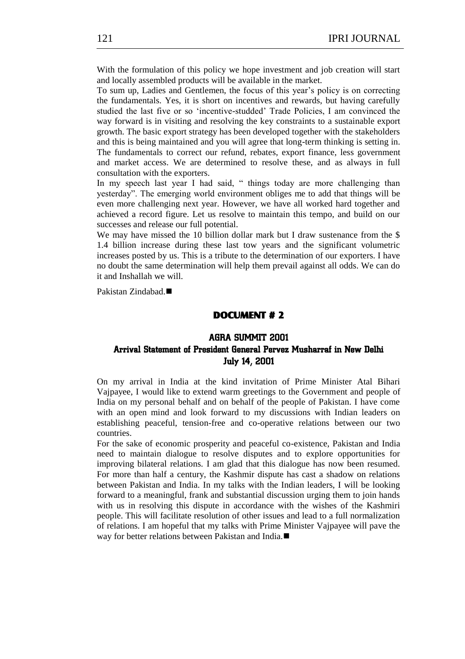With the formulation of this policy we hope investment and job creation will start and locally assembled products will be available in the market.

To sum up, Ladies and Gentlemen, the focus of this year's policy is on correcting the fundamentals. Yes, it is short on incentives and rewards, but having carefully studied the last five or so 'incentive-studded' Trade Policies. I am convinced the way forward is in visiting and resolving the key constraints to a sustainable export growth. The basic export strategy has been developed together with the stakeholders and this is being maintained and you will agree that long-term thinking is setting in. The fundamentals to correct our refund, rebates, export finance, less government and market access. We are determined to resolve these, and as always in full consultation with the exporters.

In my speech last year I had said, " things today are more challenging than yesterday". The emerging world environment obliges me to add that things will be even more challenging next year. However, we have all worked hard together and achieved a record figure. Let us resolve to maintain this tempo, and build on our successes and release our full potential.

We may have missed the 10 billion dollar mark but I draw sustenance from the \$ 1.4 billion increase during these last tow years and the significant volumetric increases posted by us. This is a tribute to the determination of our exporters. I have no doubt the same determination will help them prevail against all odds. We can do it and Inshallah we will.

Pakistan Zindabad.

### DOCUMENT # 2

#### AGRA SUMMIT 2001

## Arrival Statement of President General Pervez Musharraf in New Delhi July 14, 2001

On my arrival in India at the kind invitation of Prime Minister Atal Bihari Vajpayee, I would like to extend warm greetings to the Government and people of India on my personal behalf and on behalf of the people of Pakistan. I have come with an open mind and look forward to my discussions with Indian leaders on establishing peaceful, tension-free and co-operative relations between our two countries.

For the sake of economic prosperity and peaceful co-existence, Pakistan and India need to maintain dialogue to resolve disputes and to explore opportunities for improving bilateral relations. I am glad that this dialogue has now been resumed. For more than half a century, the Kashmir dispute has cast a shadow on relations between Pakistan and India. In my talks with the Indian leaders, I will be looking forward to a meaningful, frank and substantial discussion urging them to join hands with us in resolving this dispute in accordance with the wishes of the Kashmiri people. This will facilitate resolution of other issues and lead to a full normalization of relations. I am hopeful that my talks with Prime Minister Vajpayee will pave the way for better relations between Pakistan and India.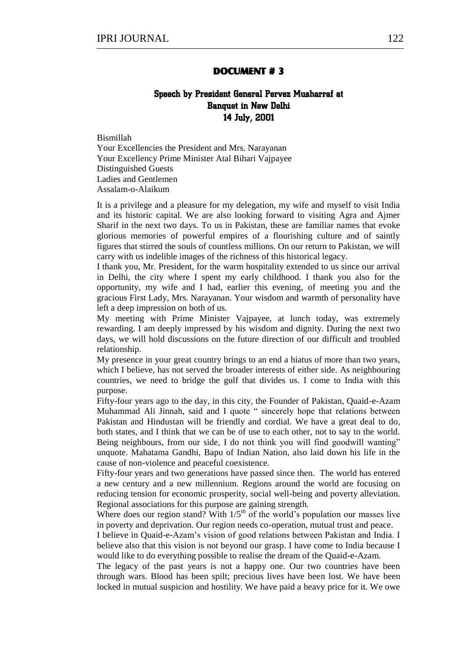### DOCUMENT # 3

## Speech by President General Pervez Musharraf at Banquet in New Delhi 14 July, 2001

Bismillah

Your Excellencies the President and Mrs. Narayanan Your Excellency Prime Minister Atal Bihari Vajpayee Distinguished Guests Ladies and Gentlemen Assalam-o-Alaikum

It is a privilege and a pleasure for my delegation, my wife and myself to visit India and its historic capital. We are also looking forward to visiting Agra and Ajmer Sharif in the next two days. To us in Pakistan, these are familiar names that evoke glorious memories of powerful empires of a flourishing culture and of saintly figures that stirred the souls of countless millions. On our return to Pakistan, we will carry with us indelible images of the richness of this historical legacy.

I thank you, Mr. President, for the warm hospitality extended to us since our arrival in Delhi, the city where I spent my early childhood. I thank you also for the opportunity, my wife and I had, earlier this evening, of meeting you and the gracious First Lady, Mrs. Narayanan. Your wisdom and warmth of personality have left a deep impression on both of us.

My meeting with Prime Minister Vajpayee, at lunch today, was extremely rewarding. I am deeply impressed by his wisdom and dignity. During the next two days, we will hold discussions on the future direction of our difficult and troubled relationship.

My presence in your great country brings to an end a hiatus of more than two years, which I believe, has not served the broader interests of either side. As neighbouring countries, we need to bridge the gulf that divides us. I come to India with this purpose.

Fifty-four years ago to the day, in this city, the Founder of Pakistan, Quaid-e-Azam Muhammad Ali Jinnah, said and I quote " sincerely hope that relations between Pakistan and Hindustan will be friendly and cordial. We have a great deal to do, both states, and I think that we can be of use to each other, not to say to the world. Being neighbours, from our side, I do not think you will find goodwill wanting" unquote. Mahatama Gandhi, Bapu of Indian Nation, also laid down his life in the cause of non-violence and peaceful coexistence.

Fifty-four years and two generations have passed since then. The world has entered a new century and a new millennium. Regions around the world are focusing on reducing tension for economic prosperity, social well-being and poverty alleviation. Regional associations for this purpose are gaining strength.

Where does our region stand? With  $1/5<sup>th</sup>$  of the world's population our masses live in poverty and deprivation. Our region needs co-operation, mutual trust and peace.

I believe in Quaid-e-Azam's vision of good relations between Pakistan and India. I believe also that this vision is not beyond our grasp. I have come to India because I would like to do everything possible to realise the dream of the Quaid-e-Azam.

The legacy of the past years is not a happy one. Our two countries have been through wars. Blood has been spilt; precious lives have been lost. We have been locked in mutual suspicion and hostility. We have paid a heavy price for it. We owe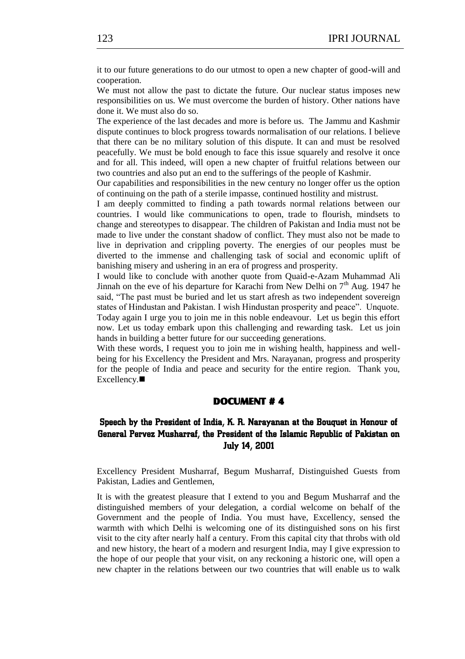it to our future generations to do our utmost to open a new chapter of good-will and cooperation.

We must not allow the past to dictate the future. Our nuclear status imposes new responsibilities on us. We must overcome the burden of history. Other nations have done it. We must also do so.

The experience of the last decades and more is before us. The Jammu and Kashmir dispute continues to block progress towards normalisation of our relations. I believe that there can be no military solution of this dispute. It can and must be resolved peacefully. We must be bold enough to face this issue squarely and resolve it once and for all. This indeed, will open a new chapter of fruitful relations between our two countries and also put an end to the sufferings of the people of Kashmir.

Our capabilities and responsibilities in the new century no longer offer us the option of continuing on the path of a sterile impasse, continued hostility and mistrust.

I am deeply committed to finding a path towards normal relations between our countries. I would like communications to open, trade to flourish, mindsets to change and stereotypes to disappear. The children of Pakistan and India must not be made to live under the constant shadow of conflict. They must also not be made to live in deprivation and crippling poverty. The energies of our peoples must be diverted to the immense and challenging task of social and economic uplift of banishing misery and ushering in an era of progress and prosperity.

I would like to conclude with another quote from Quaid-e-Azam Muhammad Ali Jinnah on the eve of his departure for Karachi from New Delhi on  $7<sup>th</sup>$  Aug. 1947 he said, "The past must be buried and let us start afresh as two independent sovereign states of Hindustan and Pakistan. I wish Hindustan prosperity and peace". Unquote. Today again I urge you to join me in this noble endeavour. Let us begin this effort now. Let us today embark upon this challenging and rewarding task. Let us join hands in building a better future for our succeeding generations.

With these words, I request you to join me in wishing health, happiness and wellbeing for his Excellency the President and Mrs. Narayanan, progress and prosperity for the people of India and peace and security for the entire region. Thank you, Excellency.■

### DOCUMENT # 4

## Speech by the President of India, K. R. Narayanan at the Bouquet in Honour of General Pervez Musharraf, the President of the Islamic Republic of Pakistan on July 14, 2001

Excellency President Musharraf, Begum Musharraf, Distinguished Guests from Pakistan, Ladies and Gentlemen,

It is with the greatest pleasure that I extend to you and Begum Musharraf and the distinguished members of your delegation, a cordial welcome on behalf of the Government and the people of India. You must have, Excellency, sensed the warmth with which Delhi is welcoming one of its distinguished sons on his first visit to the city after nearly half a century. From this capital city that throbs with old and new history, the heart of a modern and resurgent India, may I give expression to the hope of our people that your visit, on any reckoning a historic one, will open a new chapter in the relations between our two countries that will enable us to walk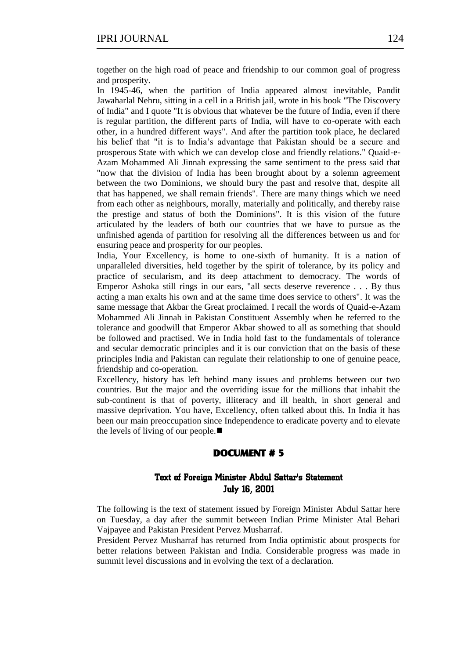together on the high road of peace and friendship to our common goal of progress and prosperity.

In 1945-46, when the partition of India appeared almost inevitable, Pandit Jawaharlal Nehru, sitting in a cell in a British jail, wrote in his book "The Discovery of India" and I quote "It is obvious that whatever be the future of India, even if there is regular partition, the different parts of India, will have to co-operate with each other, in a hundred different ways". And after the partition took place, he declared his belief that "it is to India's advantage that Pakistan should be a secure and prosperous State with which we can develop close and friendly relations." Quaid-e-Azam Mohammed Ali Jinnah expressing the same sentiment to the press said that "now that the division of India has been brought about by a solemn agreement between the two Dominions, we should bury the past and resolve that, despite all that has happened, we shall remain friends". There are many things which we need from each other as neighbours, morally, materially and politically, and thereby raise the prestige and status of both the Dominions". It is this vision of the future articulated by the leaders of both our countries that we have to pursue as the unfinished agenda of partition for resolving all the differences between us and for ensuring peace and prosperity for our peoples.

India, Your Excellency, is home to one-sixth of humanity. It is a nation of unparalleled diversities, held together by the spirit of tolerance, by its policy and practice of secularism, and its deep attachment to democracy. The words of Emperor Ashoka still rings in our ears, "all sects deserve reverence . . . By thus acting a man exalts his own and at the same time does service to others". It was the same message that Akbar the Great proclaimed. I recall the words of Quaid-e-Azam Mohammed Ali Jinnah in Pakistan Constituent Assembly when he referred to the tolerance and goodwill that Emperor Akbar showed to all as something that should be followed and practised. We in India hold fast to the fundamentals of tolerance and secular democratic principles and it is our conviction that on the basis of these principles India and Pakistan can regulate their relationship to one of genuine peace, friendship and co-operation.

Excellency, history has left behind many issues and problems between our two countries. But the major and the overriding issue for the millions that inhabit the sub-continent is that of poverty, illiteracy and ill health, in short general and massive deprivation. You have, Excellency, often talked about this. In India it has been our main preoccupation since Independence to eradicate poverty and to elevate the levels of living of our people. $\blacksquare$ 

### DOCUMENT # 5

### Text of Foreign Minister Abdul Sattar's Statement July 16, 2001

The following is the text of statement issued by Foreign Minister Abdul Sattar here on Tuesday, a day after the summit between Indian Prime Minister Atal Behari Vajpayee and Pakistan President Pervez Musharraf.

President Pervez Musharraf has returned from India optimistic about prospects for better relations between Pakistan and India. Considerable progress was made in summit level discussions and in evolving the text of a declaration.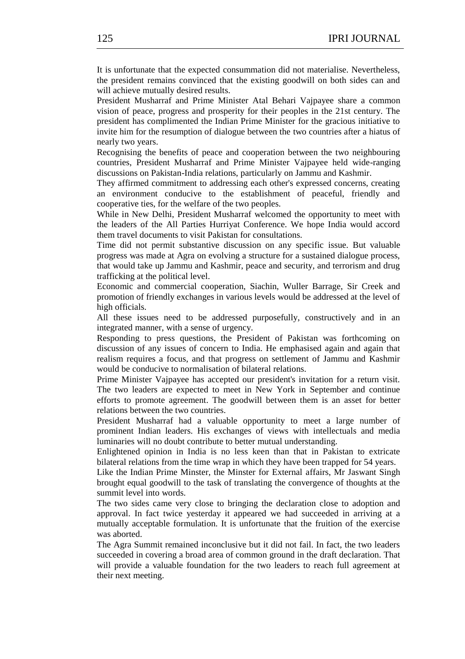It is unfortunate that the expected consummation did not materialise. Nevertheless, the president remains convinced that the existing goodwill on both sides can and will achieve mutually desired results.

President Musharraf and Prime Minister Atal Behari Vajpayee share a common vision of peace, progress and prosperity for their peoples in the 21st century. The president has complimented the Indian Prime Minister for the gracious initiative to invite him for the resumption of dialogue between the two countries after a hiatus of nearly two years.

Recognising the benefits of peace and cooperation between the two neighbouring countries, President Musharraf and Prime Minister Vajpayee held wide-ranging discussions on Pakistan-India relations, particularly on Jammu and Kashmir.

They affirmed commitment to addressing each other's expressed concerns, creating an environment conducive to the establishment of peaceful, friendly and cooperative ties, for the welfare of the two peoples.

While in New Delhi, President Musharraf welcomed the opportunity to meet with the leaders of the All Parties Hurriyat Conference. We hope India would accord them travel documents to visit Pakistan for consultations.

Time did not permit substantive discussion on any specific issue. But valuable progress was made at Agra on evolving a structure for a sustained dialogue process, that would take up Jammu and Kashmir, peace and security, and terrorism and drug trafficking at the political level.

Economic and commercial cooperation, Siachin, Wuller Barrage, Sir Creek and promotion of friendly exchanges in various levels would be addressed at the level of high officials.

All these issues need to be addressed purposefully, constructively and in an integrated manner, with a sense of urgency.

Responding to press questions, the President of Pakistan was forthcoming on discussion of any issues of concern to India. He emphasised again and again that realism requires a focus, and that progress on settlement of Jammu and Kashmir would be conducive to normalisation of bilateral relations.

Prime Minister Vajpayee has accepted our president's invitation for a return visit. The two leaders are expected to meet in New York in September and continue efforts to promote agreement. The goodwill between them is an asset for better relations between the two countries.

President Musharraf had a valuable opportunity to meet a large number of prominent Indian leaders. His exchanges of views with intellectuals and media luminaries will no doubt contribute to better mutual understanding.

Enlightened opinion in India is no less keen than that in Pakistan to extricate bilateral relations from the time wrap in which they have been trapped for 54 years.

Like the Indian Prime Minster, the Minster for External affairs, Mr Jaswant Singh brought equal goodwill to the task of translating the convergence of thoughts at the summit level into words.

The two sides came very close to bringing the declaration close to adoption and approval. In fact twice yesterday it appeared we had succeeded in arriving at a mutually acceptable formulation. It is unfortunate that the fruition of the exercise was aborted.

The Agra Summit remained inconclusive but it did not fail. In fact, the two leaders succeeded in covering a broad area of common ground in the draft declaration. That will provide a valuable foundation for the two leaders to reach full agreement at their next meeting.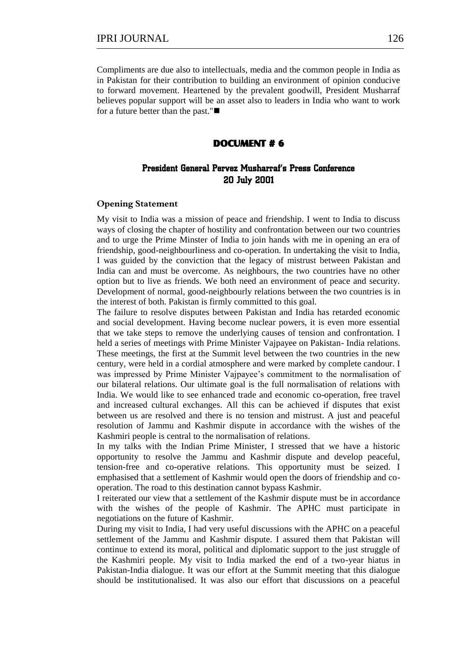Compliments are due also to intellectuals, media and the common people in India as in Pakistan for their contribution to building an environment of opinion conducive to forward movement. Heartened by the prevalent goodwill, President Musharraf believes popular support will be an asset also to leaders in India who want to work for a future better than the past." $\blacksquare$ 

## DOCUMENT # 6

## President General Pervez Musharraf's Press Conference 20 July 2001

#### **Opening Statement**

My visit to India was a mission of peace and friendship. I went to India to discuss ways of closing the chapter of hostility and confrontation between our two countries and to urge the Prime Minster of India to join hands with me in opening an era of friendship, good-neighbourliness and co-operation. In undertaking the visit to India, I was guided by the conviction that the legacy of mistrust between Pakistan and India can and must be overcome. As neighbours, the two countries have no other option but to live as friends. We both need an environment of peace and security. Development of normal, good-neighbourly relations between the two countries is in the interest of both. Pakistan is firmly committed to this goal.

The failure to resolve disputes between Pakistan and India has retarded economic and social development. Having become nuclear powers, it is even more essential that we take steps to remove the underlying causes of tension and confrontation. I held a series of meetings with Prime Minister Vajpayee on Pakistan- India relations. These meetings, the first at the Summit level between the two countries in the new century, were held in a cordial atmosphere and were marked by complete candour. I was impressed by Prime Minister Vajpayee's commitment to the normalisation of our bilateral relations. Our ultimate goal is the full normalisation of relations with India. We would like to see enhanced trade and economic co-operation, free travel and increased cultural exchanges. All this can be achieved if disputes that exist between us are resolved and there is no tension and mistrust. A just and peaceful resolution of Jammu and Kashmir dispute in accordance with the wishes of the Kashmiri people is central to the normalisation of relations.

In my talks with the Indian Prime Minister, I stressed that we have a historic opportunity to resolve the Jammu and Kashmir dispute and develop peaceful, tension-free and co-operative relations. This opportunity must be seized. I emphasised that a settlement of Kashmir would open the doors of friendship and cooperation. The road to this destination cannot bypass Kashmir.

I reiterated our view that a settlement of the Kashmir dispute must be in accordance with the wishes of the people of Kashmir. The APHC must participate in negotiations on the future of Kashmir.

During my visit to India, I had very useful discussions with the APHC on a peaceful settlement of the Jammu and Kashmir dispute. I assured them that Pakistan will continue to extend its moral, political and diplomatic support to the just struggle of the Kashmiri people. My visit to India marked the end of a two-year hiatus in Pakistan-India dialogue. It was our effort at the Summit meeting that this dialogue should be institutionalised. It was also our effort that discussions on a peaceful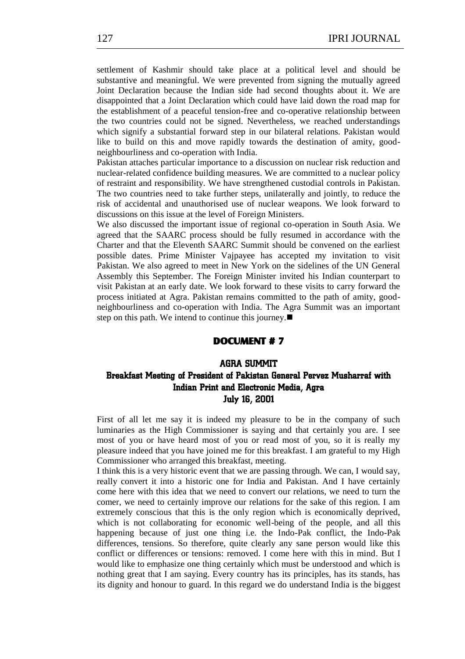settlement of Kashmir should take place at a political level and should be substantive and meaningful. We were prevented from signing the mutually agreed Joint Declaration because the Indian side had second thoughts about it. We are disappointed that a Joint Declaration which could have laid down the road map for the establishment of a peaceful tension-free and co-operative relationship between the two countries could not be signed. Nevertheless, we reached understandings which signify a substantial forward step in our bilateral relations. Pakistan would like to build on this and move rapidly towards the destination of amity, goodneighbourliness and co-operation with India.

Pakistan attaches particular importance to a discussion on nuclear risk reduction and nuclear-related confidence building measures. We are committed to a nuclear policy of restraint and responsibility. We have strengthened custodial controls in Pakistan. The two countries need to take further steps, unilaterally and jointly, to reduce the risk of accidental and unauthorised use of nuclear weapons. We look forward to discussions on this issue at the level of Foreign Ministers.

We also discussed the important issue of regional co-operation in South Asia. We agreed that the SAARC process should be fully resumed in accordance with the Charter and that the Eleventh SAARC Summit should be convened on the earliest possible dates. Prime Minister Vajpayee has accepted my invitation to visit Pakistan. We also agreed to meet in New York on the sidelines of the UN General Assembly this September. The Foreign Minister invited his Indian counterpart to visit Pakistan at an early date. We look forward to these visits to carry forward the process initiated at Agra. Pakistan remains committed to the path of amity, goodneighbourliness and co-operation with India. The Agra Summit was an important step on this path. We intend to continue this journey.

### DOCUMENT # 7

### AGRA SUMMIT

## Breakfast Meeting of President of Pakistan General Pervez Musharraf with Indian Print and Electronic Media, Agra July 16, 2001

First of all let me say it is indeed my pleasure to be in the company of such luminaries as the High Commissioner is saying and that certainly you are. I see most of you or have heard most of you or read most of you, so it is really my pleasure indeed that you have joined me for this breakfast. I am grateful to my High Commissioner who arranged this breakfast, meeting.

I think this is a very historic event that we are passing through. We can, I would say, really convert it into a historic one for India and Pakistan. And I have certainly come here with this idea that we need to convert our relations, we need to turn the comer, we need to certainly improve our relations for the sake of this region. I am extremely conscious that this is the only region which is economically deprived, which is not collaborating for economic well-being of the people, and all this happening because of just one thing i.e. the Indo-Pak conflict, the Indo-Pak differences, tensions. So therefore, quite clearly any sane person would like this conflict or differences or tensions: removed. I come here with this in mind. But I would like to emphasize one thing certainly which must be understood and which is nothing great that I am saying. Every country has its principles, has its stands, has its dignity and honour to guard. In this regard we do understand India is the biggest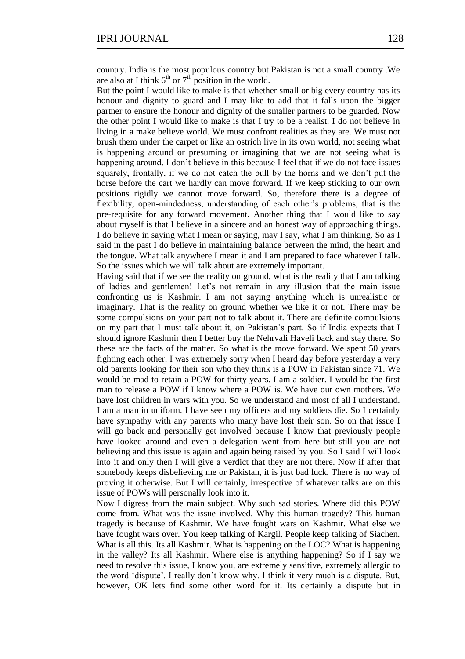country. India is the most populous country but Pakistan is not a small country .We are also at I think  $6<sup>th</sup>$  or  $7<sup>th</sup>$  position in the world.

But the point I would like to make is that whether small or big every country has its honour and dignity to guard and I may like to add that it falls upon the bigger partner to ensure the honour and dignity of the smaller partners to be guarded. Now the other point I would like to make is that I try to be a realist. I do not believe in living in a make believe world. We must confront realities as they are. We must not brush them under the carpet or like an ostrich live in its own world, not seeing what is happening around or presuming or imagining that we are not seeing what is happening around. I don't believe in this because I feel that if we do not face issues squarely, frontally, if we do not catch the bull by the horns and we don't put the horse before the cart we hardly can move forward. If we keep sticking to our own positions rigidly we cannot move forward. So, therefore there is a degree of flexibility, open-mindedness, understanding of each other's problems, that is the pre-requisite for any forward movement. Another thing that I would like to say about myself is that I believe in a sincere and an honest way of approaching things. I do believe in saying what I mean or saying, may I say, what I am thinking. So as I said in the past I do believe in maintaining balance between the mind, the heart and the tongue. What talk anywhere I mean it and I am prepared to face whatever I talk. So the issues which we will talk about are extremely important.

Having said that if we see the reality on ground, what is the reality that I am talking of ladies and gentlemen! Let's not remain in any illusion that the main issue confronting us is Kashmir. I am not saying anything which is unrealistic or imaginary. That is the reality on ground whether we like it or not. There may be some compulsions on your part not to talk about it. There are definite compulsions on my part that I must talk about it, on Pakistan's part. So if India expects that I should ignore Kashmir then I better buy the Nehrvali Haveli back and stay there. So these are the facts of the matter. So what is the move forward. We spent 50 years fighting each other. I was extremely sorry when I heard day before yesterday a very old parents looking for their son who they think is a POW in Pakistan since 71. We would be mad to retain a POW for thirty years. I am a soldier. I would be the first man to release a POW if I know where a POW is. We have our own mothers. We have lost children in wars with you. So we understand and most of all I understand. I am a man in uniform. I have seen my officers and my soldiers die. So I certainly have sympathy with any parents who many have lost their son. So on that issue I will go back and personally get involved because I know that previously people have looked around and even a delegation went from here but still you are not believing and this issue is again and again being raised by you. So I said I will look into it and only then I will give a verdict that they are not there. Now if after that somebody keeps disbelieving me or Pakistan, it is just bad luck. There is no way of proving it otherwise. But I will certainly, irrespective of whatever talks are on this issue of POWs will personally look into it.

Now I digress from the main subject. Why such sad stories. Where did this POW come from. What was the issue involved. Why this human tragedy? This human tragedy is because of Kashmir. We have fought wars on Kashmir. What else we have fought wars over. You keep talking of Kargil. People keep talking of Siachen. What is all this. Its all Kashmir. What is happening on the LOC? What is happening in the valley? Its all Kashmir. Where else is anything happening? So if I say we need to resolve this issue, I know you, are extremely sensitive, extremely allergic to the word ‗dispute'. I really don't know why. I think it very much is a dispute. But, however, OK lets find some other word for it. Its certainly a dispute but in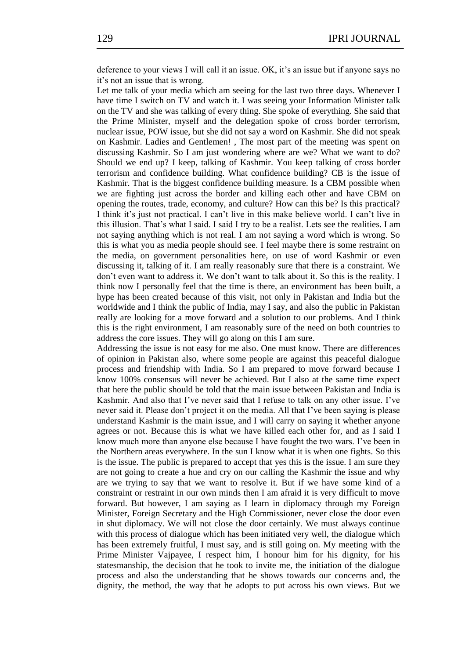deference to your views I will call it an issue. OK, it's an issue but if anyone says no it's not an issue that is wrong.

Let me talk of your media which am seeing for the last two three days. Whenever I have time I switch on TV and watch it. I was seeing your Information Minister talk on the TV and she was talking of every thing. She spoke of everything. She said that the Prime Minister, myself and the delegation spoke of cross border terrorism, nuclear issue, POW issue, but she did not say a word on Kashmir. She did not speak on Kashmir. Ladies and Gentlemen! , The most part of the meeting was spent on discussing Kashmir. So I am just wondering where are we? What we want to do? Should we end up? I keep, talking of Kashmir. You keep talking of cross border terrorism and confidence building. What confidence building? CB is the issue of Kashmir. That is the biggest confidence building measure. Is a CBM possible when we are fighting just across the border and killing each other and have CBM on opening the routes, trade, economy, and culture? How can this be? Is this practical? I think it's just not practical. I can't live in this make believe world. I can't live in this illusion. That's what I said. I said I try to be a realist. Lets see the realities. I am not saying anything which is not real. I am not saying a word which is wrong. So this is what you as media people should see. I feel maybe there is some restraint on the media, on government personalities here, on use of word Kashmir or even discussing it, talking of it. I am really reasonably sure that there is a constraint. We don't even want to address it. We don't want to talk about it. So this is the reality. I think now I personally feel that the time is there, an environment has been built, a hype has been created because of this visit, not only in Pakistan and India but the worldwide and I think the public of India, may I say, and also the public in Pakistan really are looking for a move forward and a solution to our problems. And I think this is the right environment, I am reasonably sure of the need on both countries to address the core issues. They will go along on this I am sure.

Addressing the issue is not easy for me also. One must know. There are differences of opinion in Pakistan also, where some people are against this peaceful dialogue process and friendship with India. So I am prepared to move forward because I know 100% consensus will never be achieved. But I also at the same time expect that here the public should be told that the main issue between Pakistan and India is Kashmir. And also that I've never said that I refuse to talk on any other issue. I've never said it. Please don't project it on the media. All that I've been saying is please understand Kashmir is the main issue, and I will carry on saying it whether anyone agrees or not. Because this is what we have killed each other for, and as I said I know much more than anyone else because I have fought the two wars. I've been in the Northern areas everywhere. In the sun I know what it is when one fights. So this is the issue. The public is prepared to accept that yes this is the issue. I am sure they are not going to create a hue and cry on our calling the Kashmir the issue and why are we trying to say that we want to resolve it. But if we have some kind of a constraint or restraint in our own minds then I am afraid it is very difficult to move forward. But however, I am saying as I learn in diplomacy through my Foreign Minister, Foreign Secretary and the High Commissioner, never close the door even in shut diplomacy. We will not close the door certainly. We must always continue with this process of dialogue which has been initiated very well, the dialogue which has been extremely fruitful, I must say, and is still going on. My meeting with the Prime Minister Vajpayee, I respect him, I honour him for his dignity, for his statesmanship, the decision that he took to invite me, the initiation of the dialogue process and also the understanding that he shows towards our concerns and, the dignity, the method, the way that he adopts to put across his own views. But we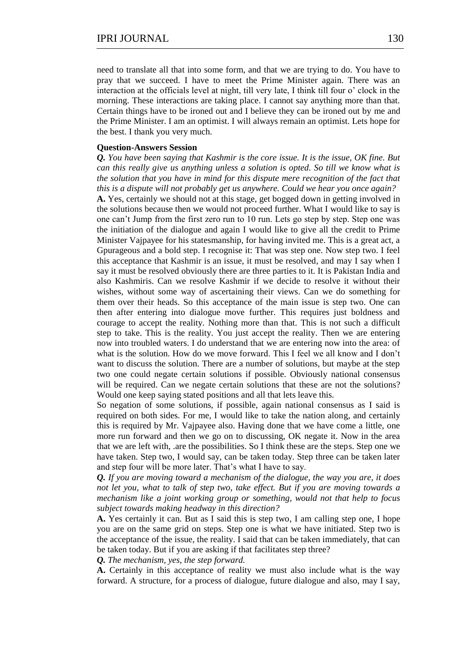need to translate all that into some form, and that we are trying to do. You have to pray that we succeed. I have to meet the Prime Minister again. There was an interaction at the officials level at night, till very late, I think till four o' clock in the morning. These interactions are taking place. I cannot say anything more than that. Certain things have to be ironed out and I believe they can be ironed out by me and the Prime Minister. I am an optimist. I will always remain an optimist. Lets hope for the best. I thank you very much.

#### **Question-Answers Session**

*Q. You have been saying that Kashmir is the core issue. It is the issue, OK fine. But can this really give us anything unless a solution is opted. So till we know what is the solution that you have in mind for this dispute mere recognition of the fact that this is a dispute will not probably get us anywhere. Could we hear you once again?* **A.** Yes, certainly we should not at this stage, get bogged down in getting involved in the solutions because then we would not proceed further. What I would like to say is one can't Jump from the first zero run to 10 run. Lets go step by step. Step one was the initiation of the dialogue and again I would like to give all the credit to Prime Minister Vajpayee for his statesmanship, for having invited me. This is a great act, a Gpurageous and a bold step. I recognise it: That was step one. Now step two. I feel this acceptance that Kashmir is an issue, it must be resolved, and may I say when I say it must be resolved obviously there are three parties to it. It is Pakistan India and also Kashmiris. Can we resolve Kashmir if we decide to resolve it without their wishes, without some way of ascertaining their views. Can we do something for them over their heads. So this acceptance of the main issue is step two. One can then after entering into dialogue move further. This requires just boldness and courage to accept the reality. Nothing more than that. This is not such a difficult step to take. This is the reality. You just accept the reality. Then we are entering now into troubled waters. I do understand that we are entering now into the area: of what is the solution. How do we move forward. This I feel we all know and I don't want to discuss the solution. There are a number of solutions, but maybe at the step two one could negate certain solutions if possible. Obviously national consensus will be required. Can we negate certain solutions that these are not the solutions? Would one keep saying stated positions and all that lets leave this.

So negation of some solutions, if possible, again national consensus as I said is required on both sides. For me, I would like to take the nation along, and certainly this is required by Mr. Vajpayee also. Having done that we have come a little, one more run forward and then we go on to discussing, OK negate it. Now in the area that we are left with, .are the possibilities. So I think these are the steps. Step one we have taken. Step two, I would say, can be taken today. Step three can be taken later and step four will be more later. That's what I have to say.

*Q. If you are moving toward a mechanism of the dialogue, the way you are, it does not let you, what to talk of step two, take effect. But if you are moving towards a mechanism like a joint working group or something, would not that help to focus subject towards making headway in this direction?*

**A.** Yes certainly it can. But as I said this is step two, I am calling step one, I hope you are on the same grid on steps. Step one is what we have initiated. Step two is the acceptance of the issue, the reality. I said that can be taken immediately, that can be taken today. But if you are asking if that facilitates step three?

*Q. The mechanism, yes, the step forward.*

**A.** Certainly in this acceptance of reality we must also include what is the way forward. A structure, for a process of dialogue, future dialogue and also, may I say,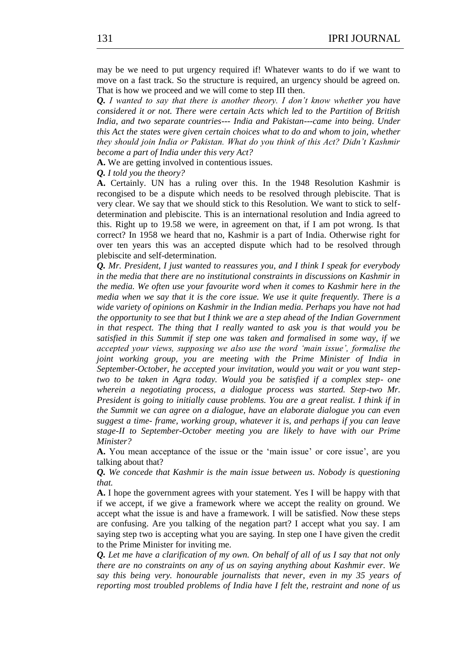may be we need to put urgency required if! Whatever wants to do if we want to move on a fast track. So the structure is required, an urgency should be agreed on. That is how we proceed and we will come to step III then.

*Q. I wanted to say that there is another theory. I don"t know whether you have considered it or not. There were certain Acts which led to the Partition of British India, and two separate countries--- India and Pakistan---came into being. Under this Act the states were given certain choices what to do and whom to join, whether they should join India or Pakistan. What do you think of this Act? Didn"t Kashmir become a part of India under this very Act?*

**A.** We are getting involved in contentious issues.

*Q. I told you the theory?*

**A.** Certainly. UN has a ruling over this. In the 1948 Resolution Kashmir is recongised to be a dispute which needs to be resolved through plebiscite. That is very clear. We say that we should stick to this Resolution. We want to stick to selfdetermination and plebiscite. This is an international resolution and India agreed to this. Right up to 19.58 we were, in agreement on that, if I am pot wrong. Is that correct? In 1958 we heard that no, Kashmir is a part of India. Otherwise right for over ten years this was an accepted dispute which had to be resolved through plebiscite and self-determination.

*Q. Mr. President, I just wanted to reassures you, and I think I speak for everybody in the media that there are no institutional constraints in discussions on Kashmir in the media. We often use your favourite word when it comes to Kashmir here in the media when we say that it is the core issue. We use it quite frequently. There is a wide variety of opinions on Kashmir in the Indian media. Perhaps you have not had the opportunity to see that but I think we are a step ahead of the Indian Government in that respect. The thing that I really wanted to ask you is that would you be satisfied in this Summit if step one was taken and formalised in some way, if we accepted your views, supposing we also use the word "main issue", formalise the joint working group, you are meeting with the Prime Minister of India in September-October, he accepted your invitation, would you wait or you want steptwo to be taken in Agra today. Would you be satisfied if a complex step- one wherein a negotiating process, a dialogue process was started. Step-two Mr. President is going to initially cause problems. You are a great realist. I think if in the Summit we can agree on a dialogue, have an elaborate dialogue you can even suggest a time- frame, working group, whatever it is, and perhaps if you can leave stage-II to September-October meeting you are likely to have with our Prime Minister?*

**A.** You mean acceptance of the issue or the 'main issue' or core issue', are you talking about that?

*Q. We concede that Kashmir is the main issue between us. Nobody is questioning that.*

**A.** I hope the government agrees with your statement. Yes I will be happy with that if we accept, if we give a framework where we accept the reality on ground. We accept what the issue is and have a framework. I will be satisfied. Now these steps are confusing. Are you talking of the negation part? I accept what you say. I am saying step two is accepting what you are saying. In step one I have given the credit to the Prime Minister for inviting me.

*Q. Let me have a clarification of my own. On behalf of all of us I say that not only there are no constraints on any of us on saying anything about Kashmir ever. We say this being very. honourable journalists that never, even in my 35 years of reporting most troubled problems of India have I felt the, restraint and none of us*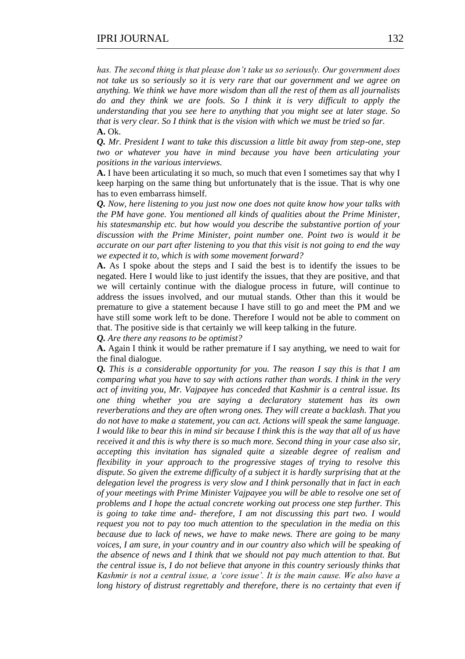*has. The second thing is that please don"t take us so seriously. Our government does not take us so seriously so it is very rare that our government and we agree on anything. We think we have more wisdom than all the rest of them as all journalists do and they think we are fools. So I think it is very difficult to apply the understanding that you see here to anything that you might see at later stage. So that is very clear. So I think that is the vision with which we must be tried so far.* **A.** Ok.

*Q. Mr. President I want to take this discussion a little bit away from step-one, step two or whatever you have in mind because you have been articulating your positions in the various interviews.*

**A.** I have been articulating it so much, so much that even I sometimes say that why I keep harping on the same thing but unfortunately that is the issue. That is why one has to even embarrass himself.

*Q. Now, here listening to you just now one does not quite know how your talks with the PM have gone. You mentioned all kinds of qualities about the Prime Minister, his statesmanship etc. but how would you describe the substantive portion of your discussion with the Prime Minister, point number one. Point two is would it be accurate on our part after listening to you that this visit is not going to end the way we expected it to, which is with some movement forward?*

**A.** As I spoke about the steps and I said the best is to identify the issues to be negated. Here I would like to just identify the issues, that they are positive, and that we will certainly continue with the dialogue process in future, will continue to address the issues involved, and our mutual stands. Other than this it would be premature to give a statement because I have still to go and meet the PM and we have still some work left to be done. Therefore I would not be able to comment on that. The positive side is that certainly we will keep talking in the future.

*Q. Are there any reasons to be optimist?*

**A.** Again I think it would be rather premature if I say anything, we need to wait for the final dialogue.

*Q. This is a considerable opportunity for you. The reason I say this is that I am comparing what you have to say with actions rather than words. I think in the very act of inviting you, Mr. Vajpayee has conceded that Kashmir is a central issue. Its one thing whether you are saying a declaratory statement has its own reverberations and they are often wrong ones. They will create a backlash. That you do not have to make a statement, you can act. Actions will speak the same language. I would like to bear this in mind sir because I think this is the way that all of us have received it and this is why there is so much more. Second thing in your case also sir, accepting this invitation has signaled quite a sizeable degree of realism and flexibility in your approach to the progressive stages of trying to resolve this dispute. So given the extreme difficulty of a subject it is hardly surprising that at the delegation level the progress is very slow and I think personally that in fact in each of your meetings with Prime Minister Vajpayee you will be able to resolve one set of problems and I hope the actual concrete working out process one step further. This is going to take time and- therefore, I am not discussing this part two. I would request you not to pay too much attention to the speculation in the media on this because due to lack of news, we have to make news. There are going to be many voices, I am sure, in your country and in our country also which will be speaking of the absence of news and I think that we should not pay much attention to that. But the central issue is, I do not believe that anyone in this country seriously thinks that Kashmir is not a central issue, a "core issue". It is the main cause. We also have a long history of distrust regrettably and therefore, there is no certainty that even if*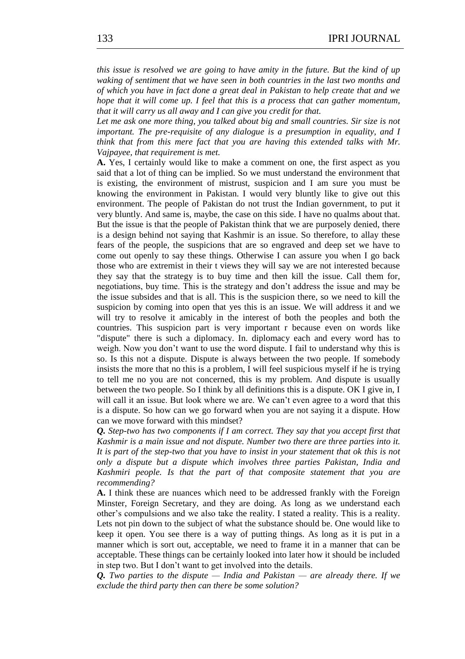*this issue is resolved we are going to have amity in the future. But the kind of up waking of sentiment that we have seen in both countries in the last two months and of which you have in fact done a great deal in Pakistan to help create that and we hope that it will come up. I feel that this is a process that can gather momentum, that it will carry us all away and I can give you credit for that.*

*Let me ask one more thing, you talked about big and small countries. Sir size is not important. The pre-requisite of any dialogue is a presumption in equality, and I think that from this mere fact that you are having this extended talks with Mr. Vajpayee, that requirement is met.*

**A.** Yes, I certainly would like to make a comment on one, the first aspect as you said that a lot of thing can be implied. So we must understand the environment that is existing, the environment of mistrust, suspicion and I am sure you must be knowing the environment in Pakistan. I would very bluntly like to give out this environment. The people of Pakistan do not trust the Indian government, to put it very bluntly. And same is, maybe, the case on this side. I have no qualms about that. But the issue is that the people of Pakistan think that we are purposely denied, there is a design behind not saying that Kashmir is an issue. So therefore, to allay these fears of the people, the suspicions that are so engraved and deep set we have to come out openly to say these things. Otherwise I can assure you when I go back those who are extremist in their t views they will say we are not interested because they say that the strategy is to buy time and then kill the issue. Call them for, negotiations, buy time. This is the strategy and don't address the issue and may be the issue subsides and that is all. This is the suspicion there, so we need to kill the suspicion by coming into open that yes this is an issue. We will address it and we will try to resolve it amicably in the interest of both the peoples and both the countries. This suspicion part is very important r because even on words like "dispute" there is such a diplomacy. In. diplomacy each and every word has to weigh. Now you don't want to use the word dispute. I fail to understand why this is so. Is this not a dispute. Dispute is always between the two people. If somebody insists the more that no this is a problem, I will feel suspicious myself if he is trying to tell me no you are not concerned, this is my problem. And dispute is usually between the two people. So I think by all definitions this is a dispute. OK I give in, I will call it an issue. But look where we are. We can't even agree to a word that this is a dispute. So how can we go forward when you are not saying it a dispute. How can we move forward with this mindset?

*Q. Step-two has two components if I am correct. They say that you accept first that Kashmir is a main issue and not dispute. Number two there are three parties into it. It is part of the step-two that you have to insist in your statement that ok this is not only a dispute but a dispute which involves three parties Pakistan, India and Kashmiri people. Is that the part of that composite statement that you are recommending?*

**A.** I think these are nuances which need to be addressed frankly with the Foreign Minster, Foreign Secretary, and they are doing. As long as we understand each other's compulsions and we also take the reality. I stated a reality. This is a reality. Lets not pin down to the subject of what the substance should be. One would like to keep it open. You see there is a way of putting things. As long as it is put in a manner which is sort out, acceptable, we need to frame it in a manner that can be acceptable. These things can be certainly looked into later how it should be included in step two. But I don't want to get involved into the details.

*Q. Two parties to the dispute — India and Pakistan — are already there. If we exclude the third party then can there be some solution?*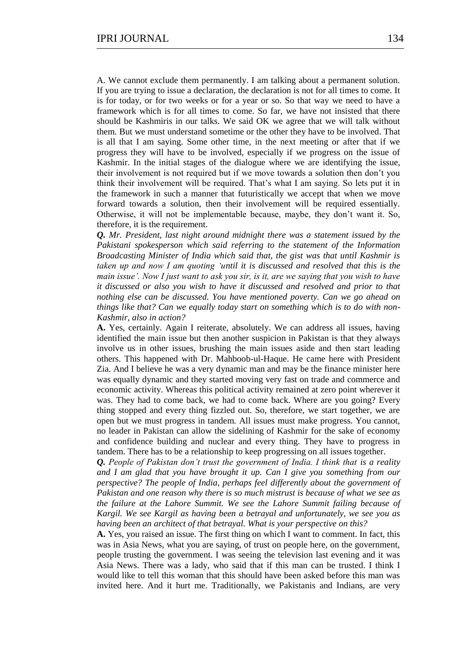A. We cannot exclude them permanently. I am talking about a permanent solution. If you are trying to issue a declaration, the declaration is not for all times to come. It is for today, or for two weeks or for a year or so. So that way we need to have a framework which is for all times to come. So far, we have not insisted that there should be Kashmiris in our talks. We said OK we agree that we will talk without them. But we must understand sometime or the other they have to be involved. That is all that I am saying. Some other time, in the next meeting or after that if we progress they will have to be involved, especially if we progress on the issue of Kashmir. In the initial stages of the dialogue where we are identifying the issue, their involvement is not required but if we move towards a solution then don't you think their involvement will be required. That's what I am saying. So lets put it in the framework in such a manner that futuristically we accept that when we move forward towards a solution, then their involvement will be required essentially. Otherwise, it will not be implementable because, maybe, they don't want it. So, therefore, it is the requirement.

*Q. Mr. President, last night around midnight there was a statement issued by the Pakistani spokesperson which said referring to the statement of the Information Broadcasting Minister of India which said that, the gist was that until Kashmir is taken up and now I am quoting "until it is discussed and resolved that this is the main issue". Now I just want to ask you sir, is it, are we saying that you wish to have it discussed or also you wish to have it discussed and resolved and prior to that nothing else can be discussed. You have mentioned poverty. Can we go ahead on things like that? Can we equally today start on something which is to do with non-Kashmir, also in action?*

**A.** Yes, certainly. Again I reiterate, absolutely. We can address all issues, having identified the main issue but then another suspicion in Pakistan is that they always involve us in other issues, brushing the main issues aside and then start leading others. This happened with Dr. Mahboob-ul-Haque. He came here with President Zia. And I believe he was a very dynamic man and may be the finance minister here was equally dynamic and they started moving very fast on trade and commerce and economic activity. Whereas this political activity remained at zero point wherever it was. They had to come back, we had to come back. Where are you going? Every thing stopped and every thing fizzled out. So, therefore, we start together, we are open but we must progress in tandem. All issues must make progress. You cannot, no leader in Pakistan can allow the sidelining of Kashmir for the sake of economy and confidence building and nuclear and every thing. They have to progress in tandem. There has to be a relationship to keep progressing on all issues together.

*Q. People of Pakistan don"t trust the government of India. I think that is a reality and I am glad that you have brought it up. Can I give you something from our perspective? The people of India, perhaps feel differently about the government of Pakistan and one reason why there is so much mistrust is because of what we see as the failure at the Lahore Summit. We see the Lahore Summit failing because of Kargil. We see Kargil as having been a betrayal and unfortunately, we see you as having been an architect of that betrayal. What is your perspective on this?*

**A.** Yes, you raised an issue. The first thing on which I want to comment. In fact, this was in Asia News, what you are saying, of trust on people here, on the government, people trusting the government. I was seeing the television last evening and it was Asia News. There was a lady, who said that if this man can be trusted. I think I would like to tell this woman that this should have been asked before this man was invited here. And it hurt me. Traditionally, we Pakistanis and Indians, are very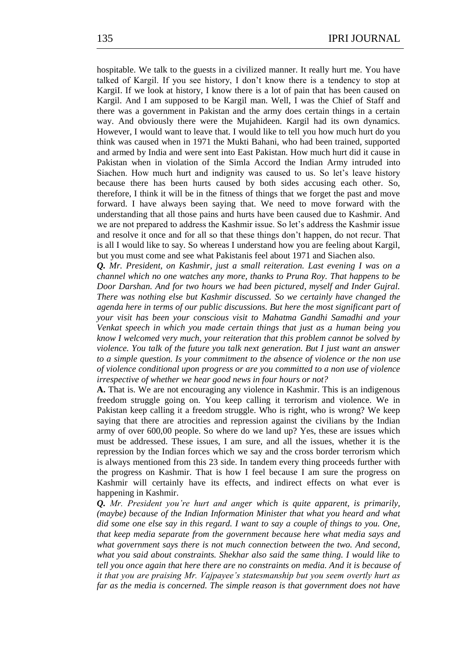hospitable. We talk to the guests in a civilized manner. It really hurt me. You have talked of Kargil. If you see history, I don't know there is a tendency to stop at KargiI. If we look at history, I know there is a lot of pain that has been caused on Kargil. And I am supposed to be Kargil man. Well, I was the Chief of Staff and there was a government in Pakistan and the army does certain things in a certain way. And obviously there were the Mujahideen. Kargil had its own dynamics. However, I would want to leave that. I would like to tell you how much hurt do you think was caused when in 1971 the Mukti Bahani, who had been trained, supported and armed by India and were sent into East Pakistan. How much hurt did it cause in Pakistan when in violation of the Simla Accord the Indian Army intruded into Siachen. How much hurt and indignity was caused to us. So let's leave history because there has been hurts caused by both sides accusing each other. So, therefore, I think it will be in the fitness of things that we forget the past and move forward. I have always been saying that. We need to move forward with the understanding that all those pains and hurts have been caused due to Kashmir. And we are not prepared to address the Kashmir issue. So let's address the Kashmir issue and resolve it once and for all so that these things don't happen, do not recur. That is all I would like to say. So whereas I understand how you are feeling about Kargil, but you must come and see what Pakistanis feel about 1971 and Siachen also.

*Q. Mr. President, on Kashmir, just a small reiteration. Last evening I was on a channel which no one watches any more, thanks to Pruna Roy. That happens to be Door Darshan. And for two hours we had been pictured, myself and Inder Gujral. There was nothing else but Kashmir discussed. So we certainly have changed the agenda here in terms of our public discussions. But here the most significant part of your visit has been your conscious visit to Mahatma Gandhi Samadhi and your Venkat speech in which you made certain things that just as a human being you know I welcomed very much, your reiteration that this problem cannot be solved by violence. You talk of the future you talk next generation. But I just want an answer to a simple question. Is your commitment to the absence of violence or the non use of violence conditional upon progress or are you committed to a non use of violence irrespective of whether we hear good news in four hours or not?*

**A.** That is. We are not encouraging any violence in Kashmir. This is an indigenous freedom struggle going on. You keep calling it terrorism and violence. We in Pakistan keep calling it a freedom struggle. Who is right, who is wrong? We keep saying that there are atrocities and repression against the civilians by the Indian army of over 600,00 people. So where do we land up? Yes, these are issues which must be addressed. These issues, I am sure, and all the issues, whether it is the repression by the Indian forces which we say and the cross border terrorism which is always mentioned from this 23 side. In tandem every thing proceeds further with the progress on Kashmir. That is how I feel because I am sure the progress on Kashmir will certainly have its effects, and indirect effects on what ever is happening in Kashmir.

*Q. Mr. President you"re hurt and anger which is quite apparent, is primarily, (maybe) because of the Indian Information Minister that what you heard and what did some one else say in this regard. I want to say a couple of things to you. One, that keep media separate from the government because here what media says and what government says there is not much connection between the two. And second, what you said about constraints. Shekhar also said the same thing. I would like to tell you once again that here there are no constraints on media. And it is because of it that you are praising Mr. Vajpayee"s statesmanship but you seem overtly hurt as far as the media is concerned. The simple reason is that government does not have*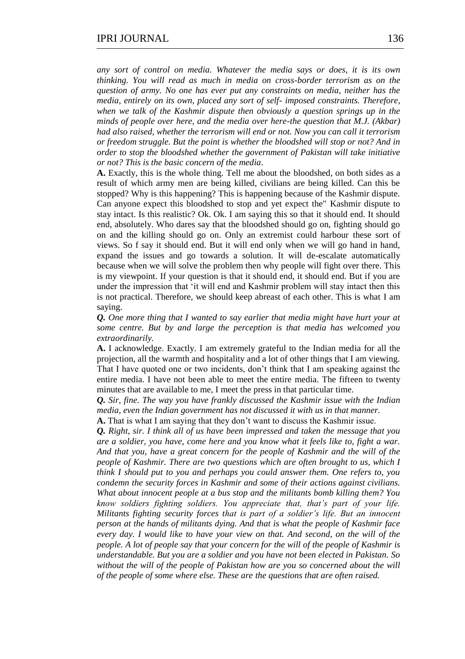*any sort of control on media. Whatever the media says or does, it is its own thinking. You will read as much in media on cross-border terrorism as on the question of army. No one has ever put any constraints on media, neither has the media, entirely on its own, placed any sort of self- imposed constraints. Therefore, when we talk of the Kashmir dispute then obviously a question springs up in the minds of people over here, and the media over here-the question that M.J. (Akbar) had also raised, whether the terrorism will end or not. Now you can call it terrorism or freedom struggle. But the point is whether the bloodshed will stop or not? And in order to stop the bloodshed whether the government of Pakistan will take initiative or not? This is the basic concern of the media*.

**A.** Exactly, this is the whole thing. Tell me about the bloodshed, on both sides as a result of which army men are being killed, civilians are being killed. Can this be stopped? Why is this happening? This is happening because of the Kashmir dispute. Can anyone expect this bloodshed to stop and yet expect the" Kashmir dispute to stay intact. Is this realistic? Ok. Ok. I am saying this so that it should end. It should end, absolutely. Who dares say that the bloodshed should go on, fighting should go on and the killing should go on. Only an extremist could harbour these sort of views. So f say it should end. But it will end only when we will go hand in hand, expand the issues and go towards a solution. It will de-escalate automatically because when we will solve the problem then why people will fight over there. This is my viewpoint. If your question is that it should end, it should end. But if you are under the impression that ‗it will end and Kashmir problem will stay intact then this is not practical. Therefore, we should keep abreast of each other. This is what I am saying.

*Q. One more thing that I wanted to say earlier that media might have hurt your at some centre. But by and large the perception is that media has welcomed you extraordinarily.*

**A.** I acknowledge. Exactly. I am extremely grateful to the Indian media for all the projection, all the warmth and hospitality and a lot of other things that I am viewing. That I have quoted one or two incidents, don't think that I am speaking against the entire media. I have not been able to meet the entire media. The fifteen to twenty minutes that are available to me, I meet the press in that particular time.

*Q. Sir, fine. The way you have frankly discussed the Kashmir issue with the Indian media, even the Indian government has not discussed it with us in that manner.*

**A.** That is what I am saying that they don't want to discuss the Kashmir issue.

*Q. Right, sir. I think all of us have been impressed and taken the message that you are a soldier, you have, come here and you know what it feels like to, fight a war. And that you, have a great concern for the people of Kashmir and the will of the people of Kashmir. There are two questions which are often brought to us, which I think I should put to you and perhaps you could answer them. One refers to, you condemn the security forces in Kashmir and some of their actions against civilians. What about innocent people at a bus stop and the militants bomb killing them? You know soldiers fighting soldiers. You appreciate that, that"s part of your life. Militants fighting security forces that is part of a soldier"s life. But an innocent person at the hands of militants dying. And that is what the people of Kashmir face every day. I would like to have your view on that. And second, on the will of the people. A lot of people say that your concern for the will of the people of Kashmir is understandable. But you are a soldier and you have not been elected in Pakistan. So*  without the will of the people of Pakistan how are you so concerned about the will *of the people of some where else. These are the questions that are often raised.*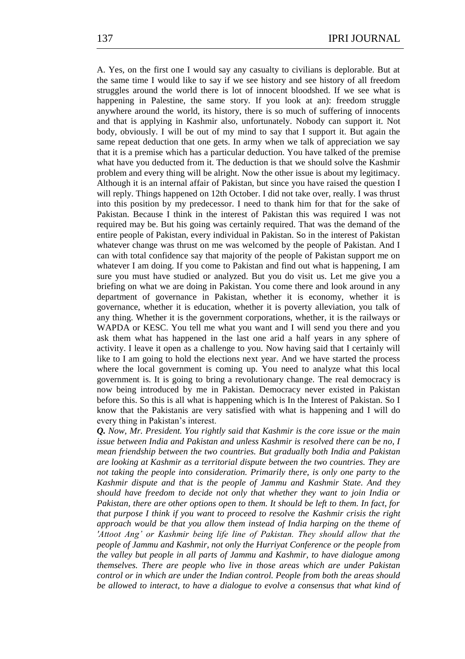A. Yes, on the first one I would say any casualty to civilians is deplorable. But at the same time I would like to say if we see history and see history of all freedom struggles around the world there is lot of innocent bloodshed. If we see what is happening in Palestine, the same story. If you look at an): freedom struggle anywhere around the world, its history, there is so much of suffering of innocents and that is applying in Kashmir also, unfortunately. Nobody can support it. Not body, obviously. I will be out of my mind to say that I support it. But again the same repeat deduction that one gets. In army when we talk of appreciation we say that it is a premise which has a particular deduction. You have talked of the premise what have you deducted from it. The deduction is that we should solve the Kashmir problem and every thing will be alright. Now the other issue is about my legitimacy. Although it is an internal affair of Pakistan, but since you have raised the question I will reply. Things happened on 12th October. I did not take over, really. I was thrust into this position by my predecessor. I need to thank him for that for the sake of Pakistan. Because I think in the interest of Pakistan this was required I was not required may be. But his going was certainly required. That was the demand of the entire people of Pakistan, every individual in Pakistan. So in the interest of Pakistan whatever change was thrust on me was welcomed by the people of Pakistan. And I can with total confidence say that majority of the people of Pakistan support me on whatever I am doing. If you come to Pakistan and find out what is happening, I am sure you must have studied or analyzed. But you do visit us. Let me give you a briefing on what we are doing in Pakistan. You come there and look around in any department of governance in Pakistan, whether it is economy, whether it is governance, whether it is education, whether it is poverty alleviation, you talk of any thing. Whether it is the government corporations, whether, it is the railways or WAPDA or KESC. You tell me what you want and I will send you there and you ask them what has happened in the last one arid a half years in any sphere of activity. I leave it open as a challenge to you. Now having said that I certainly will like to I am going to hold the elections next year. And we have started the process where the local government is coming up. You need to analyze what this local government is. It is going to bring a revolutionary change. The real democracy is now being introduced by me in Pakistan. Democracy never existed in Pakistan before this. So this is all what is happening which is In the Interest of Pakistan. So I know that the Pakistanis are very satisfied with what is happening and I will do every thing in Pakistan's interest.

*Q. Now, Mr. President. You rightly said that Kashmir is the core issue or the main issue between India and Pakistan and unless Kashmir is resolved there can be no, I mean friendship between the two countries. But gradually both India and Pakistan are looking at Kashmir as a territorial dispute between the two countries. They are not taking the people into consideration. Primarily there, is only one party to the Kashmir dispute and that is the people of Jammu and Kashmir State. And they should have freedom to decide not only that whether they want to join India or Pakistan, there are other options open to them. It should be left to them. In fact, for that purpose I think if you want to proceed to resolve the Kashmir crisis the right approach would be that you allow them instead of India harping on the theme of 'Attoot Ang" or Kashmir being life line of Pakistan. They should allow that the people of Jammu and Kashmir, not only the Hurriyat Conference or the people from the valley but people in all parts of Jammu and Kashmir, to have dialogue among themselves. There are people who live in those areas which are under Pakistan control or in which are under the Indian control. People from both the areas should be allowed to interact, to have a dialogue to evolve a consensus that what kind of*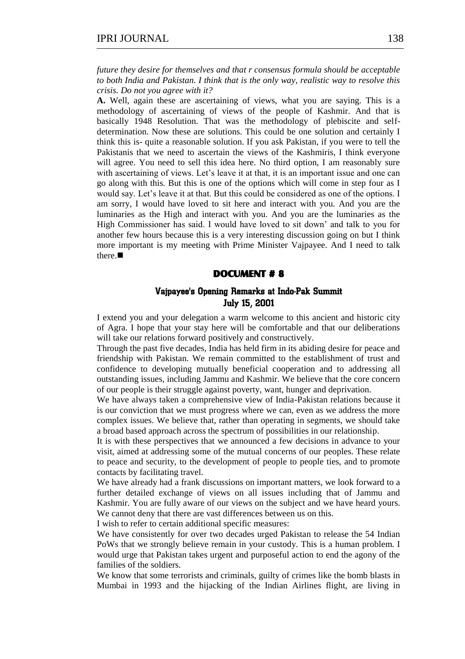*future they desire for themselves and that r consensus formula should be acceptable to both India and Pakistan. I think that is the only way, realistic way to resolve this crisis. Do not you agree with it?*

**A.** Well, again these are ascertaining of views, what you are saying. This is a methodology of ascertaining of views of the people of Kashmir. And that is basically 1948 Resolution. That was the methodology of plebiscite and selfdetermination. Now these are solutions. This could be one solution and certainly I think this is- quite a reasonable solution. If you ask Pakistan, if you were to tell the Pakistanis that we need to ascertain the views of the Kashmiris, I think everyone will agree. You need to sell this idea here. No third option, I am reasonably sure with ascertaining of views. Let's leave it at that, it is an important issue and one can go along with this. But this is one of the options which will come in step four as I would say. Let's leave it at that. But this could be considered as one of the options. I am sorry, I would have loved to sit here and interact with you. And you are the luminaries as the High and interact with you. And you are the luminaries as the High Commissioner has said. I would have loved to sit down' and talk to you for another few hours because this is a very interesting discussion going on but I think more important is my meeting with Prime Minister Vajpayee. And I need to talk there.

### DOCUMENT # 8

### Vajpayee's Opening Remarks at Indo-Pak Summit July 15, 2001

I extend you and your delegation a warm welcome to this ancient and historic city of Agra. I hope that your stay here will be comfortable and that our deliberations will take our relations forward positively and constructively.

Through the past five decades, India has held firm in its abiding desire for peace and friendship with Pakistan. We remain committed to the establishment of trust and confidence to developing mutually beneficial cooperation and to addressing all outstanding issues, including Jammu and Kashmir. We believe that the core concern of our people is their struggle against poverty, want, hunger and deprivation.

We have always taken a comprehensive view of India-Pakistan relations because it is our conviction that we must progress where we can, even as we address the more complex issues. We believe that, rather than operating in segments, we should take a broad based approach across the spectrum of possibilities in our relationship.

It is with these perspectives that we announced a few decisions in advance to your visit, aimed at addressing some of the mutual concerns of our peoples. These relate to peace and security, to the development of people to people ties, and to promote contacts by facilitating travel.

We have already had a frank discussions on important matters, we look forward to a further detailed exchange of views on all issues including that of Jammu and Kashmir. You are fully aware of our views on the subject and we have heard yours. We cannot deny that there are vast differences between us on this.

I wish to refer to certain additional specific measures:

We have consistently for over two decades urged Pakistan to release the 54 Indian PoWs that we strongly believe remain in your custody. This is a human problem. I would urge that Pakistan takes urgent and purposeful action to end the agony of the families of the soldiers.

We know that some terrorists and criminals, guilty of crimes like the bomb blasts in Mumbai in 1993 and the hijacking of the Indian Airlines flight, are living in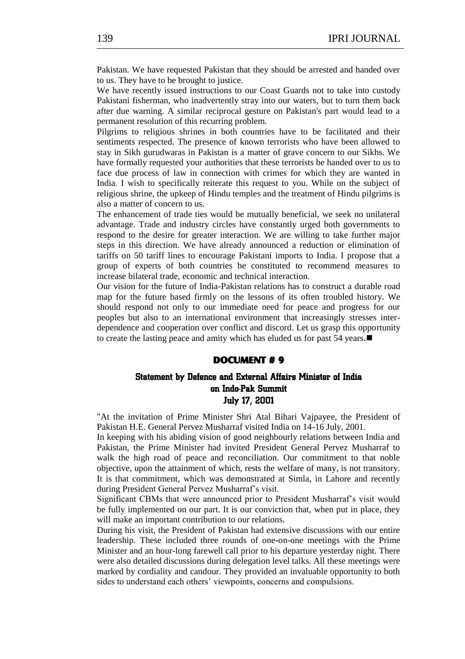Pakistan. We have requested Pakistan that they should be arrested and handed over to us. They have to be brought to justice.

We have recently issued instructions to our Coast Guards not to take into custody Pakistani fisherman, who inadvertently stray into our waters, but to turn them back after due warning. A similar reciprocal gesture on Pakistan's part would lead to a permanent resolution of this recurring problem.

Pilgrims to religious shrines in both countries have to be facilitated and their sentiments respected. The presence of known terrorists who have been allowed to stay in Sikh gurudwaras in Pakistan is a matter of grave concern to our Sikhs. We have formally requested your authorities that these terrorists be handed over to us to face due process of law in connection with crimes for which they are wanted in India. I wish to specifically reiterate this request to you. While on the subject of religious shrine, the upkeep of Hindu temples and the treatment of Hindu pilgrims is also a matter of concern to us.

The enhancement of trade ties would be mutually beneficial, we seek no unilateral advantage. Trade and industry circles have constantly urged both governments to respond to the desire for greater interaction. We are willing to take further major steps in this direction. We have already announced a reduction or elimination of tariffs on 50 tariff lines to encourage Pakistani imports to India. I propose that a group of experts of both countries be constituted to recommend measures to increase bilateral trade, economic and technical interaction.

Our vision for the future of India-Pakistan relations has to construct a durable road map for the future based firmly on the lessons of its often troubled history. We should respond not only to our immediate need for peace and progress for our peoples but also to an international environment that increasingly stresses interdependence and cooperation over conflict and discord. Let us grasp this opportunity to create the lasting peace and amity which has eluded us for past 54 years.

### DOCUMENT # 9

## Statement by Defence and External Affairs Minister of India on Indo-Pak Summit July 17, 2001

"At the invitation of Prime Minister Shri Atal Bihari Vajpayee, the President of Pakistan H.E. General Pervez Musharraf visited India on 14-16 July, 2001.

In keeping with his abiding vision of good neighbourly relations between India and Pakistan, the Prime Minister had invited President General Pervez Musharraf to walk the high road of peace and reconciliation. Our commitment to that noble objective, upon the attainment of which, rests the welfare of many, is not transitory. It is that commitment, which was demonstrated at Simla, in Lahore and recently during President General Pervez Musharraf's visit.

Significant CBMs that were announced prior to President Musharraf's visit would be fully implemented on our part. It is our conviction that, when put in place, they will make an important contribution to our relations.

During his visit, the President of Pakistan had extensive discussions with our entire leadership. These included three rounds of one-on-one meetings with the Prime Minister and an hour-long farewell call prior to his departure yesterday night. There were also detailed discussions during delegation level talks. All these meetings were marked by cordiality and candour. They provided an invaluable opportunity to both sides to understand each others' viewpoints, concerns and compulsions.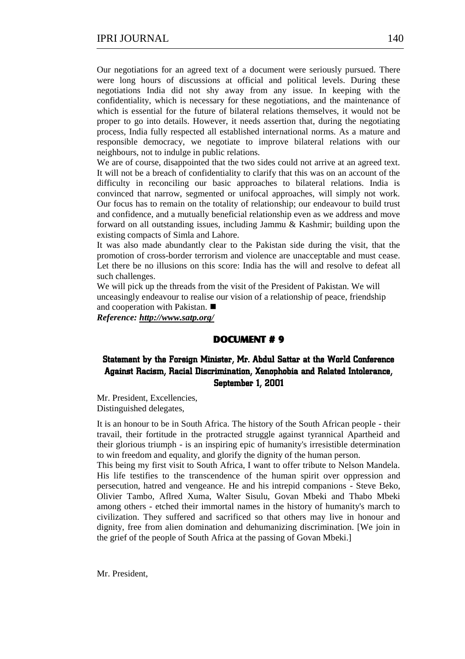Our negotiations for an agreed text of a document were seriously pursued. There were long hours of discussions at official and political levels. During these negotiations India did not shy away from any issue. In keeping with the confidentiality, which is necessary for these negotiations, and the maintenance of which is essential for the future of bilateral relations themselves, it would not be proper to go into details. However, it needs assertion that, during the negotiating process, India fully respected all established international norms. As a mature and responsible democracy, we negotiate to improve bilateral relations with our neighbours, not to indulge in public relations.

We are of course, disappointed that the two sides could not arrive at an agreed text. It will not be a breach of confidentiality to clarify that this was on an account of the difficulty in reconciling our basic approaches to bilateral relations. India is convinced that narrow, segmented or unifocal approaches, will simply not work. Our focus has to remain on the totality of relationship; our endeavour to build trust and confidence, and a mutually beneficial relationship even as we address and move forward on all outstanding issues, including Jammu & Kashmir; building upon the existing compacts of Simla and Lahore.

It was also made abundantly clear to the Pakistan side during the visit, that the promotion of cross-border terrorism and violence are unacceptable and must cease. Let there be no illusions on this score: India has the will and resolve to defeat all such challenges.

We will pick up the threads from the visit of the President of Pakistan. We will unceasingly endeavour to realise our vision of a relationship of peace, friendship and cooperation with Pakistan.

*Reference: http://www.satp.org/*

## DOCUMENT # 9

## Statement by the Foreign Minister, Mr. Abdul Sattar at the World Conference Against Racism, Racial Discrimination, Xenophobia and Related Intolerance, September 1, 2001

Mr. President, Excellencies, Distinguished delegates,

It is an honour to be in South Africa. The history of the South African people - their travail, their fortitude in the protracted struggle against tyrannical Apartheid and their glorious triumph - is an inspiring epic of humanity's irresistible determination to win freedom and equality, and glorify the dignity of the human person.

This being my first visit to South Africa, I want to offer tribute to Nelson Mandela. His life testifies to the transcendence of the human spirit over oppression and persecution, hatred and vengeance. He and his intrepid companions - Steve Beko, Olivier Tambo, Aflred Xuma, Walter Sisulu, Govan Mbeki and Thabo Mbeki among others - etched their immortal names in the history of humanity's march to civilization. They suffered and sacrificed so that others may live in honour and dignity, free from alien domination and dehumanizing discrimination. [We join in the grief of the people of South Africa at the passing of Govan Mbeki.]

Mr. President,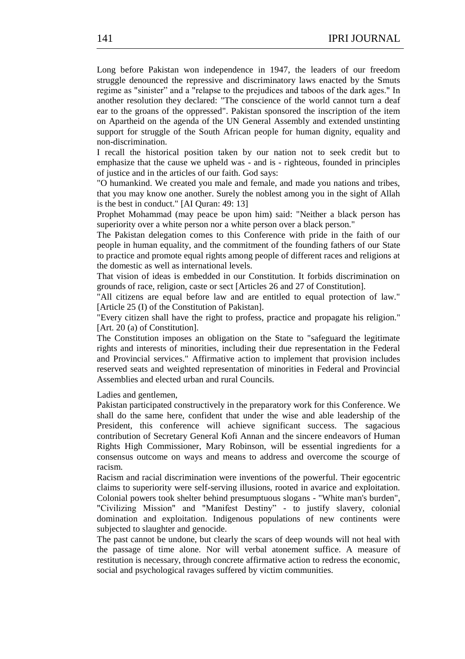Long before Pakistan won independence in 1947, the leaders of our freedom struggle denounced the repressive and discriminatory laws enacted by the Smuts regime as "sinister" and a "relapse to the prejudices and taboos of the dark ages." In another resolution they declared: "The conscience of the world cannot turn a deaf ear to the groans of the oppressed". Pakistan sponsored the inscription of the item on Apartheid on the agenda of the UN General Assembly and extended unstinting support for struggle of the South African people for human dignity, equality and non-discrimination.

I recall the historical position taken by our nation not to seek credit but to emphasize that the cause we upheld was - and is - righteous, founded in principles of justice and in the articles of our faith. God says:

"O humankind. We created you male and female, and made you nations and tribes, that you may know one another. Surely the noblest among you in the sight of Allah is the best in conduct." [AI Quran: 49: 13]

Prophet Mohammad (may peace be upon him) said: "Neither a black person has superiority over a white person nor a white person over a black person."

The Pakistan delegation comes to this Conference with pride in the faith of our people in human equality, and the commitment of the founding fathers of our State to practice and promote equal rights among people of different races and religions at the domestic as well as international levels.

That vision of ideas is embedded in our Constitution. It forbids discrimination on grounds of race, religion, caste or sect [Articles 26 and 27 of Constitution].

"All citizens are equal before law and are entitled to equal protection of law." [Article 25 (I) of the Constitution of Pakistan].

"Every citizen shall have the right to profess, practice and propagate his religion." [Art. 20 (a) of Constitution].

The Constitution imposes an obligation on the State to "safeguard the legitimate rights and interests of minorities, including their due representation in the Federal and Provincial services." Affirmative action to implement that provision includes reserved seats and weighted representation of minorities in Federal and Provincial Assemblies and elected urban and rural Councils.

Ladies and gentlemen,

Pakistan participated constructively in the preparatory work for this Conference. We shall do the same here, confident that under the wise and able leadership of the President, this conference will achieve significant success. The sagacious contribution of Secretary General Kofi Annan and the sincere endeavors of Human Rights High Commissioner, Mary Robinson, will be essential ingredients for a consensus outcome on ways and means to address and overcome the scourge of racism.

Racism and racial discrimination were inventions of the powerful. Their egocentric claims to superiority were self-serving illusions, rooted in avarice and exploitation. Colonial powers took shelter behind presumptuous slogans - "White man's burden", "Civilizing Mission" and "Manifest Destiny" - to justify slavery, colonial domination and exploitation. Indigenous populations of new continents were subjected to slaughter and genocide.

The past cannot be undone, but clearly the scars of deep wounds will not heal with the passage of time alone. Nor will verbal atonement suffice. A measure of restitution is necessary, through concrete affirmative action to redress the economic, social and psychological ravages suffered by victim communities.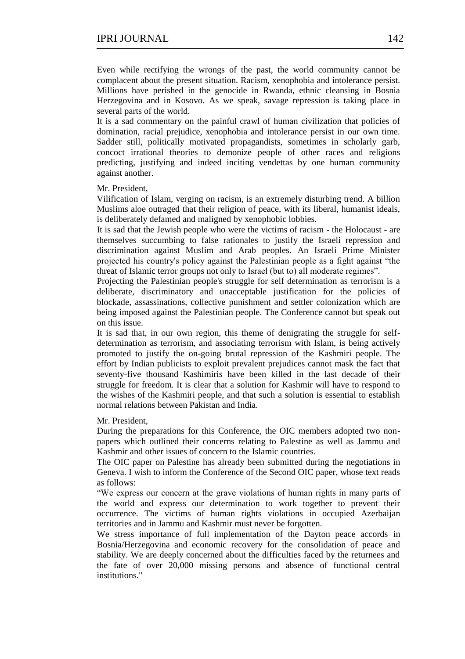Even while rectifying the wrongs of the past, the world community cannot be complacent about the present situation. Racism, xenophobia and intolerance persist. Millions have perished in the genocide in Rwanda, ethnic cleansing in Bosnia Herzegovina and in Kosovo. As we speak, savage repression is taking place in several parts of the world.

It is a sad commentary on the painful crawl of human civilization that policies of domination, racial prejudice, xenophobia and intolerance persist in our own time. Sadder still, politically motivated propagandists, sometimes in scholarly garb, concoct irrational theories to demonize people of other races and religions predicting, justifying and indeed inciting vendettas by one human community against another.

Mr. President,

Vilification of Islam, verging on racism, is an extremely disturbing trend. A billion Muslims aloe outraged that their religion of peace, with its liberal, humanist ideals, is deliberately defamed and maligned by xenophobic lobbies.

It is sad that the Jewish people who were the victims of racism - the Holocaust - are themselves succumbing to false rationales to justify the Israeli repression and discrimination against Muslim and Arab peoples. An Israeli Prime Minister projected his country's policy against the Palestinian people as a fight against "the threat of Islamic terror groups not only to Israel (but to) all moderate regimes".

Projecting the Palestinian people's struggle for self determination as terrorism is a deliberate, discriminatory and unacceptable justification for the policies of blockade, assassinations, collective punishment and settler colonization which are being imposed against the Palestinian people. The Conference cannot but speak out on this issue.

It is sad that, in our own region, this theme of denigrating the struggle for selfdetermination as terrorism, and associating terrorism with Islam, is being actively promoted to justify the on-going brutal repression of the Kashmiri people. The effort by Indian publicists to exploit prevalent prejudices cannot mask the fact that seventy-five thousand Kashimiris have been killed in the last decade of their struggle for freedom. It is clear that a solution for Kashmir will have to respond to the wishes of the Kashmiri people, and that such a solution is essential to establish normal relations between Pakistan and India.

Mr. President,

During the preparations for this Conference, the OIC members adopted two nonpapers which outlined their concerns relating to Palestine as well as Jammu and Kashmir and other issues of concern to the Islamic countries.

The OIC paper on Palestine has already been submitted during the negotiations in Geneva. I wish to inform the Conference of the Second OIC paper, whose text reads as follows:

―We express our concern at the grave violations of human rights in many parts of the world and express our determination to work together to prevent their occurrence. The victims of human rights violations in occupied Azerbaijan territories and in Jammu and Kashmir must never be forgotten.

We stress importance of full implementation of the Dayton peace accords in Bosnia/Herzegovina and economic recovery for the consolidation of peace and stability. We are deeply concerned about the difficulties faced by the returnees and the fate of over 20,000 missing persons and absence of functional central institutions."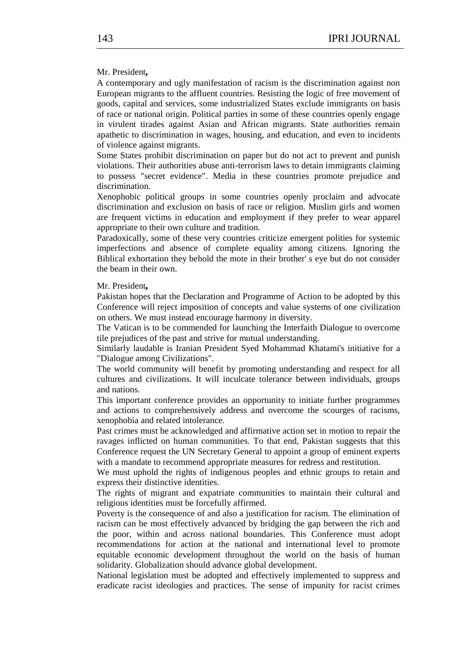#### Mr. President*,*

A contemporary and ugly manifestation of racism is the discrimination against non European migrants to the affluent countries. Resisting the logic of free movement of goods, capital and services, some industrialized States exclude immigrants on basis of race or national origin. Political parties in some of these countries openly engage in virulent tirades against Asian and African migrants. State authorities remain apathetic to discrimination in wages, housing, and education, and even to incidents of violence against migrants.

Some States prohibit discrimination on paper but do not act to prevent and punish violations. Their authorities abuse anti-terrorism laws to detain immigrants claiming to possess "secret evidence". Media in these countries promote prejudice and discrimination.

Xenophobic political groups in some countries openly proclaim and advocate discrimination and exclusion on basis of race or religion. Muslim girls and women are frequent victims in education and employment if they prefer to wear apparel appropriate to their own culture and tradition.

Paradoxically, some of these very countries criticize emergent polities for systemic imperfections and absence of complete equality among citizens. Ignoring the Biblical exhortation they behold the mote in their brother' s eye but do not consider the beam in their own.

#### Mr. President*,*

Pakistan hopes that the Declaration and Programme of Action to be adopted by this Conference will reject imposition of concepts and value systems of one civilization on others. We must instead encourage harmony in diversity.

The Vatican is to be commended for launching the Interfaith Dialogue to overcome tile prejudices of the past and strive for mutual understanding.

Similarly laudable is Iranian President Syed Mohammad Khatami's initiative for a "Dialogue among Civilizations".

The world community will benefit by promoting understanding and respect for all cultures and civilizations. It will inculcate tolerance between individuals, groups and nations.

This important conference provides an opportunity to initiate further programmes and actions to comprehensively address and overcome the scourges of racisms, xenophobia and related intolerance.

Past crimes must be acknowledged and affirmative action set in motion to repair the ravages inflicted on human communities. To that end, Pakistan suggests that this Conference request the UN Secretary General to appoint a group of eminent experts with a mandate to recommend appropriate measures for redress and restitution.

We must uphold the rights of indigenous peoples and ethnic groups to retain and express their distinctive identities.

The rights of migrant and expatriate communities to maintain their cultural and religious identities must be forcefully affirmed.

Poverty is the consequence of and also a justification for racism. The elimination of racism can be most effectively advanced by bridging the gap between the rich and the poor, within and across national boundaries. This Conference must adopt recommendations for action at the national and international level to promote equitable economic development throughout the world on the basis of human solidarity. Globalization should advance global development.

National legislation must be adopted and effectively implemented to suppress and eradicate racist ideologies and practices. The sense of impunity for racist crimes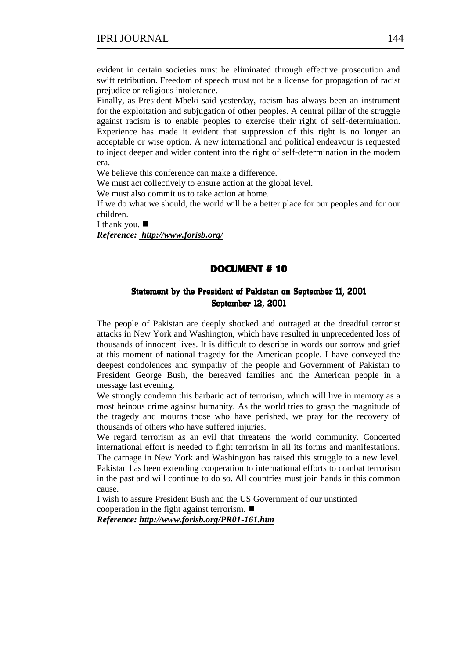evident in certain societies must be eliminated through effective prosecution and swift retribution. Freedom of speech must not be a license for propagation of racist prejudice or religious intolerance.

Finally, as President Mbeki said yesterday, racism has always been an instrument for the exploitation and subjugation of other peoples. A central pillar of the struggle against racism is to enable peoples to exercise their right of self-determination. Experience has made it evident that suppression of this right is no longer an acceptable or wise option. A new international and political endeavour is requested to inject deeper and wider content into the right of self-determination in the modem era.

We believe this conference can make a difference.

We must act collectively to ensure action at the global level.

We must also commit us to take action at home.

If we do what we should, the world will be a better place for our peoples and for our children.

I thank you.

*Reference: http://www.forisb.org/*

## DOCUMENT # 10

## Statement by the President of Pakistan on September 11, 2001 September 12, 2001

The people of Pakistan are deeply shocked and outraged at the dreadful terrorist attacks in New York and Washington, which have resulted in unprecedented loss of thousands of innocent lives. It is difficult to describe in words our sorrow and grief at this moment of national tragedy for the American people. I have conveyed the deepest condolences and sympathy of the people and Government of Pakistan to President George Bush, the bereaved families and the American people in a message last evening.

We strongly condemn this barbaric act of terrorism, which will live in memory as a most heinous crime against humanity. As the world tries to grasp the magnitude of the tragedy and mourns those who have perished, we pray for the recovery of thousands of others who have suffered injuries.

We regard terrorism as an evil that threatens the world community. Concerted international effort is needed to fight terrorism in all its forms and manifestations. The carnage in New York and Washington has raised this struggle to a new level. Pakistan has been extending cooperation to international efforts to combat terrorism in the past and will continue to do so. All countries must join hands in this common cause.

I wish to assure President Bush and the US Government of our unstinted cooperation in the fight against terrorism. *Reference: http://www.forisb.org/PR01-161.htm*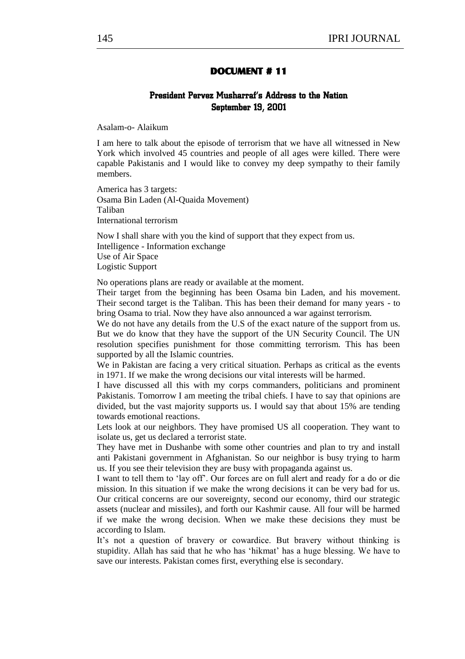### DOCUMENT # 11

## President Pervez Musharraf's Address to the Nation September 19, 2001

Asalam-o- Alaikum

I am here to talk about the episode of terrorism that we have all witnessed in New York which involved 45 countries and people of all ages were killed. There were capable Pakistanis and I would like to convey my deep sympathy to their family members.

America has 3 targets: Osama Bin Laden (Al-Quaida Movement) Taliban International terrorism

Now I shall share with you the kind of support that they expect from us. Intelligence - Information exchange Use of Air Space Logistic Support

No operations plans are ready or available at the moment.

Their target from the beginning has been Osama bin Laden, and his movement. Their second target is the Taliban. This has been their demand for many years - to bring Osama to trial. Now they have also announced a war against terrorism.

We do not have any details from the U.S of the exact nature of the support from us. But we do know that they have the support of the UN Security Council. The UN resolution specifies punishment for those committing terrorism. This has been supported by all the Islamic countries.

We in Pakistan are facing a very critical situation. Perhaps as critical as the events in 1971. If we make the wrong decisions our vital interests will be harmed.

I have discussed all this with my corps commanders, politicians and prominent Pakistanis. Tomorrow I am meeting the tribal chiefs. I have to say that opinions are divided, but the vast majority supports us. I would say that about 15% are tending towards emotional reactions.

Lets look at our neighbors. They have promised US all cooperation. They want to isolate us, get us declared a terrorist state.

They have met in Dushanbe with some other countries and plan to try and install anti Pakistani government in Afghanistan. So our neighbor is busy trying to harm us. If you see their television they are busy with propaganda against us.

I want to tell them to 'lay off'. Our forces are on full alert and ready for a do or die mission. In this situation if we make the wrong decisions it can be very bad for us. Our critical concerns are our sovereignty, second our economy, third our strategic assets (nuclear and missiles), and forth our Kashmir cause. All four will be harmed if we make the wrong decision. When we make these decisions they must be according to Islam.

It's not a question of bravery or cowardice. But bravery without thinking is stupidity. Allah has said that he who has ‗hikmat' has a huge blessing. We have to save our interests. Pakistan comes first, everything else is secondary.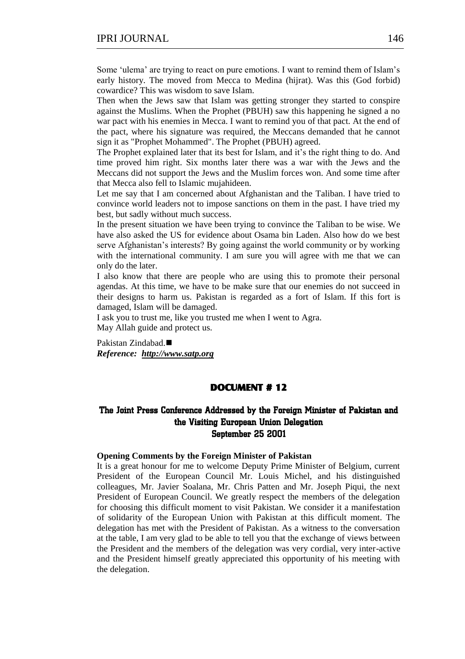Some 'ulema' are trying to react on pure emotions. I want to remind them of Islam's early history. The moved from Mecca to Medina (hijrat). Was this (God forbid) cowardice? This was wisdom to save Islam.

Then when the Jews saw that Islam was getting stronger they started to conspire against the Muslims. When the Prophet (PBUH) saw this happening he signed a no war pact with his enemies in Mecca. I want to remind you of that pact. At the end of the pact, where his signature was required, the Meccans demanded that he cannot sign it as "Prophet Mohammed". The Prophet (PBUH) agreed.

The Prophet explained later that its best for Islam, and it's the right thing to do. And time proved him right. Six months later there was a war with the Jews and the Meccans did not support the Jews and the Muslim forces won. And some time after that Mecca also fell to Islamic mujahideen.

Let me say that I am concerned about Afghanistan and the Taliban. I have tried to convince world leaders not to impose sanctions on them in the past. I have tried my best, but sadly without much success.

In the present situation we have been trying to convince the Taliban to be wise. We have also asked the US for evidence about Osama bin Laden. Also how do we best serve Afghanistan's interests? By going against the world community or by working with the international community. I am sure you will agree with me that we can only do the later.

I also know that there are people who are using this to promote their personal agendas. At this time, we have to be make sure that our enemies do not succeed in their designs to harm us. Pakistan is regarded as a fort of Islam. If this fort is damaged, Islam will be damaged.

I ask you to trust me, like you trusted me when I went to Agra. May Allah guide and protect us.

Pakistan Zindabad. *Reference: http://www.satp.org*

### DOCUMENT # 12

## The Joint Press Conference Addressed by the Foreign Minister of Pakistan and the Visiting European Union Delegation September 25 2001

#### **Opening Comments by the Foreign Minister of Pakistan**

It is a great honour for me to welcome Deputy Prime Minister of Belgium, current President of the European Council Mr. Louis Michel, and his distinguished colleagues, Mr. Javier Soalana, Mr. Chris Patten and Mr. Joseph Piqui, the next President of European Council. We greatly respect the members of the delegation for choosing this difficult moment to visit Pakistan. We consider it a manifestation of solidarity of the European Union with Pakistan at this difficult moment. The delegation has met with the President of Pakistan. As a witness to the conversation at the table, I am very glad to be able to tell you that the exchange of views between the President and the members of the delegation was very cordial, very inter-active and the President himself greatly appreciated this opportunity of his meeting with the delegation.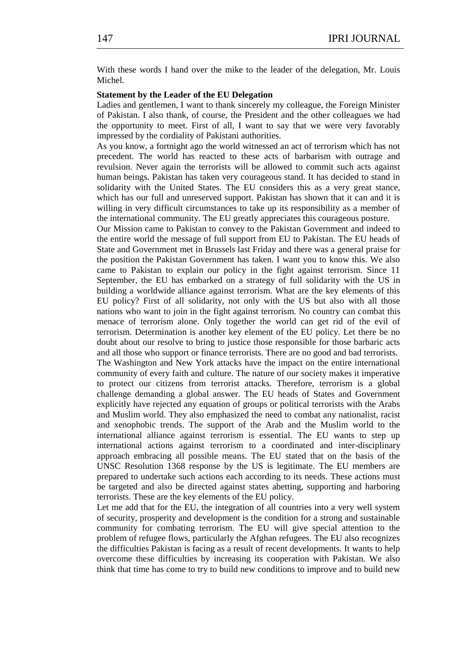With these words I hand over the mike to the leader of the delegation, Mr. Louis Michel.

### **Statement by the Leader of the EU Delegation**

Ladies and gentlemen, I want to thank sincerely my colleague, the Foreign Minister of Pakistan. I also thank, of course, the President and the other colleagues we had the opportunity to meet. First of all, I want to say that we were very favorably impressed by the cordiality of Pakistani authorities.

As you know, a fortnight ago the world witnessed an act of terrorism which has not precedent. The world has reacted to these acts of barbarism with outrage and revulsion. Never again the terrorists will be allowed to commit such acts against human beings. Pakistan has taken very courageous stand. It has decided to stand in solidarity with the United States. The EU considers this as a very great stance, which has our full and unreserved support. Pakistan has shown that it can and it is willing in very difficult circumstances to take up its responsibility as a member of the international community. The EU greatly appreciates this courageous posture.

Our Mission came to Pakistan to convey to the Pakistan Government and indeed to the entire world the message of full support from EU to Pakistan. The EU heads of State and Government met in Brussels last Friday and there was a general praise for the position the Pakistan Government has taken. I want you to know this. We also came to Pakistan to explain our policy in the fight against terrorism. Since 11 September, the EU has embarked on a strategy of full solidarity with the US in building a worldwide alliance against terrorism. What are the key elements of this EU policy? First of all solidarity, not only with the US but also with all those nations who want to join in the fight against terrorism. No country can combat this menace of terrorism alone. Only together the world can get rid of the evil of terrorism. Determination is another key element of the EU policy. Let there be no doubt about our resolve to bring to justice those responsible for those barbaric acts and all those who support or finance terrorists. There are no good and bad terrorists.

The Washington and New York attacks have the impact on the entire international community of every faith and culture. The nature of our society makes it imperative to protect our citizens from terrorist attacks. Therefore, terrorism is a global challenge demanding a global answer. The EU heads of States and Government explicitly have rejected any equation of groups or political terrorists with the Arabs and Muslim world. They also emphasized the need to combat any nationalist, racist and xenophobic trends. The support of the Arab and the Muslim world to the international alliance against terrorism is essential. The EU wants to step up international actions against terrorism to a coordinated and inter-disciplinary approach embracing all possible means. The EU stated that on the basis of the UNSC Resolution 1368 response by the US is legitimate. The EU members are prepared to undertake such actions each according to its needs. These actions must be targeted and also be directed against states abetting, supporting and harboring terrorists. These are the key elements of the EU policy.

Let me add that for the EU, the integration of all countries into a very well system of security, prosperity and development is the condition for a strong and sustainable community for combating terrorism. The EU will give special attention to the problem of refugee flows, particularly the Afghan refugees. The EU also recognizes the difficulties Pakistan is facing as a result of recent developments. It wants to help overcome these difficulties by increasing its cooperation with Pakistan. We also think that time has come to try to build new conditions to improve and to build new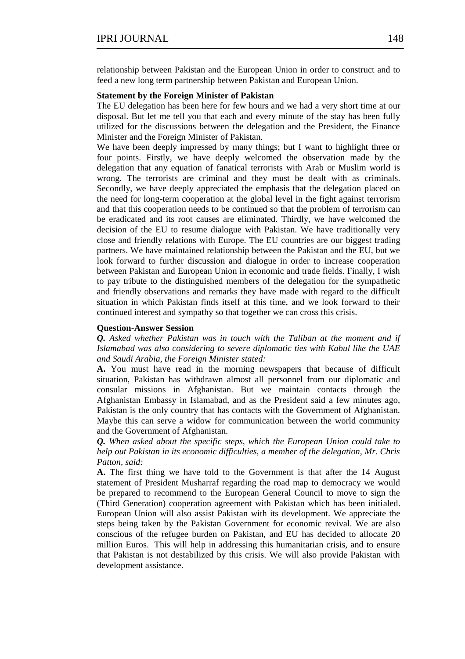relationship between Pakistan and the European Union in order to construct and to feed a new long term partnership between Pakistan and European Union.

#### **Statement by the Foreign Minister of Pakistan**

The EU delegation has been here for few hours and we had a very short time at our disposal. But let me tell you that each and every minute of the stay has been fully utilized for the discussions between the delegation and the President, the Finance Minister and the Foreign Minister of Pakistan.

We have been deeply impressed by many things; but I want to highlight three or four points. Firstly, we have deeply welcomed the observation made by the delegation that any equation of fanatical terrorists with Arab or Muslim world is wrong. The terrorists are criminal and they must be dealt with as criminals. Secondly, we have deeply appreciated the emphasis that the delegation placed on the need for long-term cooperation at the global level in the fight against terrorism and that this cooperation needs to be continued so that the problem of terrorism can be eradicated and its root causes are eliminated. Thirdly, we have welcomed the decision of the EU to resume dialogue with Pakistan. We have traditionally very close and friendly relations with Europe. The EU countries are our biggest trading partners. We have maintained relationship between the Pakistan and the EU, but we look forward to further discussion and dialogue in order to increase cooperation between Pakistan and European Union in economic and trade fields. Finally, I wish to pay tribute to the distinguished members of the delegation for the sympathetic and friendly observations and remarks they have made with regard to the difficult situation in which Pakistan finds itself at this time, and we look forward to their continued interest and sympathy so that together we can cross this crisis.

### **Question-Answer Session**

*Q. Asked whether Pakistan was in touch with the Taliban at the moment and if Islamabad was also considering to severe diplomatic ties with Kabul like the UAE and Saudi Arabia, the Foreign Minister stated:* 

**A.** You must have read in the morning newspapers that because of difficult situation, Pakistan has withdrawn almost all personnel from our diplomatic and consular missions in Afghanistan. But we maintain contacts through the Afghanistan Embassy in Islamabad, and as the President said a few minutes ago, Pakistan is the only country that has contacts with the Government of Afghanistan. Maybe this can serve a widow for communication between the world community and the Government of Afghanistan.

*Q. When asked about the specific steps, which the European Union could take to help out Pakistan in its economic difficulties, a member of the delegation, Mr. Chris Patton, said:* 

**A.** The first thing we have told to the Government is that after the 14 August statement of President Musharraf regarding the road map to democracy we would be prepared to recommend to the European General Council to move to sign the (Third Generation) cooperation agreement with Pakistan which has been initialed. European Union will also assist Pakistan with its development. We appreciate the steps being taken by the Pakistan Government for economic revival. We are also conscious of the refugee burden on Pakistan, and EU has decided to allocate 20 million Euros. This will help in addressing this humanitarian crisis, and to ensure that Pakistan is not destabilized by this crisis. We will also provide Pakistan with development assistance.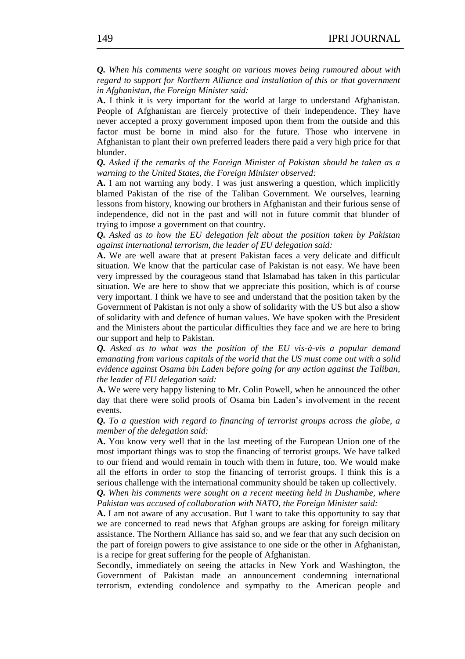*Q. When his comments were sought on various moves being rumoured about with regard to support for Northern Alliance and installation of this or that government in Afghanistan, the Foreign Minister said:* 

**A.** I think it is very important for the world at large to understand Afghanistan. People of Afghanistan are fiercely protective of their independence. They have never accepted a proxy government imposed upon them from the outside and this factor must be borne in mind also for the future. Those who intervene in Afghanistan to plant their own preferred leaders there paid a very high price for that blunder.

*Q. Asked if the remarks of the Foreign Minister of Pakistan should be taken as a warning to the United States, the Foreign Minister observed:* 

**A.** I am not warning any body. I was just answering a question, which implicitly blamed Pakistan of the rise of the Taliban Government. We ourselves, learning lessons from history, knowing our brothers in Afghanistan and their furious sense of independence, did not in the past and will not in future commit that blunder of trying to impose a government on that country.

*Q. Asked as to how the EU delegation felt about the position taken by Pakistan against international terrorism, the leader of EU delegation said:* 

**A.** We are well aware that at present Pakistan faces a very delicate and difficult situation. We know that the particular case of Pakistan is not easy. We have been very impressed by the courageous stand that Islamabad has taken in this particular situation. We are here to show that we appreciate this position, which is of course very important. I think we have to see and understand that the position taken by the Government of Pakistan is not only a show of solidarity with the US but also a show of solidarity with and defence of human values. We have spoken with the President and the Ministers about the particular difficulties they face and we are here to bring our support and help to Pakistan.

*Q. Asked as to what was the position of the EU vis-à-vis a popular demand emanating from various capitals of the world that the US must come out with a solid evidence against Osama bin Laden before going for any action against the Taliban, the leader of EU delegation said:* 

**A.** We were very happy listening to Mr. Colin Powell, when he announced the other day that there were solid proofs of Osama bin Laden's involvement in the recent events.

*Q. To a question with regard to financing of terrorist groups across the globe, a member of the delegation said:* 

**A.** You know very well that in the last meeting of the European Union one of the most important things was to stop the financing of terrorist groups. We have talked to our friend and would remain in touch with them in future, too. We would make all the efforts in order to stop the financing of terrorist groups. I think this is a serious challenge with the international community should be taken up collectively.

*Q. When his comments were sought on a recent meeting held in Dushambe, where Pakistan was accused of collaboration with NATO, the Foreign Minister said:* 

**A.** I am not aware of any accusation. But I want to take this opportunity to say that we are concerned to read news that Afghan groups are asking for foreign military assistance. The Northern Alliance has said so, and we fear that any such decision on the part of foreign powers to give assistance to one side or the other in Afghanistan, is a recipe for great suffering for the people of Afghanistan.

Secondly, immediately on seeing the attacks in New York and Washington, the Government of Pakistan made an announcement condemning international terrorism, extending condolence and sympathy to the American people and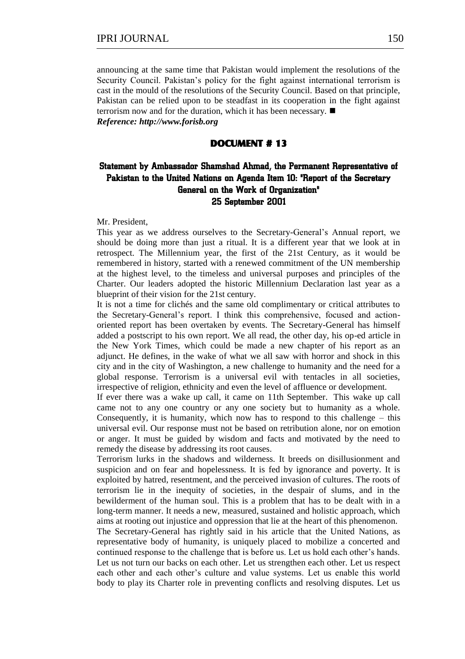announcing at the same time that Pakistan would implement the resolutions of the Security Council. Pakistan's policy for the fight against international terrorism is cast in the mould of the resolutions of the Security Council. Based on that principle, Pakistan can be relied upon to be steadfast in its cooperation in the fight against terrorism now and for the duration, which it has been necessary. *Reference: http://www.forisb.org*

DOCUMENT # 13

# Statement by Ambassador Shamshad Ahmad, the Permanent Representative of Pakistan to the United Nations on Agenda Item 10: "Report of the Secretary General on the Work of Organization" 25 September 2001

Mr. President,

This year as we address ourselves to the Secretary-General's Annual report, we should be doing more than just a ritual. It is a different year that we look at in retrospect. The Millennium year, the first of the 21st Century, as it would be remembered in history, started with a renewed commitment of the UN membership at the highest level, to the timeless and universal purposes and principles of the Charter. Our leaders adopted the historic Millennium Declaration last year as a blueprint of their vision for the 21st century.

It is not a time for clichés and the same old complimentary or critical attributes to the Secretary-General's report. I think this comprehensive, focused and actionoriented report has been overtaken by events. The Secretary-General has himself added a postscript to his own report. We all read, the other day, his op-ed article in the New York Times, which could be made a new chapter of his report as an adjunct. He defines, in the wake of what we all saw with horror and shock in this city and in the city of Washington, a new challenge to humanity and the need for a global response. Terrorism is a universal evil with tentacles in all societies, irrespective of religion, ethnicity and even the level of affluence or development.

If ever there was a wake up call, it came on 11th September. This wake up call came not to any one country or any one society but to humanity as a whole. Consequently, it is humanity, which now has to respond to this challenge – this universal evil. Our response must not be based on retribution alone, nor on emotion or anger. It must be guided by wisdom and facts and motivated by the need to remedy the disease by addressing its root causes.

Terrorism lurks in the shadows and wilderness. It breeds on disillusionment and suspicion and on fear and hopelessness. It is fed by ignorance and poverty. It is exploited by hatred, resentment, and the perceived invasion of cultures. The roots of terrorism lie in the inequity of societies, in the despair of slums, and in the bewilderment of the human soul. This is a problem that has to be dealt with in a long-term manner. It needs a new, measured, sustained and holistic approach, which aims at rooting out injustice and oppression that lie at the heart of this phenomenon.

The Secretary-General has rightly said in his article that the United Nations, as representative body of humanity, is uniquely placed to mobilize a concerted and continued response to the challenge that is before us. Let us hold each other's hands. Let us not turn our backs on each other. Let us strengthen each other. Let us respect each other and each other's culture and value systems. Let us enable this world body to play its Charter role in preventing conflicts and resolving disputes. Let us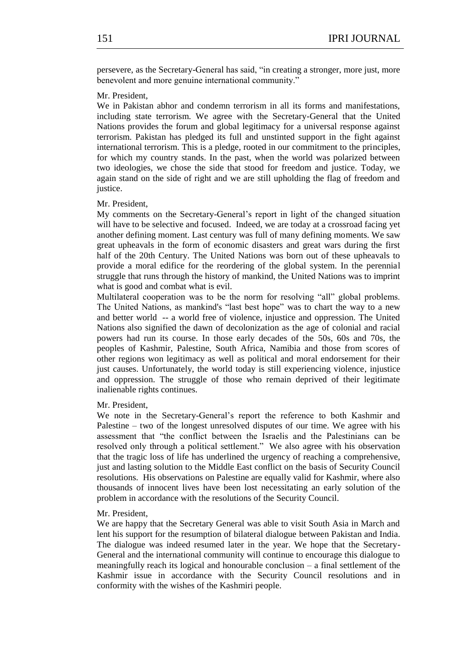persevere, as the Secretary-General has said, "in creating a stronger, more just, more benevolent and more genuine international community."

#### Mr. President,

We in Pakistan abhor and condemn terrorism in all its forms and manifestations, including state terrorism. We agree with the Secretary-General that the United Nations provides the forum and global legitimacy for a universal response against terrorism. Pakistan has pledged its full and unstinted support in the fight against international terrorism. This is a pledge, rooted in our commitment to the principles, for which my country stands. In the past, when the world was polarized between two ideologies, we chose the side that stood for freedom and justice. Today, we again stand on the side of right and we are still upholding the flag of freedom and justice.

#### Mr. President,

My comments on the Secretary-General's report in light of the changed situation will have to be selective and focused. Indeed, we are today at a crossroad facing yet another defining moment. Last century was full of many defining moments. We saw great upheavals in the form of economic disasters and great wars during the first half of the 20th Century. The United Nations was born out of these upheavals to provide a moral edifice for the reordering of the global system. In the perennial struggle that runs through the history of mankind, the United Nations was to imprint what is good and combat what is evil.

Multilateral cooperation was to be the norm for resolving "all" global problems. The United Nations, as mankind's "last best hope" was to chart the way to a new and better world -- a world free of violence, injustice and oppression. The United Nations also signified the dawn of decolonization as the age of colonial and racial powers had run its course. In those early decades of the 50s, 60s and 70s, the peoples of Kashmir, Palestine, South Africa, Namibia and those from scores of other regions won legitimacy as well as political and moral endorsement for their just causes. Unfortunately, the world today is still experiencing violence, injustice and oppression. The struggle of those who remain deprived of their legitimate inalienable rights continues.

### Mr. President,

We note in the Secretary-General's report the reference to both Kashmir and Palestine – two of the longest unresolved disputes of our time. We agree with his assessment that "the conflict between the Israelis and the Palestinians can be resolved only through a political settlement." We also agree with his observation that the tragic loss of life has underlined the urgency of reaching a comprehensive, just and lasting solution to the Middle East conflict on the basis of Security Council resolutions. His observations on Palestine are equally valid for Kashmir, where also thousands of innocent lives have been lost necessitating an early solution of the problem in accordance with the resolutions of the Security Council.

#### Mr. President,

We are happy that the Secretary General was able to visit South Asia in March and lent his support for the resumption of bilateral dialogue between Pakistan and India. The dialogue was indeed resumed later in the year. We hope that the Secretary-General and the international community will continue to encourage this dialogue to meaningfully reach its logical and honourable conclusion – a final settlement of the Kashmir issue in accordance with the Security Council resolutions and in conformity with the wishes of the Kashmiri people.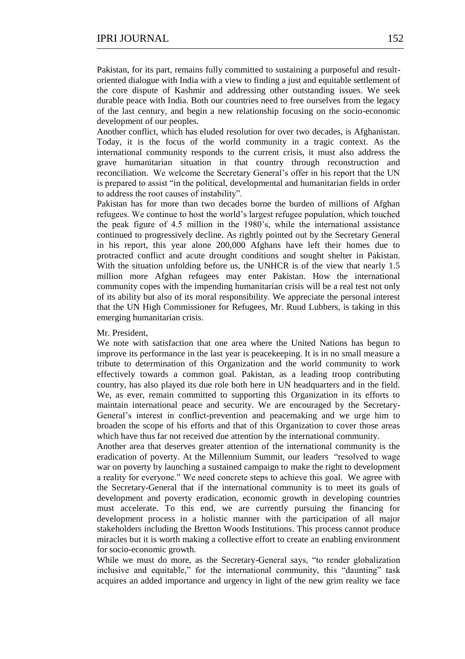Pakistan, for its part, remains fully committed to sustaining a purposeful and resultoriented dialogue with India with a view to finding a just and equitable settlement of the core dispute of Kashmir and addressing other outstanding issues. We seek durable peace with India. Both our countries need to free ourselves from the legacy of the last century, and begin a new relationship focusing on the socio-economic development of our peoples.

Another conflict, which has eluded resolution for over two decades, is Afghanistan. Today, it is the focus of the world community in a tragic context. As the international community responds to the current crisis, it must also address the grave humanitarian situation in that country through reconstruction and reconciliation. We welcome the Secretary General's offer in his report that the UN is prepared to assist "in the political, developmental and humanitarian fields in order to address the root causes of instability".

Pakistan has for more than two decades borne the burden of millions of Afghan refugees. We continue to host the world's largest refugee population, which touched the peak figure of 4.5 million in the 1980's, while the international assistance continued to progressively decline. As rightly pointed out by the Secretary General in his report, this year alone 200,000 Afghans have left their homes due to protracted conflict and acute drought conditions and sought shelter in Pakistan. With the situation unfolding before us, the UNHCR is of the view that nearly 1.5 million more Afghan refugees may enter Pakistan. How the international community copes with the impending humanitarian crisis will be a real test not only of its ability but also of its moral responsibility. We appreciate the personal interest that the UN High Commissioner for Refugees, Mr. Ruud Lubbers, is taking in this emerging humanitarian crisis.

#### Mr. President,

We note with satisfaction that one area where the United Nations has begun to improve its performance in the last year is peacekeeping. It is in no small measure a tribute to determination of this Organization and the world community to work effectively towards a common goal. Pakistan, as a leading troop contributing country, has also played its due role both here in UN headquarters and in the field. We, as ever, remain committed to supporting this Organization in its efforts to maintain international peace and security. We are encouraged by the Secretary-General's interest in conflict-prevention and peacemaking and we urge him to broaden the scope of his efforts and that of this Organization to cover those areas which have thus far not received due attention by the international community.

Another area that deserves greater attention of the international community is the eradication of poverty. At the Millennium Summit, our leaders "resolved to wage war on poverty by launching a sustained campaign to make the right to development a reality for everyone." We need concrete steps to achieve this goal. We agree with the Secretary-General that if the international community is to meet its goals of development and poverty eradication, economic growth in developing countries must accelerate. To this end, we are currently pursuing the financing for development process in a holistic manner with the participation of all major stakeholders including the Bretton Woods Institutions. This process cannot produce miracles but it is worth making a collective effort to create an enabling environment for socio-economic growth.

While we must do more, as the Secretary-General says, "to render globalization inclusive and equitable," for the international community, this "daunting" task acquires an added importance and urgency in light of the new grim reality we face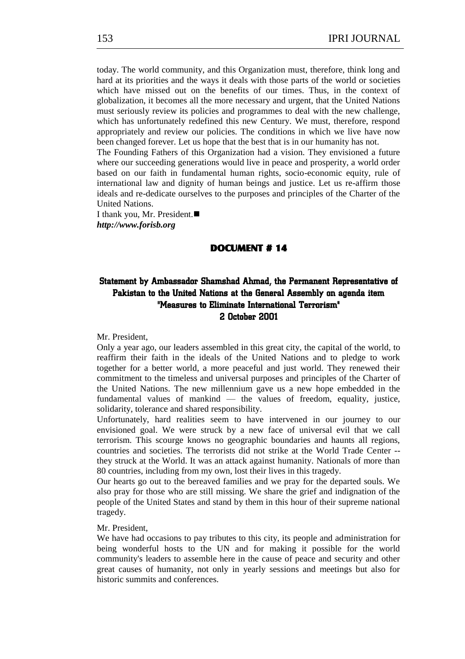today. The world community, and this Organization must, therefore, think long and hard at its priorities and the ways it deals with those parts of the world or societies which have missed out on the benefits of our times. Thus, in the context of globalization, it becomes all the more necessary and urgent, that the United Nations must seriously review its policies and programmes to deal with the new challenge, which has unfortunately redefined this new Century. We must, therefore, respond appropriately and review our policies. The conditions in which we live have now been changed forever. Let us hope that the best that is in our humanity has not.

The Founding Fathers of this Organization had a vision. They envisioned a future where our succeeding generations would live in peace and prosperity, a world order based on our faith in fundamental human rights, socio-economic equity, rule of international law and dignity of human beings and justice. Let us re-affirm those ideals and re-dedicate ourselves to the purposes and principles of the Charter of the United Nations.

I thank you, Mr. President. *http://www.forisb.org*

### DOCUMENT # 14

# Statement by Ambassador Shamshad Ahmad, the Permanent Representative of Pakistan to the United Nations at the General Assembly on agenda item "Measures to Eliminate International Terrorism" 2 October 2001

Mr. President,

Only a year ago, our leaders assembled in this great city, the capital of the world, to reaffirm their faith in the ideals of the United Nations and to pledge to work together for a better world, a more peaceful and just world. They renewed their commitment to the timeless and universal purposes and principles of the Charter of the United Nations. The new millennium gave us a new hope embedded in the fundamental values of mankind — the values of freedom, equality, justice, solidarity, tolerance and shared responsibility.

Unfortunately, hard realities seem to have intervened in our journey to our envisioned goal. We were struck by a new face of universal evil that we call terrorism. This scourge knows no geographic boundaries and haunts all regions, countries and societies. The terrorists did not strike at the World Trade Center - they struck at the World. It was an attack against humanity. Nationals of more than 80 countries, including from my own, lost their lives in this tragedy.

Our hearts go out to the bereaved families and we pray for the departed souls. We also pray for those who are still missing. We share the grief and indignation of the people of the United States and stand by them in this hour of their supreme national tragedy.

Mr. President,

We have had occasions to pay tributes to this city, its people and administration for being wonderful hosts to the UN and for making it possible for the world community's leaders to assemble here in the cause of peace and security and other great causes of humanity, not only in yearly sessions and meetings but also for historic summits and conferences.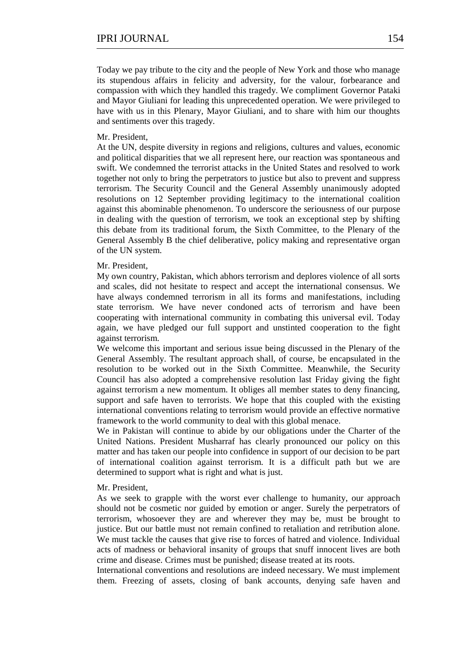Today we pay tribute to the city and the people of New York and those who manage its stupendous affairs in felicity and adversity, for the valour, forbearance and compassion with which they handled this tragedy. We compliment Governor Pataki and Mayor Giuliani for leading this unprecedented operation. We were privileged to have with us in this Plenary, Mayor Giuliani, and to share with him our thoughts and sentiments over this tragedy.

### Mr. President,

At the UN, despite diversity in regions and religions, cultures and values, economic and political disparities that we all represent here, our reaction was spontaneous and swift. We condemned the terrorist attacks in the United States and resolved to work together not only to bring the perpetrators to justice but also to prevent and suppress terrorism. The Security Council and the General Assembly unanimously adopted resolutions on 12 September providing legitimacy to the international coalition against this abominable phenomenon. To underscore the seriousness of our purpose in dealing with the question of terrorism, we took an exceptional step by shifting this debate from its traditional forum, the Sixth Committee, to the Plenary of the General Assembly B the chief deliberative, policy making and representative organ of the UN system.

#### Mr. President,

My own country, Pakistan, which abhors terrorism and deplores violence of all sorts and scales, did not hesitate to respect and accept the international consensus. We have always condemned terrorism in all its forms and manifestations, including state terrorism. We have never condoned acts of terrorism and have been cooperating with international community in combating this universal evil. Today again, we have pledged our full support and unstinted cooperation to the fight against terrorism.

We welcome this important and serious issue being discussed in the Plenary of the General Assembly. The resultant approach shall, of course, be encapsulated in the resolution to be worked out in the Sixth Committee. Meanwhile, the Security Council has also adopted a comprehensive resolution last Friday giving the fight against terrorism a new momentum. It obliges all member states to deny financing, support and safe haven to terrorists. We hope that this coupled with the existing international conventions relating to terrorism would provide an effective normative framework to the world community to deal with this global menace.

We in Pakistan will continue to abide by our obligations under the Charter of the United Nations. President Musharraf has clearly pronounced our policy on this matter and has taken our people into confidence in support of our decision to be part of international coalition against terrorism. It is a difficult path but we are determined to support what is right and what is just.

#### Mr. President,

As we seek to grapple with the worst ever challenge to humanity, our approach should not be cosmetic nor guided by emotion or anger. Surely the perpetrators of terrorism, whosoever they are and wherever they may be, must be brought to justice. But our battle must not remain confined to retaliation and retribution alone. We must tackle the causes that give rise to forces of hatred and violence. Individual acts of madness or behavioral insanity of groups that snuff innocent lives are both crime and disease. Crimes must be punished; disease treated at its roots.

International conventions and resolutions are indeed necessary. We must implement them. Freezing of assets, closing of bank accounts, denying safe haven and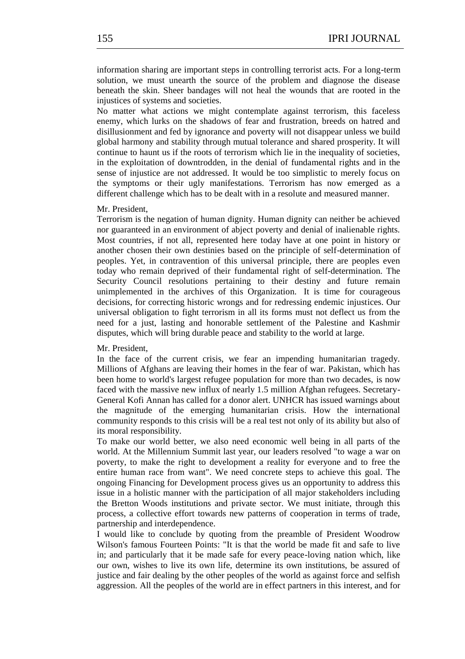information sharing are important steps in controlling terrorist acts. For a long-term solution, we must unearth the source of the problem and diagnose the disease beneath the skin. Sheer bandages will not heal the wounds that are rooted in the injustices of systems and societies.

No matter what actions we might contemplate against terrorism, this faceless enemy, which lurks on the shadows of fear and frustration, breeds on hatred and disillusionment and fed by ignorance and poverty will not disappear unless we build global harmony and stability through mutual tolerance and shared prosperity. It will continue to haunt us if the roots of terrorism which lie in the inequality of societies, in the exploitation of downtrodden, in the denial of fundamental rights and in the sense of injustice are not addressed. It would be too simplistic to merely focus on the symptoms or their ugly manifestations. Terrorism has now emerged as a different challenge which has to be dealt with in a resolute and measured manner.

#### Mr. President,

Terrorism is the negation of human dignity. Human dignity can neither be achieved nor guaranteed in an environment of abject poverty and denial of inalienable rights. Most countries, if not all, represented here today have at one point in history or another chosen their own destinies based on the principle of self-determination of peoples. Yet, in contravention of this universal principle, there are peoples even today who remain deprived of their fundamental right of self-determination. The Security Council resolutions pertaining to their destiny and future remain unimplemented in the archives of this Organization. It is time for courageous decisions, for correcting historic wrongs and for redressing endemic injustices. Our universal obligation to fight terrorism in all its forms must not deflect us from the need for a just, lasting and honorable settlement of the Palestine and Kashmir disputes, which will bring durable peace and stability to the world at large.

#### Mr. President,

In the face of the current crisis, we fear an impending humanitarian tragedy. Millions of Afghans are leaving their homes in the fear of war. Pakistan, which has been home to world's largest refugee population for more than two decades, is now faced with the massive new influx of nearly 1.5 million Afghan refugees. Secretary-General Kofi Annan has called for a donor alert. UNHCR has issued warnings about the magnitude of the emerging humanitarian crisis. How the international community responds to this crisis will be a real test not only of its ability but also of its moral responsibility.

To make our world better, we also need economic well being in all parts of the world. At the Millennium Summit last year, our leaders resolved "to wage a war on poverty, to make the right to development a reality for everyone and to free the entire human race from want". We need concrete steps to achieve this goal. The ongoing Financing for Development process gives us an opportunity to address this issue in a holistic manner with the participation of all major stakeholders including the Bretton Woods institutions and private sector. We must initiate, through this process, a collective effort towards new patterns of cooperation in terms of trade, partnership and interdependence.

I would like to conclude by quoting from the preamble of President Woodrow Wilson's famous Fourteen Points: "It is that the world be made fit and safe to live in; and particularly that it be made safe for every peace-loving nation which, like our own, wishes to live its own life, determine its own institutions, be assured of justice and fair dealing by the other peoples of the world as against force and selfish aggression. All the peoples of the world are in effect partners in this interest, and for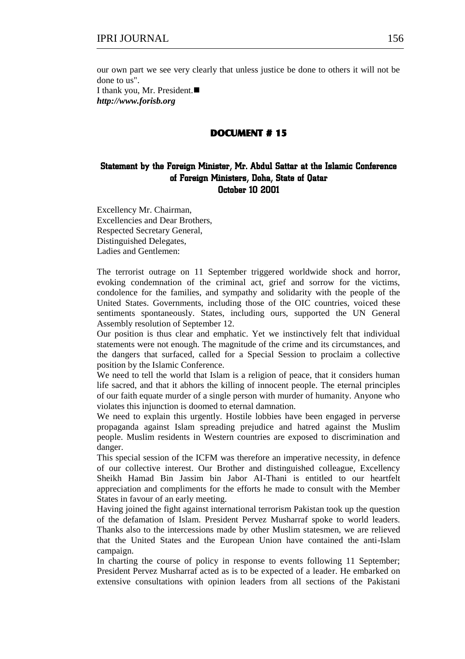our own part we see very clearly that unless justice be done to others it will not be done to us".

I thank you, Mr. President. *http://www.forisb.org*

### DOCUMENT # 15

# Statement by the Foreign Minister, Mr. Abdul Sattar at the Islamic Conference of Foreign Ministers, Doha, State of Qatar October 10 2001

Excellency Mr. Chairman, Excellencies and Dear Brothers, Respected Secretary General, Distinguished Delegates, Ladies and Gentlemen:

The terrorist outrage on 11 September triggered worldwide shock and horror, evoking condemnation of the criminal act, grief and sorrow for the victims, condolence for the families, and sympathy and solidarity with the people of the United States. Governments, including those of the OIC countries, voiced these sentiments spontaneously. States, including ours, supported the UN General Assembly resolution of September 12.

Our position is thus clear and emphatic. Yet we instinctively felt that individual statements were not enough. The magnitude of the crime and its circumstances, and the dangers that surfaced, called for a Special Session to proclaim a collective position by the Islamic Conference.

We need to tell the world that Islam is a religion of peace, that it considers human life sacred, and that it abhors the killing of innocent people. The eternal principles of our faith equate murder of a single person with murder of humanity. Anyone who violates this injunction is doomed to eternal damnation.

We need to explain this urgently. Hostile lobbies have been engaged in perverse propaganda against Islam spreading prejudice and hatred against the Muslim people. Muslim residents in Western countries are exposed to discrimination and danger.

This special session of the ICFM was therefore an imperative necessity, in defence of our collective interest. Our Brother and distinguished colleague, Excellency Sheikh Hamad Bin Jassim bin Jabor AI-Thani is entitled to our heartfelt appreciation and compliments for the efforts he made to consult with the Member States in favour of an early meeting.

Having joined the fight against international terrorism Pakistan took up the question of the defamation of Islam. President Pervez Musharraf spoke to world leaders. Thanks also to the intercessions made by other Muslim statesmen, we are relieved that the United States and the European Union have contained the anti-Islam campaign.

In charting the course of policy in response to events following 11 September; President Pervez Musharraf acted as is to be expected of a leader. He embarked on extensive consultations with opinion leaders from all sections of the Pakistani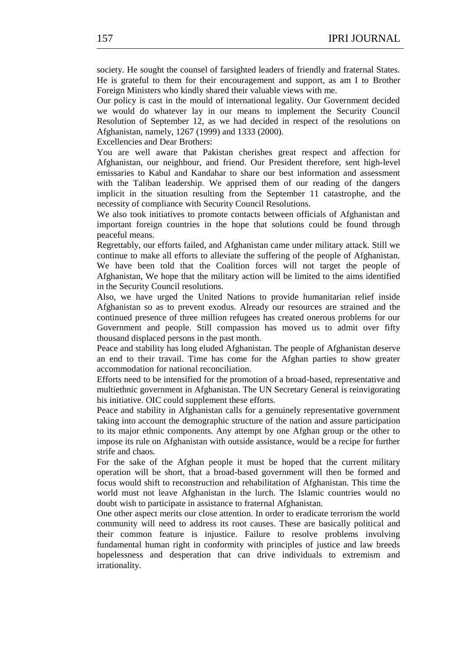society. He sought the counsel of farsighted leaders of friendly and fraternal States. He is grateful to them for their encouragement and support, as am I to Brother Foreign Ministers who kindly shared their valuable views with me.

Our policy is cast in the mould of international legality. Our Government decided we would do whatever lay in our means to implement the Security Council Resolution of September 12, as we had decided in respect of the resolutions on Afghanistan, namely, 1267 (1999) and 1333 (2000).

Excellencies and Dear Brothers:

You are well aware that Pakistan cherishes great respect and affection for Afghanistan, our neighbour, and friend. Our President therefore, sent high-level emissaries to Kabul and Kandahar to share our best information and assessment with the Taliban leadership. We apprised them of our reading of the dangers implicit in the situation resulting from the September 11 catastrophe, and the necessity of compliance with Security Council Resolutions.

We also took initiatives to promote contacts between officials of Afghanistan and important foreign countries in the hope that solutions could be found through peaceful means.

Regrettably, our efforts failed, and Afghanistan came under military attack. Still we continue to make all efforts to alleviate the suffering of the people of Afghanistan. We have been told that the Coalition forces will not target the people of Afghanistan, We hope that the military action will be limited to the aims identified in the Security Council resolutions.

Also, we have urged the United Nations to provide humanitarian relief inside Afghanistan so as to prevent exodus. Already our resources are strained and the continued presence of three million refugees has created onerous problems for our Government and people. Still compassion has moved us to admit over fifty thousand displaced persons in the past month.

Peace and stability has long eluded Afghanistan. The people of Afghanistan deserve an end to their travail. Time has come for the Afghan parties to show greater accommodation for national reconciliation.

Efforts need to be intensified for the promotion of a broad-based, representative and multiethnic government in Afghanistan. The UN Secretary General is reinvigorating his initiative. OIC could supplement these efforts.

Peace and stability in Afghanistan calls for a genuinely representative government taking into account the demographic structure of the nation and assure participation to its major ethnic components. Any attempt by one Afghan group or the other to impose its rule on Afghanistan with outside assistance, would be a recipe for further strife and chaos.

For the sake of the Afghan people it must be hoped that the current military operation will be short, that a broad-based government will then be formed and focus would shift to reconstruction and rehabilitation of Afghanistan. This time the world must not leave Afghanistan in the lurch. The Islamic countries would no doubt wish to participate in assistance to fraternal Afghanistan.

One other aspect merits our close attention. In order to eradicate terrorism the world community will need to address its root causes. These are basically political and their common feature is injustice. Failure to resolve problems involving fundamental human right in conformity with principles of justice and law breeds hopelessness and desperation that can drive individuals to extremism and irrationality.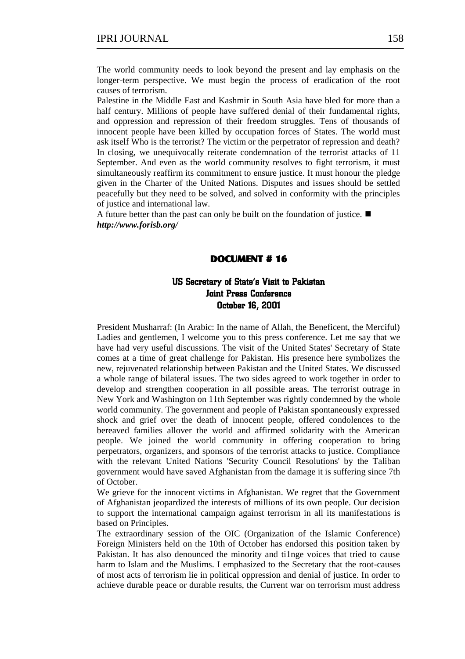The world community needs to look beyond the present and lay emphasis on the longer-term perspective. We must begin the process of eradication of the root causes of terrorism.

Palestine in the Middle East and Kashmir in South Asia have bled for more than a half century. Millions of people have suffered denial of their fundamental rights, and oppression and repression of their freedom struggles. Tens of thousands of innocent people have been killed by occupation forces of States. The world must ask itself Who is the terrorist? The victim or the perpetrator of repression and death? In closing, we unequivocally reiterate condemnation of the terrorist attacks of 11 September. And even as the world community resolves to fight terrorism, it must simultaneously reaffirm its commitment to ensure justice. It must honour the pledge given in the Charter of the United Nations. Disputes and issues should be settled peacefully but they need to be solved, and solved in conformity with the principles of justice and international law.

A future better than the past can only be built on the foundation of justice.  $\blacksquare$ *http://www.forisb.org/*

## DOCUMENT # 16

## US Secretary of State's Visit to Pakistan Joint Press Conference October 16, 2001

President Musharraf: (In Arabic: In the name of Allah, the Beneficent, the Merciful) Ladies and gentlemen, I welcome you to this press conference. Let me say that we have had very useful discussions. The visit of the United States' Secretary of State comes at a time of great challenge for Pakistan. His presence here symbolizes the new, rejuvenated relationship between Pakistan and the United States. We discussed a whole range of bilateral issues. The two sides agreed to work together in order to develop and strengthen cooperation in all possible areas. The terrorist outrage in New York and Washington on 11th September was rightly condemned by the whole world community. The government and people of Pakistan spontaneously expressed shock and grief over the death of innocent people, offered condolences to the bereaved families allover the world and affirmed solidarity with the American people. We joined the world community in offering cooperation to bring perpetrators, organizers, and sponsors of the terrorist attacks to justice. Compliance with the relevant United Nations 'Security Council Resolutions' by the Taliban government would have saved Afghanistan from the damage it is suffering since 7th of October.

We grieve for the innocent victims in Afghanistan. We regret that the Government of Afghanistan jeopardized the interests of millions of its own people. Our decision to support the international campaign against terrorism in all its manifestations is based on Principles.

The extraordinary session of the OIC (Organization of the Islamic Conference) Foreign Ministers held on the 10th of October has endorsed this position taken by Pakistan. It has also denounced the minority and ti1nge voices that tried to cause harm to Islam and the Muslims. I emphasized to the Secretary that the root-causes of most acts of terrorism lie in political oppression and denial of justice. In order to achieve durable peace or durable results, the Current war on terrorism must address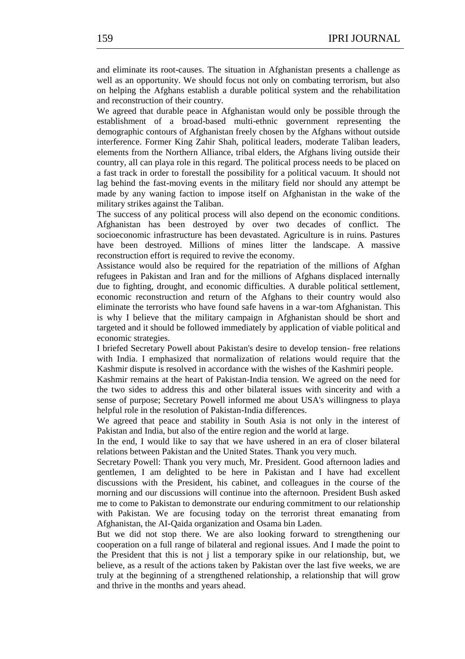and eliminate its root-causes. The situation in Afghanistan presents a challenge as well as an opportunity. We should focus not only on combating terrorism, but also on helping the Afghans establish a durable political system and the rehabilitation and reconstruction of their country.

We agreed that durable peace in Afghanistan would only be possible through the establishment of a broad-based multi-ethnic government representing the demographic contours of Afghanistan freely chosen by the Afghans without outside interference. Former King Zahir Shah, political leaders, moderate Taliban leaders, elements from the Northern Alliance, tribal elders, the Afghans living outside their country, all can playa role in this regard. The political process needs to be placed on a fast track in order to forestall the possibility for a political vacuum. It should not lag behind the fast-moving events in the military field nor should any attempt be made by any waning faction to impose itself on Afghanistan in the wake of the military strikes against the Taliban.

The success of any political process will also depend on the economic conditions. Afghanistan has been destroyed by over two decades of conflict. The socioeconomic infrastructure has been devastated. Agriculture is in ruins. Pastures have been destroyed. Millions of mines litter the landscape. A massive reconstruction effort is required to revive the economy.

Assistance would also be required for the repatriation of the millions of Afghan refugees in Pakistan and Iran and for the millions of Afghans displaced internally due to fighting, drought, and economic difficulties. A durable political settlement, economic reconstruction and return of the Afghans to their country would also eliminate the terrorists who have found safe havens in a war-tom Afghanistan. This is why I believe that the military campaign in Afghanistan should be short and targeted and it should be followed immediately by application of viable political and economic strategies.

I briefed Secretary Powell about Pakistan's desire to develop tension- free relations with India. I emphasized that normalization of relations would require that the Kashmir dispute is resolved in accordance with the wishes of the Kashmiri people.

Kashmir remains at the heart of Pakistan-India tension. We agreed on the need for the two sides to address this and other bilateral issues with sincerity and with a sense of purpose; Secretary Powell informed me about USA's willingness to playa helpful role in the resolution of Pakistan-India differences.

We agreed that peace and stability in South Asia is not only in the interest of Pakistan and India, but also of the entire region and the world at large.

In the end, I would like to say that we have ushered in an era of closer bilateral relations between Pakistan and the United States. Thank you very much.

Secretary Powell: Thank you very much, Mr. President. Good afternoon ladies and gentlemen, I am delighted to be here in Pakistan and I have had excellent discussions with the President, his cabinet, and colleagues in the course of the morning and our discussions will continue into the afternoon. President Bush asked me to come to Pakistan to demonstrate our enduring commitment to our relationship with Pakistan. We are focusing today on the terrorist threat emanating from Afghanistan, the AI-Qaida organization and Osama bin Laden.

But we did not stop there. We are also looking forward to strengthening our cooperation on a full range of bilateral and regional issues. And I made the point to the President that this is not j list a temporary spike in our relationship, but, we believe, as a result of the actions taken by Pakistan over the last five weeks, we are truly at the beginning of a strengthened relationship, a relationship that will grow and thrive in the months and years ahead.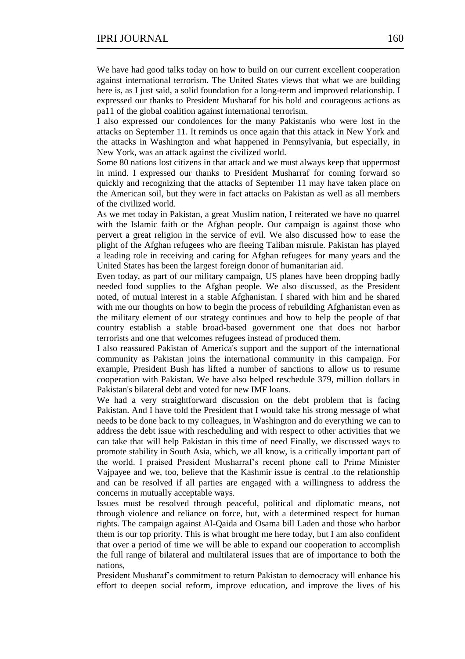We have had good talks today on how to build on our current excellent cooperation against international terrorism. The United States views that what we are building here is, as I just said, a solid foundation for a long-term and improved relationship. I expressed our thanks to President Musharaf for his bold and courageous actions as pa11 of the global coalition against international terrorism.

I also expressed our condolences for the many Pakistanis who were lost in the attacks on September 11. It reminds us once again that this attack in New York and the attacks in Washington and what happened in Pennsylvania, but especially, in New York, was an attack against the civilized world.

Some 80 nations lost citizens in that attack and we must always keep that uppermost in mind. I expressed our thanks to President Musharraf for coming forward so quickly and recognizing that the attacks of September 11 may have taken place on the American soil, but they were in fact attacks on Pakistan as well as all members of the civilized world.

As we met today in Pakistan, a great Muslim nation, I reiterated we have no quarrel with the Islamic faith or the Afghan people. Our campaign is against those who pervert a great religion in the service of evil. We also discussed how to ease the plight of the Afghan refugees who are fleeing Taliban misrule. Pakistan has played a leading role in receiving and caring for Afghan refugees for many years and the United States has been the largest foreign donor of humanitarian aid.

Even today, as part of our military campaign, US planes have been dropping badly needed food supplies to the Afghan people. We also discussed, as the President noted, of mutual interest in a stable Afghanistan. I shared with him and he shared with me our thoughts on how to begin the process of rebuilding Afghanistan even as the military element of our strategy continues and how to help the people of that country establish a stable broad-based government one that does not harbor terrorists and one that welcomes refugees instead of produced them.

I also reassured Pakistan of America's support and the support of the international community as Pakistan joins the international community in this campaign. For example, President Bush has lifted a number of sanctions to allow us to resume cooperation with Pakistan. We have also helped reschedule 379, million dollars in Pakistan's bilateral debt and voted for new IMF loans.

We had a very straightforward discussion on the debt problem that is facing Pakistan. And I have told the President that I would take his strong message of what needs to be done back to my colleagues, in Washington and do everything we can to address the debt issue with rescheduling and with respect to other activities that we can take that will help Pakistan in this time of need Finally, we discussed ways to promote stability in South Asia, which, we all know, is a critically important part of the world. I praised President Musharraf's recent phone call to Prime Minister Vajpayee and we, too, believe that the Kashmir issue is central .to the relationship and can be resolved if all parties are engaged with a willingness to address the concerns in mutually acceptable ways.

Issues must be resolved through peaceful, political and diplomatic means, not through violence and reliance on force, but, with a determined respect for human rights. The campaign against Al-Qaida and Osama bill Laden and those who harbor them is our top priority. This is what brought me here today, but I am also confident that over a period of time we will be able to expand our cooperation to accomplish the full range of bilateral and multilateral issues that are of importance to both the nations,

President Musharaf's commitment to return Pakistan to democracy will enhance his effort to deepen social reform, improve education, and improve the lives of his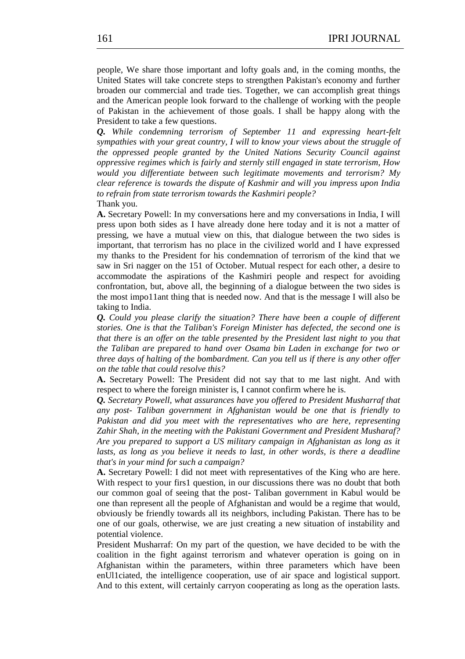people, We share those important and lofty goals and, in the coming months, the United States will take concrete steps to strengthen Pakistan's economy and further broaden our commercial and trade ties. Together, we can accomplish great things and the American people look forward to the challenge of working with the people of Pakistan in the achievement of those goals. I shall be happy along with the President to take a few questions.

*Q. While condemning terrorism of September 11 and expressing heart-felt sympathies with your great country, I will to know your views about the struggle of the oppressed people granted by the United Nations Security Council against oppressive regimes which is fairly and sternly still engaged in state terrorism, How would you differentiate between such legitimate movements and terrorism? My clear reference is towards the dispute of Kashmir and will you impress upon India to refrain from state terrorism towards the Kashmiri people?*  Thank you.

**A.** Secretary Powell: In my conversations here and my conversations in India, I will press upon both sides as I have already done here today and it is not a matter of pressing, we have a mutual view on this, that dialogue between the two sides is important, that terrorism has no place in the civilized world and I have expressed my thanks to the President for his condemnation of terrorism of the kind that we saw in Sri nagger on the 151 of October. Mutual respect for each other, a desire to accommodate the aspirations of the Kashmiri people and respect for avoiding confrontation, but, above all, the beginning of a dialogue between the two sides is the most impo11ant thing that is needed now. And that is the message I will also be taking to India.

*Q. Could you please clarify the situation? There have been a couple of different stories. One is that the Taliban's Foreign Minister has defected, the second one is that there is an offer on the table presented by the President last night to you that the Taliban are prepared to hand over Osama bin Laden in exchange for two or three days of halting of the bombardment. Can you tell us if there is any other offer on the table that could resolve this?*

**A.** Secretary Powell: The President did not say that to me last night. And with respect to where the foreign minister is, I cannot confirm where he is.

*Q. Secretary Powell, what assurances have you offered to President Musharraf that any post- Taliban government in Afghanistan would be one that is friendly to Pakistan and did you meet with the representatives who are here, representing Zahir Shah, in the meeting with the Pakistani Government and President Musharaf? Are you prepared to support a US military campaign in Afghanistan as long as it lasts, as long as you believe it needs to last, in other words, is there a deadline that's in your mind for such a campaign?*

**A.** Secretary Powell: I did not meet with representatives of the King who are here. With respect to your firs1 question, in our discussions there was no doubt that both our common goal of seeing that the post- Taliban government in Kabul would be one than represent all the people of Afghanistan and would be a regime that would, obviously be friendly towards all its neighbors, including Pakistan. There has to be one of our goals, otherwise, we are just creating a new situation of instability and potential violence.

President Musharraf: On my part of the question, we have decided to be with the coalition in the fight against terrorism and whatever operation is going on in Afghanistan within the parameters, within three parameters which have been enUl1ciated, the intelligence cooperation, use of air space and logistical support. And to this extent, will certainly carryon cooperating as long as the operation lasts.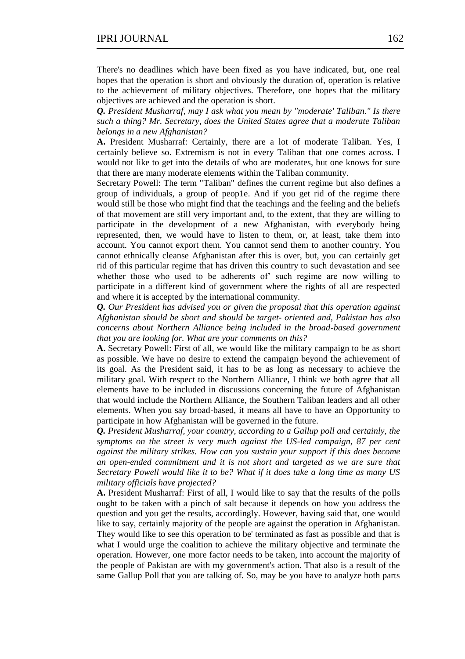There's no deadlines which have been fixed as you have indicated, but, one real hopes that the operation is short and obviously the duration of, operation is relative to the achievement of military objectives. Therefore, one hopes that the military objectives are achieved and the operation is short.

*Q. President Musharraf, may I ask what you mean by "moderate' Taliban." Is there such a thing? Mr. Secretary, does the United States agree that a moderate Taliban belongs in a new Afghanistan?*

**A.** President Musharraf: Certainly, there are a lot of moderate Taliban. Yes, I certainly believe so. Extremism is not in every Taliban that one comes across. I would not like to get into the details of who are moderates, but one knows for sure that there are many moderate elements within the Taliban community.

Secretary Powell: The term "Taliban" defines the current regime but also defines a group of individuals, a group of peop1e. And if you get rid of the regime there would still be those who might find that the teachings and the feeling and the beliefs of that movement are still very important and, to the extent, that they are willing to participate in the development of a new Afghanistan, with everybody being represented, then, we would have to listen to them, or, at least, take them into account. You cannot export them. You cannot send them to another country. You cannot ethnically cleanse Afghanistan after this is over, but, you can certainly get rid of this particular regime that has driven this country to such devastation and see whether those who used to be adherents of such regime are now willing to participate in a different kind of government where the rights of all are respected and where it is accepted by the international community.

*Q. Our President has advised you or given the proposal that this operation against Afghanistan should be short and should be target- oriented and, Pakistan has also concerns about Northern Alliance being included in the broad-based government that you are looking for. What are your comments on this?*

**A.** Secretary Powell: First of all, we would like the military campaign to be as short as possible. We have no desire to extend the campaign beyond the achievement of its goal. As the President said, it has to be as long as necessary to achieve the military goal. With respect to the Northern Alliance, I think we both agree that all elements have to be included in discussions concerning the future of Afghanistan that would include the Northern Alliance, the Southern Taliban leaders and all other elements. When you say broad-based, it means all have to have an Opportunity to participate in how Afghanistan will be governed in the future.

*Q. President Musharraf, your country, according to a Gallup poll and certainly, the symptoms on the street is very much against the US-led campaign, 87 per cent against the military strikes. How can you sustain your support if this does become an open-ended commitment and it is not short and targeted as we are sure that Secretary Powell would like it to be? What if it does take a long time as many US military officials have projected?*

**A.** President Musharraf: First of all, I would like to say that the results of the polls ought to be taken with a pinch of salt because it depends on how you address the question and you get the results, accordingly. However, having said that, one would like to say, certainly majority of the people are against the operation in Afghanistan. They would like to see this operation to be' terminated as fast as possible and that is what I would urge the coalition to achieve the military objective and terminate the operation. However, one more factor needs to be taken, into account the majority of the people of Pakistan are with my government's action. That also is a result of the same Gallup Poll that you are talking of. So, may be you have to analyze both parts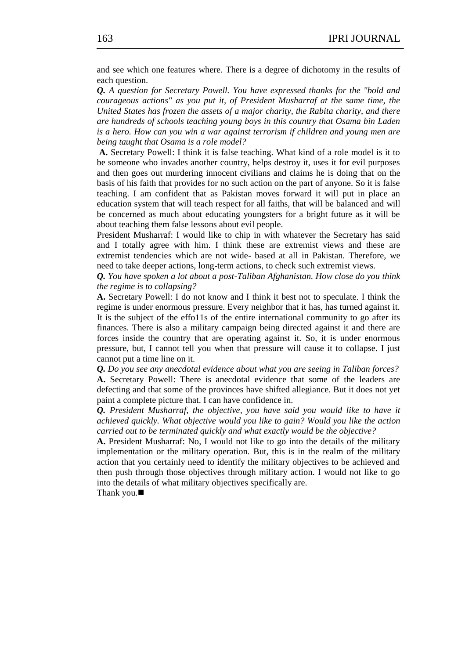and see which one features where. There is a degree of dichotomy in the results of each question.

*Q. A question for Secretary Powell. You have expressed thanks for the "bold and courageous actions" as you put it, of President Musharraf at the same time, the United States has frozen the assets of a major charity, the Rabita charity, and there are hundreds of schools teaching young boys in this country that Osama bin Laden is a hero. How can you win a war against terrorism if children and young men are being taught that Osama is a role model?*

**A.** Secretary Powell: I think it is false teaching. What kind of a role model is it to be someone who invades another country, helps destroy it, uses it for evil purposes and then goes out murdering innocent civilians and claims he is doing that on the basis of his faith that provides for no such action on the part of anyone. So it is false teaching. I am confident that as Pakistan moves forward it will put in place an education system that will teach respect for all faiths, that will be balanced and will be concerned as much about educating youngsters for a bright future as it will be about teaching them false lessons about evil people.

President Musharraf: I would like to chip in with whatever the Secretary has said and I totally agree with him. I think these are extremist views and these are extremist tendencies which are not wide- based at all in Pakistan. Therefore, we need to take deeper actions, long-term actions, to check such extremist views.

*Q. You have spoken a lot about a post-Taliban Afghanistan. How close do you think the regime is to collapsing?*

**A.** Secretary Powell: I do not know and I think it best not to speculate. I think the regime is under enormous pressure. Every neighbor that it has, has turned against it. It is the subject of the effo11s of the entire international community to go after its finances. There is also a military campaign being directed against it and there are forces inside the country that are operating against it. So, it is under enormous pressure, but, I cannot tell you when that pressure will cause it to collapse. I just cannot put a time line on it.

*Q. Do you see any anecdotal evidence about what you are seeing in Taliban forces?* **A.** Secretary Powell: There is anecdotal evidence that some of the leaders are defecting and that some of the provinces have shifted allegiance. But it does not yet paint a complete picture that. I can have confidence in.

*Q. President Musharraf, the objective, you have said you would like to have it achieved quickly. What objective would you like to gain? Would you like the action carried out to be terminated quickly and what exactly would be the objective?*

**A.** President Musharraf: No, I would not like to go into the details of the military implementation or the military operation. But, this is in the realm of the military action that you certainly need to identify the military objectives to be achieved and then push through those objectives through military action. I would not like to go into the details of what military objectives specifically are.

Thank you.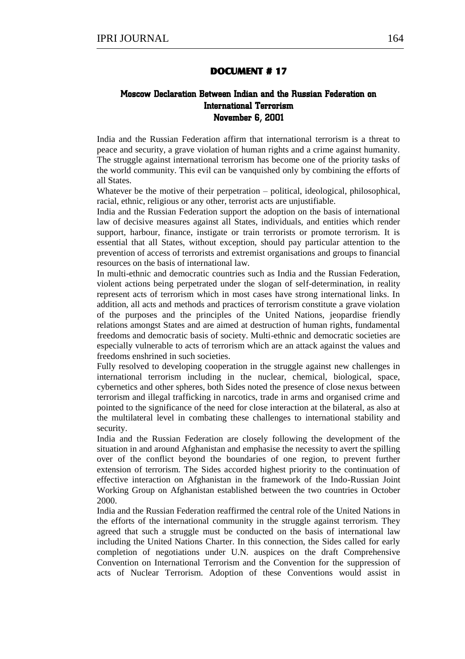## DOCUMENT # 17

# Moscow Declaration Between Indian and the Russian Federation on International Terrorism November 6, 2001

India and the Russian Federation affirm that international terrorism is a threat to peace and security, a grave violation of human rights and a crime against humanity. The struggle against international terrorism has become one of the priority tasks of the world community. This evil can be vanquished only by combining the efforts of all States.

Whatever be the motive of their perpetration – political, ideological, philosophical, racial, ethnic, religious or any other, terrorist acts are unjustifiable.

India and the Russian Federation support the adoption on the basis of international law of decisive measures against all States, individuals, and entities which render support, harbour, finance, instigate or train terrorists or promote terrorism. It is essential that all States, without exception, should pay particular attention to the prevention of access of terrorists and extremist organisations and groups to financial resources on the basis of international law.

In multi-ethnic and democratic countries such as India and the Russian Federation, violent actions being perpetrated under the slogan of self-determination, in reality represent acts of terrorism which in most cases have strong international links. In addition, all acts and methods and practices of terrorism constitute a grave violation of the purposes and the principles of the United Nations, jeopardise friendly relations amongst States and are aimed at destruction of human rights, fundamental freedoms and democratic basis of society. Multi-ethnic and democratic societies are especially vulnerable to acts of terrorism which are an attack against the values and freedoms enshrined in such societies.

Fully resolved to developing cooperation in the struggle against new challenges in international terrorism including in the nuclear, chemical, biological, space, cybernetics and other spheres, both Sides noted the presence of close nexus between terrorism and illegal trafficking in narcotics, trade in arms and organised crime and pointed to the significance of the need for close interaction at the bilateral, as also at the multilateral level in combating these challenges to international stability and security.

India and the Russian Federation are closely following the development of the situation in and around Afghanistan and emphasise the necessity to avert the spilling over of the conflict beyond the boundaries of one region, to prevent further extension of terrorism. The Sides accorded highest priority to the continuation of effective interaction on Afghanistan in the framework of the Indo-Russian Joint Working Group on Afghanistan established between the two countries in October 2000.

India and the Russian Federation reaffirmed the central role of the United Nations in the efforts of the international community in the struggle against terrorism. They agreed that such a struggle must be conducted on the basis of international law including the United Nations Charter. In this connection, the Sides called for early completion of negotiations under U.N. auspices on the draft Comprehensive Convention on International Terrorism and the Convention for the suppression of acts of Nuclear Terrorism. Adoption of these Conventions would assist in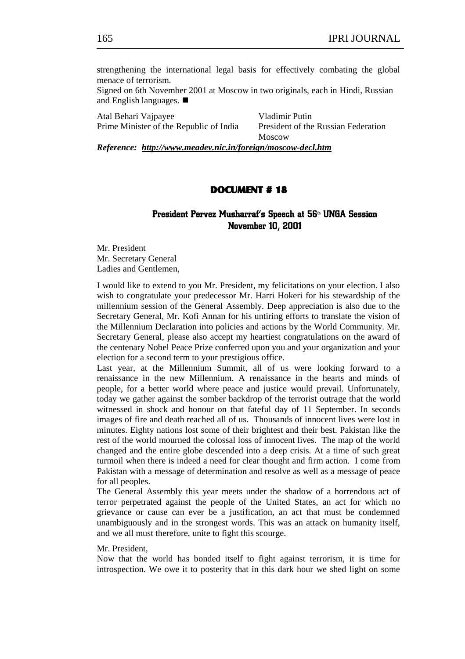strengthening the international legal basis for effectively combating the global menace of terrorism.

Signed on 6th November 2001 at Moscow in two originals, each in Hindi, Russian and English languages.

Atal Behari Vajpayee Vladimir Putin Prime Minister of the Republic of India President of the Russian Federation Moscow *Reference: http://www.meadev.nic.in/foreign/moscow-decl.htm*

# DOCUMENT # 18

## President Pervez Musharraf's Speech at 56<sup>th</sup> UNGA Session November 10, 2001

Mr. President Mr. Secretary General Ladies and Gentlemen,

I would like to extend to you Mr. President, my felicitations on your election. I also wish to congratulate your predecessor Mr. Harri Hokeri for his stewardship of the millennium session of the General Assembly. Deep appreciation is also due to the Secretary General, Mr. Kofi Annan for his untiring efforts to translate the vision of the Millennium Declaration into policies and actions by the World Community. Mr. Secretary General, please also accept my heartiest congratulations on the award of the centenary Nobel Peace Prize conferred upon you and your organization and your election for a second term to your prestigious office.

Last year, at the Millennium Summit, all of us were looking forward to a renaissance in the new Millennium. A renaissance in the hearts and minds of people, for a better world where peace and justice would prevail. Unfortunately, today we gather against the somber backdrop of the terrorist outrage that the world witnessed in shock and honour on that fateful day of 11 September. In seconds images of fire and death reached all of us. Thousands of innocent lives were lost in minutes. Eighty nations lost some of their brightest and their best. Pakistan like the rest of the world mourned the colossal loss of innocent lives. The map of the world changed and the entire globe descended into a deep crisis. At a time of such great turmoil when there is indeed a need for clear thought and firm action. I come from Pakistan with a message of determination and resolve as well as a message of peace for all peoples.

The General Assembly this year meets under the shadow of a horrendous act of terror perpetrated against the people of the United States, an act for which no grievance or cause can ever be a justification, an act that must be condemned unambiguously and in the strongest words. This was an attack on humanity itself, and we all must therefore, unite to fight this scourge.

#### Mr. President,

Now that the world has bonded itself to fight against terrorism, it is time for introspection. We owe it to posterity that in this dark hour we shed light on some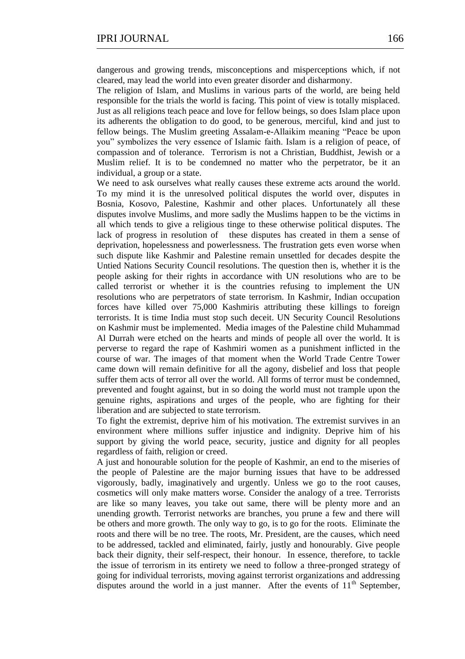dangerous and growing trends, misconceptions and misperceptions which, if not cleared, may lead the world into even greater disorder and disharmony.

The religion of Islam, and Muslims in various parts of the world, are being held responsible for the trials the world is facing. This point of view is totally misplaced. Just as all religions teach peace and love for fellow beings, so does Islam place upon its adherents the obligation to do good, to be generous, merciful, kind and just to fellow beings. The Muslim greeting Assalam-e-Allaikim meaning "Peace be upon you‖ symbolizes the very essence of Islamic faith. Islam is a religion of peace, of compassion and of tolerance. Terrorism is not a Christian, Buddhist, Jewish or a Muslim relief. It is to be condemned no matter who the perpetrator, be it an individual, a group or a state.

We need to ask ourselves what really causes these extreme acts around the world. To my mind it is the unresolved political disputes the world over, disputes in Bosnia, Kosovo, Palestine, Kashmir and other places. Unfortunately all these disputes involve Muslims, and more sadly the Muslims happen to be the victims in all which tends to give a religious tinge to these otherwise political disputes. The lack of progress in resolution of these disputes has created in them a sense of deprivation, hopelessness and powerlessness. The frustration gets even worse when such dispute like Kashmir and Palestine remain unsettled for decades despite the Untied Nations Security Council resolutions. The question then is, whether it is the people asking for their rights in accordance with UN resolutions who are to be called terrorist or whether it is the countries refusing to implement the UN resolutions who are perpetrators of state terrorism. In Kashmir, Indian occupation forces have killed over 75,000 Kashmiris attributing these killings to foreign terrorists. It is time India must stop such deceit. UN Security Council Resolutions on Kashmir must be implemented. Media images of the Palestine child Muhammad Al Durrah were etched on the hearts and minds of people all over the world. It is perverse to regard the rape of Kashmiri women as a punishment inflicted in the course of war. The images of that moment when the World Trade Centre Tower came down will remain definitive for all the agony, disbelief and loss that people suffer them acts of terror all over the world. All forms of terror must be condemned, prevented and fought against, but in so doing the world must not trample upon the genuine rights, aspirations and urges of the people, who are fighting for their liberation and are subjected to state terrorism.

To fight the extremist, deprive him of his motivation. The extremist survives in an environment where millions suffer injustice and indignity. Deprive him of his support by giving the world peace, security, justice and dignity for all peoples regardless of faith, religion or creed.

A just and honourable solution for the people of Kashmir, an end to the miseries of the people of Palestine are the major burning issues that have to be addressed vigorously, badly, imaginatively and urgently. Unless we go to the root causes, cosmetics will only make matters worse. Consider the analogy of a tree. Terrorists are like so many leaves, you take out same, there will be plenty more and an unending growth. Terrorist networks are branches, you prune a few and there will be others and more growth. The only way to go, is to go for the roots. Eliminate the roots and there will be no tree. The roots, Mr. President, are the causes, which need to be addressed, tackled and eliminated, fairly, justly and honourably. Give people back their dignity, their self-respect, their honour. In essence, therefore, to tackle the issue of terrorism in its entirety we need to follow a three-pronged strategy of going for individual terrorists, moving against terrorist organizations and addressing disputes around the world in a just manner. After the events of  $11<sup>th</sup>$  September,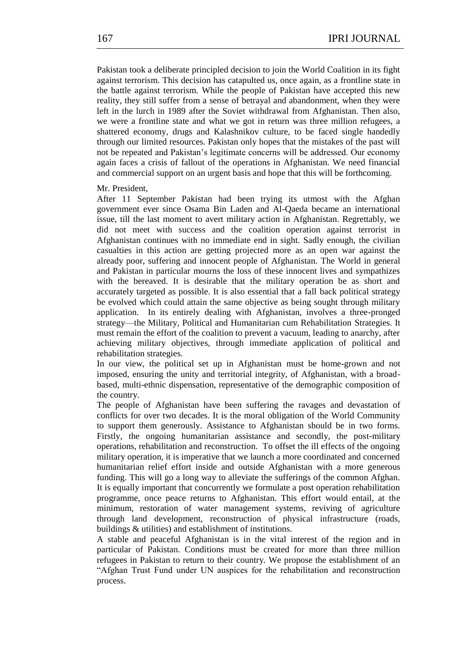Pakistan took a deliberate principled decision to join the World Coalition in its fight against terrorism. This decision has catapulted us, once again, as a frontline state in the battle against terrorism. While the people of Pakistan have accepted this new reality, they still suffer from a sense of betrayal and abandonment, when they were left in the lurch in 1989 after the Soviet withdrawal from Afghanistan. Then also, we were a frontline state and what we got in return was three million refugees, a shattered economy, drugs and Kalashnikov culture, to be faced single handedly through our limited resources. Pakistan only hopes that the mistakes of the past will not be repeated and Pakistan's legitimate concerns will be addressed. Our economy again faces a crisis of fallout of the operations in Afghanistan. We need financial and commercial support on an urgent basis and hope that this will be forthcoming.

Mr. President,

After 11 September Pakistan had been trying its utmost with the Afghan government ever since Osama Bin Laden and Al-Qaeda became an international issue, till the last moment to avert military action in Afghanistan. Regrettably, we did not meet with success and the coalition operation against terrorist in Afghanistan continues with no immediate end in sight. Sadly enough, the civilian casualties in this action are getting projected more as an open war against the already poor, suffering and innocent people of Afghanistan. The World in general and Pakistan in particular mourns the loss of these innocent lives and sympathizes with the bereaved. It is desirable that the military operation be as short and accurately targeted as possible. It is also essential that a fall back political strategy be evolved which could attain the same objective as being sought through military application. In its entirely dealing with Afghanistan, involves a three-pronged strategy—the Military, Political and Humanitarian cum Rehabilitation Strategies. It must remain the effort of the coalition to prevent a vacuum, leading to anarchy, after achieving military objectives, through immediate application of political and rehabilitation strategies.

In our view, the political set up in Afghanistan must be home-grown and not imposed, ensuring the unity and territorial integrity, of Afghanistan, with a broadbased, multi-ethnic dispensation, representative of the demographic composition of the country.

The people of Afghanistan have been suffering the ravages and devastation of conflicts for over two decades. It is the moral obligation of the World Community to support them generously. Assistance to Afghanistan should be in two forms. Firstly, the ongoing humanitarian assistance and secondly, the post-military operations, rehabilitation and reconstruction. To offset the ill effects of the ongoing military operation, it is imperative that we launch a more coordinated and concerned humanitarian relief effort inside and outside Afghanistan with a more generous funding. This will go a long way to alleviate the sufferings of the common Afghan. It is equally important that concurrently we formulate a post operation rehabilitation programme, once peace returns to Afghanistan. This effort would entail, at the minimum, restoration of water management systems, reviving of agriculture through land development, reconstruction of physical infrastructure (roads, buildings & utilities) and establishment of institutions.

A stable and peaceful Afghanistan is in the vital interest of the region and in particular of Pakistan. Conditions must be created for more than three million refugees in Pakistan to return to their country. We propose the establishment of an ―Afghan Trust Fund under UN auspices for the rehabilitation and reconstruction process.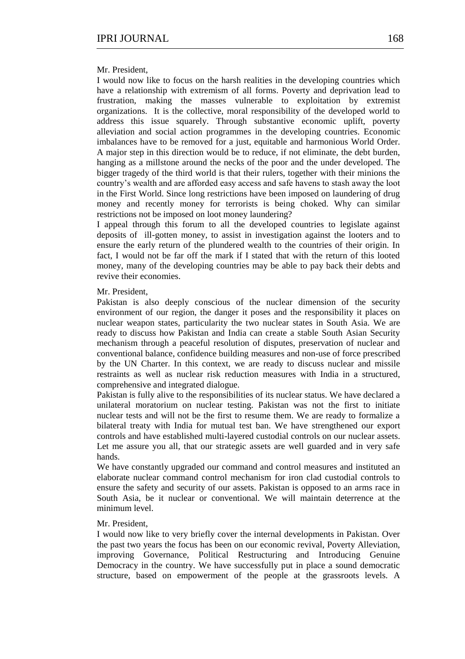Mr. President,

I would now like to focus on the harsh realities in the developing countries which have a relationship with extremism of all forms. Poverty and deprivation lead to frustration, making the masses vulnerable to exploitation by extremist organizations. It is the collective, moral responsibility of the developed world to address this issue squarely. Through substantive economic uplift, poverty alleviation and social action programmes in the developing countries. Economic imbalances have to be removed for a just, equitable and harmonious World Order. A major step in this direction would be to reduce, if not eliminate, the debt burden, hanging as a millstone around the necks of the poor and the under developed. The bigger tragedy of the third world is that their rulers, together with their minions the country's wealth and are afforded easy access and safe havens to stash away the loot in the First World. Since long restrictions have been imposed on laundering of drug money and recently money for terrorists is being choked. Why can similar restrictions not be imposed on loot money laundering?

I appeal through this forum to all the developed countries to legislate against deposits of ill-gotten money, to assist in investigation against the looters and to ensure the early return of the plundered wealth to the countries of their origin. In fact, I would not be far off the mark if I stated that with the return of this looted money, many of the developing countries may be able to pay back their debts and revive their economies.

### Mr. President,

Pakistan is also deeply conscious of the nuclear dimension of the security environment of our region, the danger it poses and the responsibility it places on nuclear weapon states, particularity the two nuclear states in South Asia. We are ready to discuss how Pakistan and India can create a stable South Asian Security mechanism through a peaceful resolution of disputes, preservation of nuclear and conventional balance, confidence building measures and non-use of force prescribed by the UN Charter. In this context, we are ready to discuss nuclear and missile restraints as well as nuclear risk reduction measures with India in a structured, comprehensive and integrated dialogue.

Pakistan is fully alive to the responsibilities of its nuclear status. We have declared a unilateral moratorium on nuclear testing. Pakistan was not the first to initiate nuclear tests and will not be the first to resume them. We are ready to formalize a bilateral treaty with India for mutual test ban. We have strengthened our export controls and have established multi-layered custodial controls on our nuclear assets. Let me assure you all, that our strategic assets are well guarded and in very safe hands.

We have constantly upgraded our command and control measures and instituted an elaborate nuclear command control mechanism for iron clad custodial controls to ensure the safety and security of our assets. Pakistan is opposed to an arms race in South Asia, be it nuclear or conventional. We will maintain deterrence at the minimum level.

### Mr. President,

I would now like to very briefly cover the internal developments in Pakistan. Over the past two years the focus has been on our economic revival, Poverty Alleviation, improving Governance, Political Restructuring and Introducing Genuine Democracy in the country. We have successfully put in place a sound democratic structure, based on empowerment of the people at the grassroots levels. A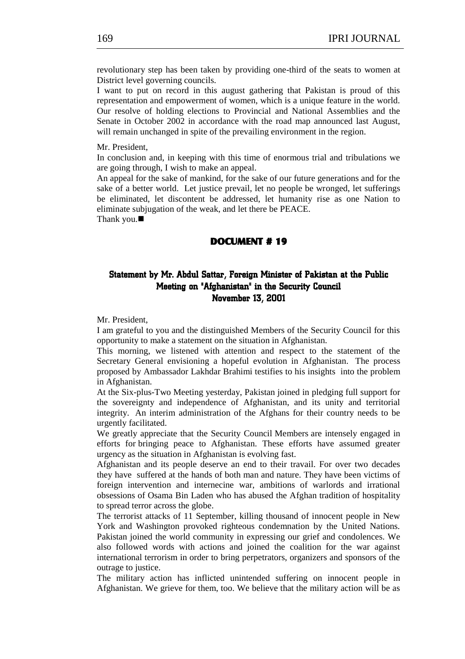revolutionary step has been taken by providing one-third of the seats to women at District level governing councils.

I want to put on record in this august gathering that Pakistan is proud of this representation and empowerment of women, which is a unique feature in the world. Our resolve of holding elections to Provincial and National Assemblies and the Senate in October 2002 in accordance with the road map announced last August, will remain unchanged in spite of the prevailing environment in the region.

Mr. President,

In conclusion and, in keeping with this time of enormous trial and tribulations we are going through, I wish to make an appeal.

An appeal for the sake of mankind, for the sake of our future generations and for the sake of a better world. Let justice prevail, let no people be wronged, let sufferings be eliminated, let discontent be addressed, let humanity rise as one Nation to eliminate subjugation of the weak, and let there be PEACE.

Thank you.

## DOCUMENT # 19

# Statement by Mr. Abdul Sattar, Foreign Minister of Pakistan at the Public Meeting on "Afghanistan" in the Security Council November 13, 2001

Mr. President,

I am grateful to you and the distinguished Members of the Security Council for this opportunity to make a statement on the situation in Afghanistan.

This morning, we listened with attention and respect to the statement of the Secretary General envisioning a hopeful evolution in Afghanistan. The process proposed by Ambassador Lakhdar Brahimi testifies to his insights into the problem in Afghanistan.

At the Six-plus-Two Meeting yesterday, Pakistan joined in pledging full support for the sovereignty and independence of Afghanistan, and its unity and territorial integrity. An interim administration of the Afghans for their country needs to be urgently facilitated.

We greatly appreciate that the Security Council Members are intensely engaged in efforts for bringing peace to Afghanistan. These efforts have assumed greater urgency as the situation in Afghanistan is evolving fast.

Afghanistan and its people deserve an end to their travail. For over two decades they have suffered at the hands of both man and nature. They have been victims of foreign intervention and internecine war, ambitions of warlords and irrational obsessions of Osama Bin Laden who has abused the Afghan tradition of hospitality to spread terror across the globe.

The terrorist attacks of 11 September, killing thousand of innocent people in New York and Washington provoked righteous condemnation by the United Nations. Pakistan joined the world community in expressing our grief and condolences. We also followed words with actions and joined the coalition for the war against international terrorism in order to bring perpetrators, organizers and sponsors of the outrage to justice.

The military action has inflicted unintended suffering on innocent people in Afghanistan. We grieve for them, too. We believe that the military action will be as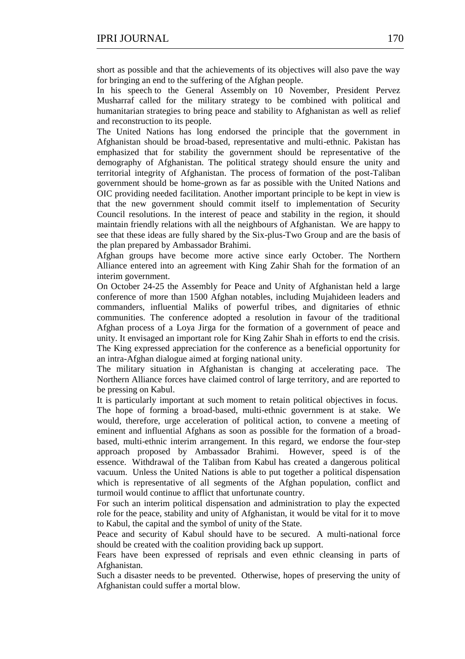short as possible and that the achievements of its objectives will also pave the way for bringing an end to the suffering of the Afghan people.

In his speech to the General Assembly on 10 November, President Pervez Musharraf called for the military strategy to be combined with political and humanitarian strategies to bring peace and stability to Afghanistan as well as relief and reconstruction to its people.

The United Nations has long endorsed the principle that the government in Afghanistan should be broad-based, representative and multi-ethnic. Pakistan has emphasized that for stability the government should be representative of the demography of Afghanistan. The political strategy should ensure the unity and territorial integrity of Afghanistan. The process of formation of the post-Taliban government should be home-grown as far as possible with the United Nations and OIC providing needed facilitation. Another important principle to be kept in view is that the new government should commit itself to implementation of Security Council resolutions. In the interest of peace and stability in the region, it should maintain friendly relations with all the neighbours of Afghanistan. We are happy to see that these ideas are fully shared by the Six-plus-Two Group and are the basis of the plan prepared by Ambassador Brahimi.

Afghan groups have become more active since early October. The Northern Alliance entered into an agreement with King Zahir Shah for the formation of an interim government.

On October 24-25 the Assembly for Peace and Unity of Afghanistan held a large conference of more than 1500 Afghan notables, including Mujahideen leaders and commanders, influential Maliks of powerful tribes, and dignitaries of ethnic communities. The conference adopted a resolution in favour of the traditional Afghan process of a Loya Jirga for the formation of a government of peace and unity. It envisaged an important role for King Zahir Shah in efforts to end the crisis. The King expressed appreciation for the conference as a beneficial opportunity for an intra-Afghan dialogue aimed at forging national unity.

The military situation in Afghanistan is changing at accelerating pace. The Northern Alliance forces have claimed control of large territory, and are reported to be pressing on Kabul.

It is particularly important at such moment to retain political objectives in focus.

The hope of forming a broad-based, multi-ethnic government is at stake. We would, therefore, urge acceleration of political action, to convene a meeting of eminent and influential Afghans as soon as possible for the formation of a broadbased, multi-ethnic interim arrangement. In this regard, we endorse the four-step approach proposed by Ambassador Brahimi. However, speed is of the essence. Withdrawal of the Taliban from Kabul has created a dangerous political vacuum. Unless the United Nations is able to put together a political dispensation which is representative of all segments of the Afghan population, conflict and turmoil would continue to afflict that unfortunate country.

For such an interim political dispensation and administration to play the expected role for the peace, stability and unity of Afghanistan, it would be vital for it to move to Kabul, the capital and the symbol of unity of the State.

Peace and security of Kabul should have to be secured. A multi-national force should be created with the coalition providing back up support.

Fears have been expressed of reprisals and even ethnic cleansing in parts of Afghanistan.

Such a disaster needs to be prevented. Otherwise, hopes of preserving the unity of Afghanistan could suffer a mortal blow.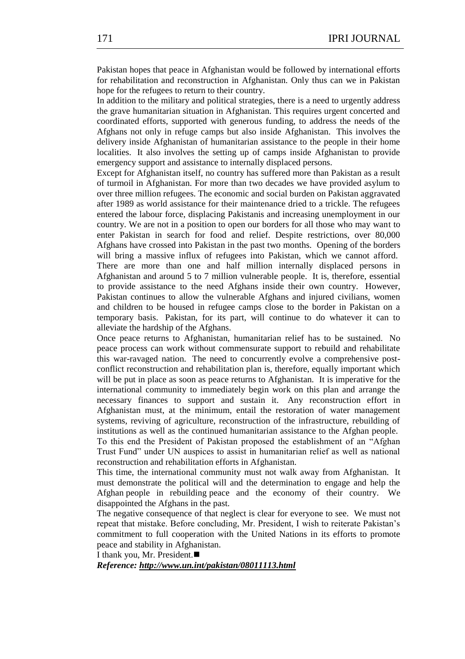Pakistan hopes that peace in Afghanistan would be followed by international efforts for rehabilitation and reconstruction in Afghanistan. Only thus can we in Pakistan hope for the refugees to return to their country.

In addition to the military and political strategies, there is a need to urgently address the grave humanitarian situation in Afghanistan. This requires urgent concerted and coordinated efforts, supported with generous funding, to address the needs of the Afghans not only in refuge camps but also inside Afghanistan. This involves the delivery inside Afghanistan of humanitarian assistance to the people in their home localities. It also involves the setting up of camps inside Afghanistan to provide emergency support and assistance to internally displaced persons.

Except for Afghanistan itself, no country has suffered more than Pakistan as a result of turmoil in Afghanistan. For more than two decades we have provided asylum to over three million refugees. The economic and social burden on Pakistan aggravated after 1989 as world assistance for their maintenance dried to a trickle. The refugees entered the labour force, displacing Pakistanis and increasing unemployment in our country. We are not in a position to open our borders for all those who may want to enter Pakistan in search for food and relief. Despite restrictions, over 80,000 Afghans have crossed into Pakistan in the past two months. Opening of the borders will bring a massive influx of refugees into Pakistan, which we cannot afford.

There are more than one and half million internally displaced persons in Afghanistan and around 5 to 7 million vulnerable people. It is, therefore, essential to provide assistance to the need Afghans inside their own country. However, Pakistan continues to allow the vulnerable Afghans and injured civilians, women and children to be housed in refugee camps close to the border in Pakistan on a temporary basis. Pakistan, for its part, will continue to do whatever it can to alleviate the hardship of the Afghans.

Once peace returns to Afghanistan, humanitarian relief has to be sustained. No peace process can work without commensurate support to rebuild and rehabilitate this war-ravaged nation. The need to concurrently evolve a comprehensive postconflict reconstruction and rehabilitation plan is, therefore, equally important which will be put in place as soon as peace returns to Afghanistan. It is imperative for the international community to immediately begin work on this plan and arrange the necessary finances to support and sustain it. Any reconstruction effort in Afghanistan must, at the minimum, entail the restoration of water management systems, reviving of agriculture, reconstruction of the infrastructure, rebuilding of institutions as well as the continued humanitarian assistance to the Afghan people.

To this end the President of Pakistan proposed the establishment of an "Afghan Trust Fund" under UN auspices to assist in humanitarian relief as well as national reconstruction and rehabilitation efforts in Afghanistan.

This time, the international community must not walk away from Afghanistan. It must demonstrate the political will and the determination to engage and help the Afghan people in rebuilding peace and the economy of their country. We disappointed the Afghans in the past.

The negative consequence of that neglect is clear for everyone to see. We must not repeat that mistake. Before concluding, Mr. President, I wish to reiterate Pakistan's commitment to full cooperation with the United Nations in its efforts to promote peace and stability in Afghanistan.

I thank you, Mr. President.

*Reference: http://www.un.int/pakistan/08011113.html*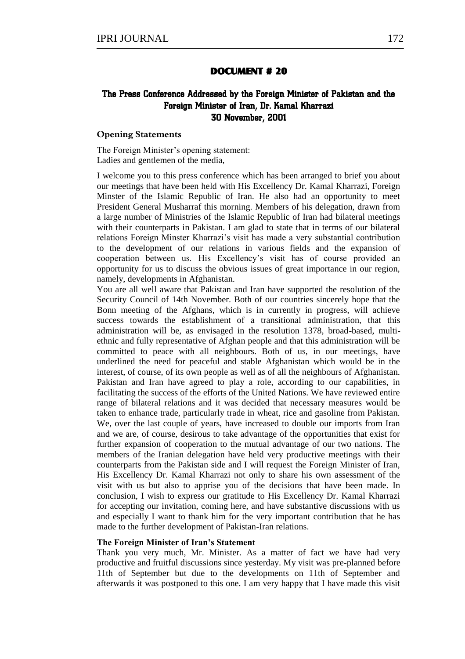### DOCUMENT # 20

# The Press Conference Addressed by the Foreign Minister of Pakistan and the Foreign Minister of Iran, Dr. Kamal Kharrazi 30 November, 2001

### **Opening Statements**

The Foreign Minister's opening statement: Ladies and gentlemen of the media,

I welcome you to this press conference which has been arranged to brief you about our meetings that have been held with His Excellency Dr. Kamal Kharrazi, Foreign Minster of the Islamic Republic of Iran. He also had an opportunity to meet President General Musharraf this morning. Members of his delegation, drawn from a large number of Ministries of the Islamic Republic of Iran had bilateral meetings with their counterparts in Pakistan. I am glad to state that in terms of our bilateral relations Foreign Minster Kharrazi's visit has made a very substantial contribution to the development of our relations in various fields and the expansion of cooperation between us. His Excellency's visit has of course provided an opportunity for us to discuss the obvious issues of great importance in our region, namely, developments in Afghanistan.

You are all well aware that Pakistan and Iran have supported the resolution of the Security Council of 14th November. Both of our countries sincerely hope that the Bonn meeting of the Afghans, which is in currently in progress, will achieve success towards the establishment of a transitional administration, that this administration will be, as envisaged in the resolution 1378, broad-based, multiethnic and fully representative of Afghan people and that this administration will be committed to peace with all neighbours. Both of us, in our meetings, have underlined the need for peaceful and stable Afghanistan which would be in the interest, of course, of its own people as well as of all the neighbours of Afghanistan. Pakistan and Iran have agreed to play a role, according to our capabilities, in facilitating the success of the efforts of the United Nations. We have reviewed entire range of bilateral relations and it was decided that necessary measures would be taken to enhance trade, particularly trade in wheat, rice and gasoline from Pakistan. We, over the last couple of years, have increased to double our imports from Iran and we are, of course, desirous to take advantage of the opportunities that exist for further expansion of cooperation to the mutual advantage of our two nations. The members of the Iranian delegation have held very productive meetings with their counterparts from the Pakistan side and I will request the Foreign Minister of Iran, His Excellency Dr. Kamal Kharrazi not only to share his own assessment of the visit with us but also to apprise you of the decisions that have been made. In conclusion, I wish to express our gratitude to His Excellency Dr. Kamal Kharrazi for accepting our invitation, coming here, and have substantive discussions with us and especially I want to thank him for the very important contribution that he has made to the further development of Pakistan-Iran relations.

#### **The Foreign Minister of Iran's Statement**

Thank you very much, Mr. Minister. As a matter of fact we have had very productive and fruitful discussions since yesterday. My visit was pre-planned before 11th of September but due to the developments on 11th of September and afterwards it was postponed to this one. I am very happy that I have made this visit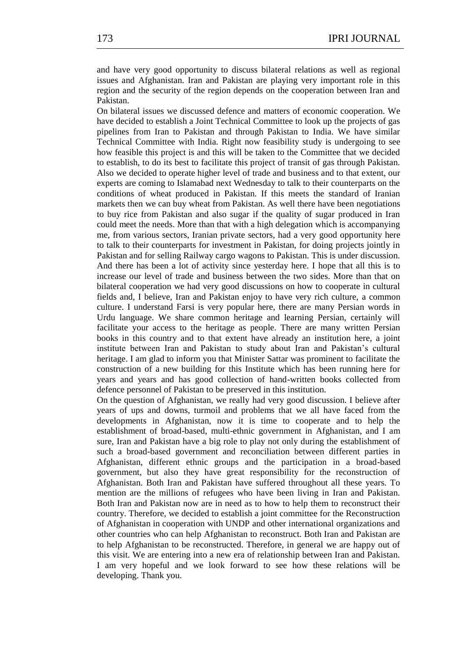and have very good opportunity to discuss bilateral relations as well as regional issues and Afghanistan. Iran and Pakistan are playing very important role in this region and the security of the region depends on the cooperation between Iran and Pakistan.

On bilateral issues we discussed defence and matters of economic cooperation. We have decided to establish a Joint Technical Committee to look up the projects of gas pipelines from Iran to Pakistan and through Pakistan to India. We have similar Technical Committee with India. Right now feasibility study is undergoing to see how feasible this project is and this will be taken to the Committee that we decided to establish, to do its best to facilitate this project of transit of gas through Pakistan. Also we decided to operate higher level of trade and business and to that extent, our experts are coming to Islamabad next Wednesday to talk to their counterparts on the conditions of wheat produced in Pakistan. If this meets the standard of Iranian markets then we can buy wheat from Pakistan. As well there have been negotiations to buy rice from Pakistan and also sugar if the quality of sugar produced in Iran could meet the needs. More than that with a high delegation which is accompanying me, from various sectors, Iranian private sectors, had a very good opportunity here to talk to their counterparts for investment in Pakistan, for doing projects jointly in Pakistan and for selling Railway cargo wagons to Pakistan. This is under discussion. And there has been a lot of activity since yesterday here. I hope that all this is to increase our level of trade and business between the two sides. More than that on bilateral cooperation we had very good discussions on how to cooperate in cultural fields and, I believe, Iran and Pakistan enjoy to have very rich culture, a common culture. I understand Farsi is very popular here, there are many Persian words in Urdu language. We share common heritage and learning Persian, certainly will facilitate your access to the heritage as people. There are many written Persian books in this country and to that extent have already an institution here, a joint institute between Iran and Pakistan to study about Iran and Pakistan's cultural heritage. I am glad to inform you that Minister Sattar was prominent to facilitate the construction of a new building for this Institute which has been running here for years and years and has good collection of hand-written books collected from defence personnel of Pakistan to be preserved in this institution.

On the question of Afghanistan, we really had very good discussion. I believe after years of ups and downs, turmoil and problems that we all have faced from the developments in Afghanistan, now it is time to cooperate and to help the establishment of broad-based, multi-ethnic government in Afghanistan, and I am sure, Iran and Pakistan have a big role to play not only during the establishment of such a broad-based government and reconciliation between different parties in Afghanistan, different ethnic groups and the participation in a broad-based government, but also they have great responsibility for the reconstruction of Afghanistan. Both Iran and Pakistan have suffered throughout all these years. To mention are the millions of refugees who have been living in Iran and Pakistan. Both Iran and Pakistan now are in need as to how to help them to reconstruct their country. Therefore, we decided to establish a joint committee for the Reconstruction of Afghanistan in cooperation with UNDP and other international organizations and other countries who can help Afghanistan to reconstruct. Both Iran and Pakistan are to help Afghanistan to be reconstructed. Therefore, in general we are happy out of this visit. We are entering into a new era of relationship between Iran and Pakistan. I am very hopeful and we look forward to see how these relations will be developing. Thank you.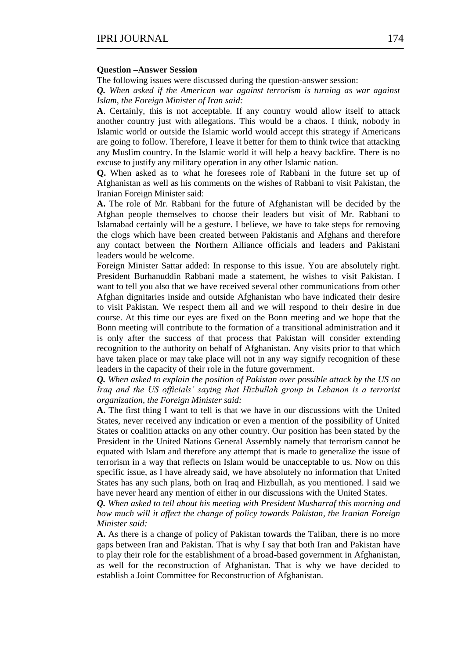### **Question –Answer Session**

The following issues were discussed during the question-answer session:

*Q. When asked if the American war against terrorism is turning as war against Islam, the Foreign Minister of Iran said:*

**A**. Certainly, this is not acceptable. If any country would allow itself to attack another country just with allegations. This would be a chaos. I think, nobody in Islamic world or outside the Islamic world would accept this strategy if Americans are going to follow. Therefore, I leave it better for them to think twice that attacking any Muslim country. In the Islamic world it will help a heavy backfire. There is no excuse to justify any military operation in any other Islamic nation.

**Q.** When asked as to what he foresees role of Rabbani in the future set up of Afghanistan as well as his comments on the wishes of Rabbani to visit Pakistan, the Iranian Foreign Minister said:

**A.** The role of Mr. Rabbani for the future of Afghanistan will be decided by the Afghan people themselves to choose their leaders but visit of Mr. Rabbani to Islamabad certainly will be a gesture. I believe, we have to take steps for removing the clogs which have been created between Pakistanis and Afghans and therefore any contact between the Northern Alliance officials and leaders and Pakistani leaders would be welcome.

Foreign Minister Sattar added: In response to this issue. You are absolutely right. President Burhanuddin Rabbani made a statement, he wishes to visit Pakistan. I want to tell you also that we have received several other communications from other Afghan dignitaries inside and outside Afghanistan who have indicated their desire to visit Pakistan. We respect them all and we will respond to their desire in due course. At this time our eyes are fixed on the Bonn meeting and we hope that the Bonn meeting will contribute to the formation of a transitional administration and it is only after the success of that process that Pakistan will consider extending recognition to the authority on behalf of Afghanistan. Any visits prior to that which have taken place or may take place will not in any way signify recognition of these leaders in the capacity of their role in the future government.

*Q. When asked to explain the position of Pakistan over possible attack by the US on Iraq and the US officials" saying that Hizbullah group in Lebanon is a terrorist organization, the Foreign Minister said:*

**A.** The first thing I want to tell is that we have in our discussions with the United States, never received any indication or even a mention of the possibility of United States or coalition attacks on any other country. Our position has been stated by the President in the United Nations General Assembly namely that terrorism cannot be equated with Islam and therefore any attempt that is made to generalize the issue of terrorism in a way that reflects on Islam would be unacceptable to us. Now on this specific issue, as I have already said, we have absolutely no information that United States has any such plans, both on Iraq and Hizbullah, as you mentioned. I said we have never heard any mention of either in our discussions with the United States.

*Q. When asked to tell about his meeting with President Musharraf this morning and how much will it affect the change of policy towards Pakistan, the Iranian Foreign Minister said:*

**A.** As there is a change of policy of Pakistan towards the Taliban, there is no more gaps between Iran and Pakistan. That is why I say that both Iran and Pakistan have to play their role for the establishment of a broad-based government in Afghanistan, as well for the reconstruction of Afghanistan. That is why we have decided to establish a Joint Committee for Reconstruction of Afghanistan.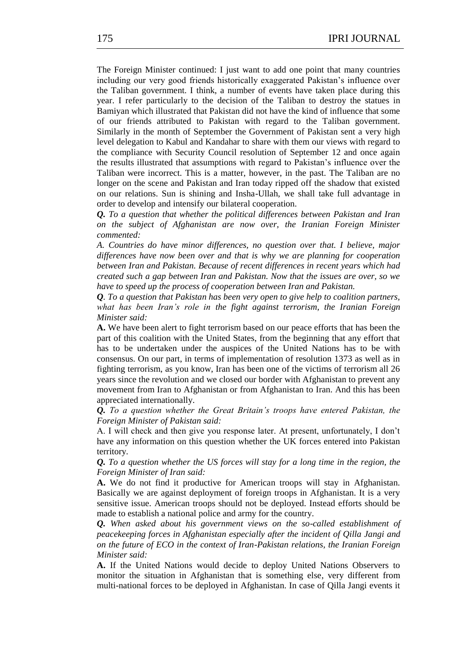The Foreign Minister continued: I just want to add one point that many countries including our very good friends historically exaggerated Pakistan's influence over the Taliban government. I think, a number of events have taken place during this year. I refer particularly to the decision of the Taliban to destroy the statues in Bamiyan which illustrated that Pakistan did not have the kind of influence that some of our friends attributed to Pakistan with regard to the Taliban government. Similarly in the month of September the Government of Pakistan sent a very high level delegation to Kabul and Kandahar to share with them our views with regard to the compliance with Security Council resolution of September 12 and once again the results illustrated that assumptions with regard to Pakistan's influence over the Taliban were incorrect. This is a matter, however, in the past. The Taliban are no longer on the scene and Pakistan and Iran today ripped off the shadow that existed on our relations. Sun is shining and Insha-Ullah, we shall take full advantage in order to develop and intensify our bilateral cooperation.

*Q. To a question that whether the political differences between Pakistan and Iran on the subject of Afghanistan are now over, the Iranian Foreign Minister commented:*

*A. Countries do have minor differences, no question over that. I believe, major differences have now been over and that is why we are planning for cooperation between Iran and Pakistan. Because of recent differences in recent years which had created such a gap between Iran and Pakistan. Now that the issues are over, so we have to speed up the process of cooperation between Iran and Pakistan.*

*Q. To a question that Pakistan has been very open to give help to coalition partners, what has been Iran"s role in the fight against terrorism, the Iranian Foreign Minister said:*

**A.** We have been alert to fight terrorism based on our peace efforts that has been the part of this coalition with the United States, from the beginning that any effort that has to be undertaken under the auspices of the United Nations has to be with consensus. On our part, in terms of implementation of resolution 1373 as well as in fighting terrorism, as you know, Iran has been one of the victims of terrorism all 26 years since the revolution and we closed our border with Afghanistan to prevent any movement from Iran to Afghanistan or from Afghanistan to Iran. And this has been appreciated internationally.

*Q. To a question whether the Great Britain"s troops have entered Pakistan, the Foreign Minister of Pakistan said:*

A. I will check and then give you response later. At present, unfortunately, I don't have any information on this question whether the UK forces entered into Pakistan territory.

*Q. To a question whether the US forces will stay for a long time in the region, the Foreign Minister of Iran said:*

**A.** We do not find it productive for American troops will stay in Afghanistan. Basically we are against deployment of foreign troops in Afghanistan. It is a very sensitive issue. American troops should not be deployed. Instead efforts should be made to establish a national police and army for the country.

*Q. When asked about his government views on the so-called establishment of peacekeeping forces in Afghanistan especially after the incident of Qilla Jangi and on the future of ECO in the context of Iran-Pakistan relations, the Iranian Foreign Minister said:*

**A.** If the United Nations would decide to deploy United Nations Observers to monitor the situation in Afghanistan that is something else, very different from multi-national forces to be deployed in Afghanistan. In case of Qilla Jangi events it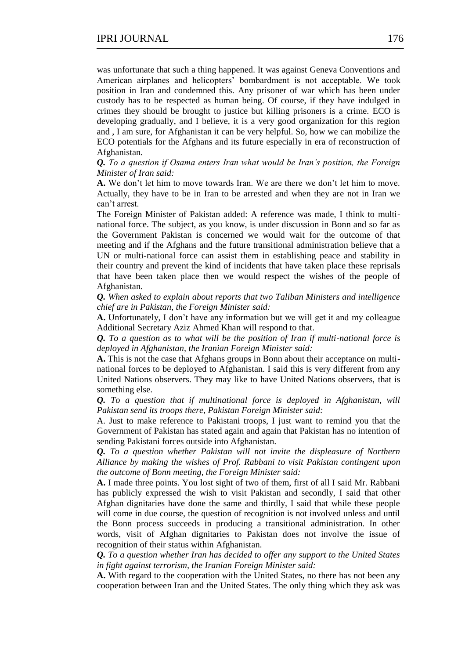was unfortunate that such a thing happened. It was against Geneva Conventions and American airplanes and helicopters' bombardment is not acceptable. We took position in Iran and condemned this. Any prisoner of war which has been under custody has to be respected as human being. Of course, if they have indulged in crimes they should be brought to justice but killing prisoners is a crime. ECO is developing gradually, and I believe, it is a very good organization for this region and , I am sure, for Afghanistan it can be very helpful. So, how we can mobilize the ECO potentials for the Afghans and its future especially in era of reconstruction of Afghanistan.

*Q. To a question if Osama enters Iran what would be Iran"s position, the Foreign Minister of Iran said:*

**A.** We don't let him to move towards Iran. We are there we don't let him to move. Actually, they have to be in Iran to be arrested and when they are not in Iran we can't arrest.

The Foreign Minister of Pakistan added: A reference was made, I think to multinational force. The subject, as you know, is under discussion in Bonn and so far as the Government Pakistan is concerned we would wait for the outcome of that meeting and if the Afghans and the future transitional administration believe that a UN or multi-national force can assist them in establishing peace and stability in their country and prevent the kind of incidents that have taken place these reprisals that have been taken place then we would respect the wishes of the people of Afghanistan.

*Q. When asked to explain about reports that two Taliban Ministers and intelligence chief are in Pakistan, the Foreign Minister said:*

**A.** Unfortunately, I don't have any information but we will get it and my colleague Additional Secretary Aziz Ahmed Khan will respond to that.

*Q. To a question as to what will be the position of Iran if multi-national force is deployed in Afghanistan, the Iranian Foreign Minister said:*

**A.** This is not the case that Afghans groups in Bonn about their acceptance on multinational forces to be deployed to Afghanistan. I said this is very different from any United Nations observers. They may like to have United Nations observers, that is something else.

*Q. To a question that if multinational force is deployed in Afghanistan, will Pakistan send its troops there, Pakistan Foreign Minister said:*

A. Just to make reference to Pakistani troops, I just want to remind you that the Government of Pakistan has stated again and again that Pakistan has no intention of sending Pakistani forces outside into Afghanistan.

*Q. To a question whether Pakistan will not invite the displeasure of Northern Alliance by making the wishes of Prof. Rabbani to visit Pakistan contingent upon the outcome of Bonn meeting, the Foreign Minister said:*

**A.** I made three points. You lost sight of two of them, first of all I said Mr. Rabbani has publicly expressed the wish to visit Pakistan and secondly, I said that other Afghan dignitaries have done the same and thirdly, I said that while these people will come in due course, the question of recognition is not involved unless and until the Bonn process succeeds in producing a transitional administration. In other words, visit of Afghan dignitaries to Pakistan does not involve the issue of recognition of their status within Afghanistan.

*Q. To a question whether Iran has decided to offer any support to the United States in fight against terrorism, the Iranian Foreign Minister said:*

**A.** With regard to the cooperation with the United States, no there has not been any cooperation between Iran and the United States. The only thing which they ask was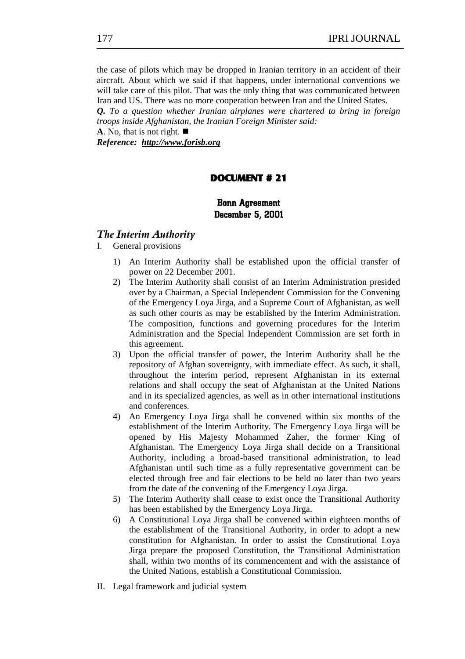the case of pilots which may be dropped in Iranian territory in an accident of their aircraft. About which we said if that happens, under international conventions we will take care of this pilot. That was the only thing that was communicated between Iran and US. There was no more cooperation between Iran and the United States. *Q. To a question whether Iranian airplanes were chartered to bring in foreign troops inside Afghanistan, the Iranian Foreign Minister said:* **A**. No, that is not right.

*Reference: http://www.forisb.org*

## DOCUMENT # 21

Bonn Agreement December 5, 2001

### *The Interim Authority*

- I. General provisions
	- 1) An Interim Authority shall be established upon the official transfer of power on 22 December 2001.
	- 2) The Interim Authority shall consist of an Interim Administration presided over by a Chairman, a Special Independent Commission for the Convening of the Emergency Loya Jirga, and a Supreme Court of Afghanistan, as well as such other courts as may be established by the Interim Administration. The composition, functions and governing procedures for the Interim Administration and the Special Independent Commission are set forth in this agreement.
	- 3) Upon the official transfer of power, the Interim Authority shall be the repository of Afghan sovereignty, with immediate effect. As such, it shall, throughout the interim period, represent Afghanistan in its external relations and shall occupy the seat of Afghanistan at the United Nations and in its specialized agencies, as well as in other international institutions and conferences.
	- 4) An Emergency Loya Jirga shall be convened within six months of the establishment of the Interim Authority. The Emergency Loya Jirga will be opened by His Majesty Mohammed Zaher, the former King of Afghanistan. The Emergency Loya Jirga shall decide on a Transitional Authority, including a broad-based transitional administration, to lead Afghanistan until such time as a fully representative government can be elected through free and fair elections to be held no later than two years from the date of the convening of the Emergency Loya Jirga.
	- 5) The Interim Authority shall cease to exist once the Transitional Authority has been established by the Emergency Loya Jirga.
	- 6) A Constitutional Loya Jirga shall be convened within eighteen months of the establishment of the Transitional Authority, in order to adopt a new constitution for Afghanistan. In order to assist the Constitutional Loya Jirga prepare the proposed Constitution, the Transitional Administration shall, within two months of its commencement and with the assistance of the United Nations, establish a Constitutional Commission.
- II. Legal framework and judicial system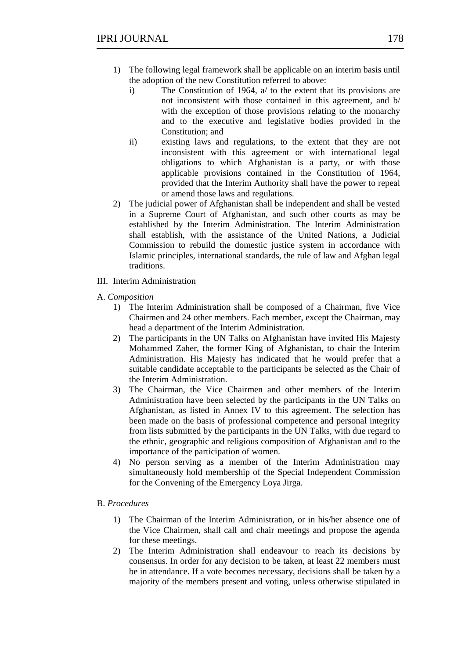- 1) The following legal framework shall be applicable on an interim basis until the adoption of the new Constitution referred to above:
	- i) The Constitution of 1964, a/ to the extent that its provisions are not inconsistent with those contained in this agreement, and b/ with the exception of those provisions relating to the monarchy and to the executive and legislative bodies provided in the Constitution; and
	- ii) existing laws and regulations, to the extent that they are not inconsistent with this agreement or with international legal obligations to which Afghanistan is a party, or with those applicable provisions contained in the Constitution of 1964, provided that the Interim Authority shall have the power to repeal or amend those laws and regulations.
- 2) The judicial power of Afghanistan shall be independent and shall be vested in a Supreme Court of Afghanistan, and such other courts as may be established by the Interim Administration. The Interim Administration shall establish, with the assistance of the United Nations, a Judicial Commission to rebuild the domestic justice system in accordance with Islamic principles, international standards, the rule of law and Afghan legal traditions.
- III. Interim Administration
- A. *Composition*
	- 1) The Interim Administration shall be composed of a Chairman, five Vice Chairmen and 24 other members. Each member, except the Chairman, may head a department of the Interim Administration.
	- 2) The participants in the UN Talks on Afghanistan have invited His Majesty Mohammed Zaher, the former King of Afghanistan, to chair the Interim Administration. His Majesty has indicated that he would prefer that a suitable candidate acceptable to the participants be selected as the Chair of the Interim Administration.
	- 3) The Chairman, the Vice Chairmen and other members of the Interim Administration have been selected by the participants in the UN Talks on Afghanistan, as listed in Annex IV to this agreement. The selection has been made on the basis of professional competence and personal integrity from lists submitted by the participants in the UN Talks, with due regard to the ethnic, geographic and religious composition of Afghanistan and to the importance of the participation of women.
	- 4) No person serving as a member of the Interim Administration may simultaneously hold membership of the Special Independent Commission for the Convening of the Emergency Loya Jirga.

### B. *Procedures*

- 1) The Chairman of the Interim Administration, or in his/her absence one of the Vice Chairmen, shall call and chair meetings and propose the agenda for these meetings.
- 2) The Interim Administration shall endeavour to reach its decisions by consensus. In order for any decision to be taken, at least 22 members must be in attendance. If a vote becomes necessary, decisions shall be taken by a majority of the members present and voting, unless otherwise stipulated in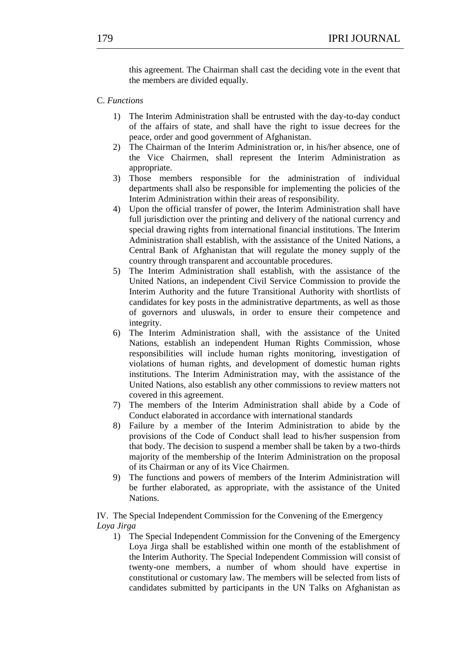this agreement. The Chairman shall cast the deciding vote in the event that the members are divided equally.

### C. *Functions*

- 1) The Interim Administration shall be entrusted with the day-to-day conduct of the affairs of state, and shall have the right to issue decrees for the peace, order and good government of Afghanistan.
- 2) The Chairman of the Interim Administration or, in his/her absence, one of the Vice Chairmen, shall represent the Interim Administration as appropriate.
- 3) Those members responsible for the administration of individual departments shall also be responsible for implementing the policies of the Interim Administration within their areas of responsibility.
- 4) Upon the official transfer of power, the Interim Administration shall have full jurisdiction over the printing and delivery of the national currency and special drawing rights from international financial institutions. The Interim Administration shall establish, with the assistance of the United Nations, a Central Bank of Afghanistan that will regulate the money supply of the country through transparent and accountable procedures.
- 5) The Interim Administration shall establish, with the assistance of the United Nations, an independent Civil Service Commission to provide the Interim Authority and the future Transitional Authority with shortlists of candidates for key posts in the administrative departments, as well as those of governors and uluswals, in order to ensure their competence and integrity.
- 6) The Interim Administration shall, with the assistance of the United Nations, establish an independent Human Rights Commission, whose responsibilities will include human rights monitoring, investigation of violations of human rights, and development of domestic human rights institutions. The Interim Administration may, with the assistance of the United Nations, also establish any other commissions to review matters not covered in this agreement.
- 7) The members of the Interim Administration shall abide by a Code of Conduct elaborated in accordance with international standards
- 8) Failure by a member of the Interim Administration to abide by the provisions of the Code of Conduct shall lead to his/her suspension from that body. The decision to suspend a member shall be taken by a two-thirds majority of the membership of the Interim Administration on the proposal of its Chairman or any of its Vice Chairmen.
- 9) The functions and powers of members of the Interim Administration will be further elaborated, as appropriate, with the assistance of the United Nations.

IV. The Special Independent Commission for the Convening of the Emergency *Loya Jirga*

1) The Special Independent Commission for the Convening of the Emergency Loya Jirga shall be established within one month of the establishment of the Interim Authority. The Special Independent Commission will consist of twenty-one members, a number of whom should have expertise in constitutional or customary law. The members will be selected from lists of candidates submitted by participants in the UN Talks on Afghanistan as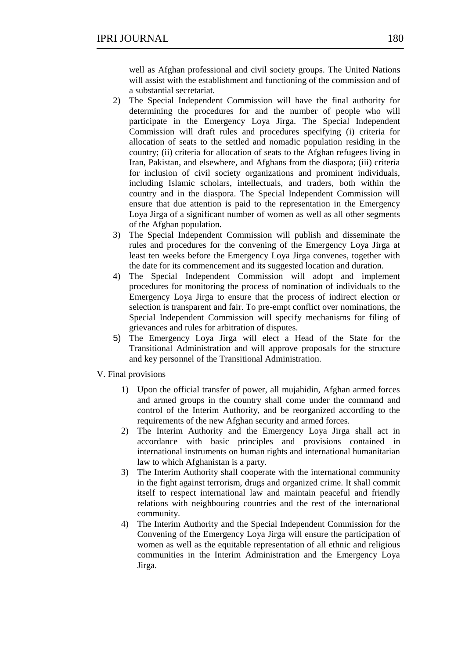well as Afghan professional and civil society groups. The United Nations will assist with the establishment and functioning of the commission and of a substantial secretariat.

- 2) The Special Independent Commission will have the final authority for determining the procedures for and the number of people who will participate in the Emergency Loya Jirga. The Special Independent Commission will draft rules and procedures specifying (i) criteria for allocation of seats to the settled and nomadic population residing in the country; (ii) criteria for allocation of seats to the Afghan refugees living in Iran, Pakistan, and elsewhere, and Afghans from the diaspora; (iii) criteria for inclusion of civil society organizations and prominent individuals, including Islamic scholars, intellectuals, and traders, both within the country and in the diaspora. The Special Independent Commission will ensure that due attention is paid to the representation in the Emergency Loya Jirga of a significant number of women as well as all other segments of the Afghan population.
- 3) The Special Independent Commission will publish and disseminate the rules and procedures for the convening of the Emergency Loya Jirga at least ten weeks before the Emergency Loya Jirga convenes, together with the date for its commencement and its suggested location and duration.
- 4) The Special Independent Commission will adopt and implement procedures for monitoring the process of nomination of individuals to the Emergency Loya Jirga to ensure that the process of indirect election or selection is transparent and fair. To pre-empt conflict over nominations, the Special Independent Commission will specify mechanisms for filing of grievances and rules for arbitration of disputes.
- 5) The Emergency Loya Jirga will elect a Head of the State for the Transitional Administration and will approve proposals for the structure and key personnel of the Transitional Administration.
- V. Final provisions
	- 1) Upon the official transfer of power, all mujahidin, Afghan armed forces and armed groups in the country shall come under the command and control of the Interim Authority, and be reorganized according to the requirements of the new Afghan security and armed forces.
	- 2) The Interim Authority and the Emergency Loya Jirga shall act in accordance with basic principles and provisions contained in international instruments on human rights and international humanitarian law to which Afghanistan is a party.
	- 3) The Interim Authority shall cooperate with the international community in the fight against terrorism, drugs and organized crime. It shall commit itself to respect international law and maintain peaceful and friendly relations with neighbouring countries and the rest of the international community.
	- 4) The Interim Authority and the Special Independent Commission for the Convening of the Emergency Loya Jirga will ensure the participation of women as well as the equitable representation of all ethnic and religious communities in the Interim Administration and the Emergency Loya Jirga.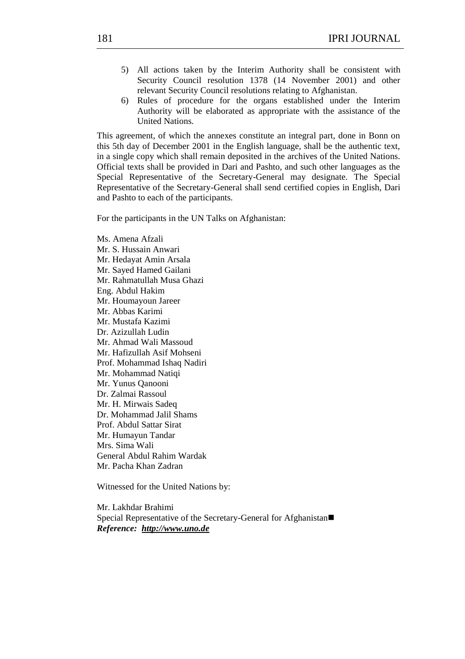- 5) All actions taken by the Interim Authority shall be consistent with Security Council resolution 1378 (14 November 2001) and other relevant Security Council resolutions relating to Afghanistan.
- 6) Rules of procedure for the organs established under the Interim Authority will be elaborated as appropriate with the assistance of the United Nations.

This agreement, of which the annexes constitute an integral part, done in Bonn on this 5th day of December 2001 in the English language, shall be the authentic text, in a single copy which shall remain deposited in the archives of the United Nations. Official texts shall be provided in Dari and Pashto, and such other languages as the Special Representative of the Secretary-General may designate. The Special Representative of the Secretary-General shall send certified copies in English, Dari and Pashto to each of the participants.

For the participants in the UN Talks on Afghanistan:

Ms. Amena Afzali Mr. S. Hussain Anwari Mr. Hedayat Amin Arsala Mr. Sayed Hamed Gailani Mr. Rahmatullah Musa Ghazi Eng. Abdul Hakim Mr. Houmayoun Jareer Mr. Abbas Karimi Mr. Mustafa Kazimi Dr. Azizullah Ludin Mr. Ahmad Wali Massoud Mr. Hafizullah Asif Mohseni Prof. Mohammad Ishaq Nadiri Mr. Mohammad Natiqi Mr. Yunus Qanooni Dr. Zalmai Rassoul Mr. H. Mirwais Sadeq Dr. Mohammad Jalil Shams Prof. Abdul Sattar Sirat Mr. Humayun Tandar Mrs. Sima Wali General Abdul Rahim Wardak Mr. Pacha Khan Zadran

Witnessed for the United Nations by:

Mr. Lakhdar Brahimi Special Representative of the Secretary-General for Afghanistan *Reference: http://www.uno.de*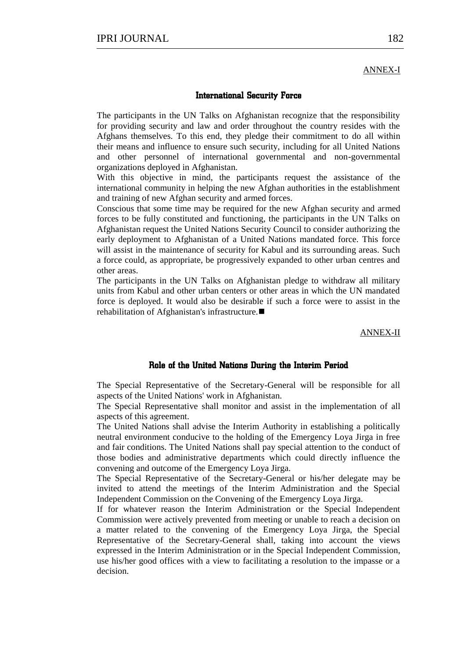### ANNEX-I

### International Security Force

The participants in the UN Talks on Afghanistan recognize that the responsibility for providing security and law and order throughout the country resides with the Afghans themselves. To this end, they pledge their commitment to do all within their means and influence to ensure such security, including for all United Nations and other personnel of international governmental and non-governmental organizations deployed in Afghanistan.

With this objective in mind, the participants request the assistance of the international community in helping the new Afghan authorities in the establishment and training of new Afghan security and armed forces.

Conscious that some time may be required for the new Afghan security and armed forces to be fully constituted and functioning, the participants in the UN Talks on Afghanistan request the United Nations Security Council to consider authorizing the early deployment to Afghanistan of a United Nations mandated force. This force will assist in the maintenance of security for Kabul and its surrounding areas. Such a force could, as appropriate, be progressively expanded to other urban centres and other areas.

The participants in the UN Talks on Afghanistan pledge to withdraw all military units from Kabul and other urban centers or other areas in which the UN mandated force is deployed. It would also be desirable if such a force were to assist in the rehabilitation of Afghanistan's infrastructure.

#### ANNEX-II

### Role of the United Nations During the Interim Period

The Special Representative of the Secretary-General will be responsible for all aspects of the United Nations' work in Afghanistan.

The Special Representative shall monitor and assist in the implementation of all aspects of this agreement.

The United Nations shall advise the Interim Authority in establishing a politically neutral environment conducive to the holding of the Emergency Loya Jirga in free and fair conditions. The United Nations shall pay special attention to the conduct of those bodies and administrative departments which could directly influence the convening and outcome of the Emergency Loya Jirga.

The Special Representative of the Secretary-General or his/her delegate may be invited to attend the meetings of the Interim Administration and the Special Independent Commission on the Convening of the Emergency Loya Jirga.

If for whatever reason the Interim Administration or the Special Independent Commission were actively prevented from meeting or unable to reach a decision on a matter related to the convening of the Emergency Loya Jirga, the Special Representative of the Secretary-General shall, taking into account the views expressed in the Interim Administration or in the Special Independent Commission, use his/her good offices with a view to facilitating a resolution to the impasse or a decision.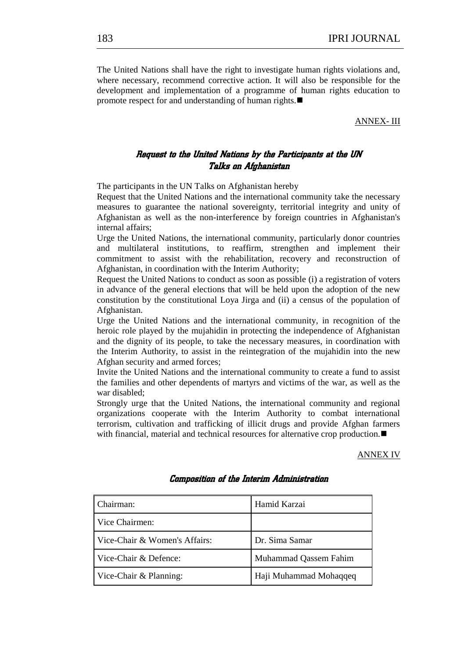The United Nations shall have the right to investigate human rights violations and, where necessary, recommend corrective action. It will also be responsible for the development and implementation of a programme of human rights education to promote respect for and understanding of human rights.

ANNEX- III

# Request to the United Nations by the Participants at the UN Talks on Afghanistan

The participants in the UN Talks on Afghanistan hereby

Request that the United Nations and the international community take the necessary measures to guarantee the national sovereignty, territorial integrity and unity of Afghanistan as well as the non-interference by foreign countries in Afghanistan's internal affairs;

Urge the United Nations, the international community, particularly donor countries and multilateral institutions, to reaffirm, strengthen and implement their commitment to assist with the rehabilitation, recovery and reconstruction of Afghanistan, in coordination with the Interim Authority;

Request the United Nations to conduct as soon as possible (i) a registration of voters in advance of the general elections that will be held upon the adoption of the new constitution by the constitutional Loya Jirga and (ii) a census of the population of Afghanistan.

Urge the United Nations and the international community, in recognition of the heroic role played by the mujahidin in protecting the independence of Afghanistan and the dignity of its people, to take the necessary measures, in coordination with the Interim Authority, to assist in the reintegration of the mujahidin into the new Afghan security and armed forces;

Invite the United Nations and the international community to create a fund to assist the families and other dependents of martyrs and victims of the war, as well as the war disabled;

Strongly urge that the United Nations, the international community and regional organizations cooperate with the Interim Authority to combat international terrorism, cultivation and trafficking of illicit drugs and provide Afghan farmers with financial, material and technical resources for alternative crop production.

ANNEX IV

| Chairman:                     | Hamid Karzai           |
|-------------------------------|------------------------|
| Vice Chairmen:                |                        |
| Vice-Chair & Women's Affairs: | Dr. Sima Samar         |
| Vice-Chair & Defence:         | Muhammad Qassem Fahim  |
| Vice-Chair & Planning:        | Haji Muhammad Mohaqqeq |

### Composition of the Interim Administration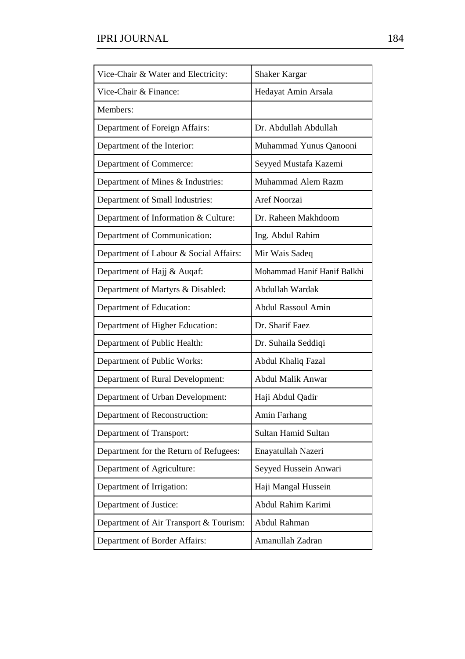| Vice-Chair & Water and Electricity:    | <b>Shaker Kargar</b>        |
|----------------------------------------|-----------------------------|
| Vice-Chair & Finance:                  | Hedayat Amin Arsala         |
| Members:                               |                             |
| Department of Foreign Affairs:         | Dr. Abdullah Abdullah       |
| Department of the Interior:            | Muhammad Yunus Qanooni      |
| Department of Commerce:                | Seyyed Mustafa Kazemi       |
| Department of Mines & Industries:      | Muhammad Alem Razm          |
| Department of Small Industries:        | Aref Noorzai                |
| Department of Information & Culture:   | Dr. Raheen Makhdoom         |
| Department of Communication:           | Ing. Abdul Rahim            |
| Department of Labour & Social Affairs: | Mir Wais Sadeq              |
| Department of Hajj & Auqaf:            | Mohammad Hanif Hanif Balkhi |
| Department of Martyrs & Disabled:      | Abdullah Wardak             |
| Department of Education:               | <b>Abdul Rassoul Amin</b>   |
| Department of Higher Education:        | Dr. Sharif Faez             |
| Department of Public Health:           | Dr. Suhaila Seddiqi         |
| Department of Public Works:            | Abdul Khaliq Fazal          |
| Department of Rural Development:       | Abdul Malik Anwar           |
| Department of Urban Development:       | Haji Abdul Qadir            |
| Department of Reconstruction:          | Amin Farhang                |
| Department of Transport:               | Sultan Hamid Sultan         |
| Department for the Return of Refugees: | Enayatullah Nazeri          |
| Department of Agriculture:             | Seyyed Hussein Anwari       |
| Department of Irrigation:              | Haji Mangal Hussein         |
| Department of Justice:                 | Abdul Rahim Karimi          |
| Department of Air Transport & Tourism: | Abdul Rahman                |
| Department of Border Affairs:          | Amanullah Zadran            |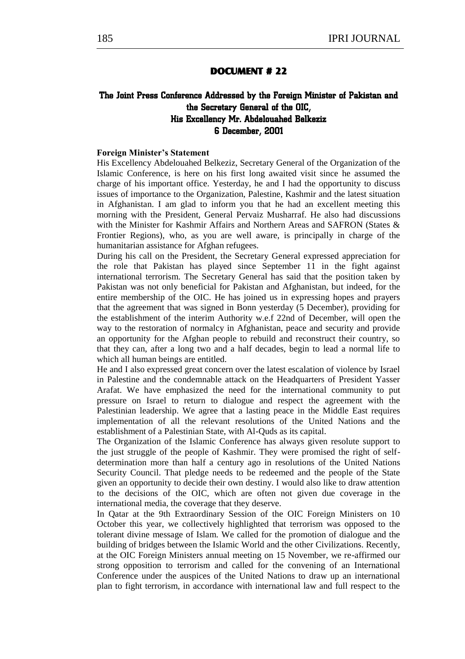## DOCUMENT # 22

# The Joint Press Conference Addressed by the Foreign Minister of Pakistan and the Secretary General of the OIC, His Excellency Mr. Abdelouahed Belkeziz 6 December, 2001

#### **Foreign Minister's Statement**

His Excellency Abdelouahed Belkeziz, Secretary General of the Organization of the Islamic Conference, is here on his first long awaited visit since he assumed the charge of his important office. Yesterday, he and I had the opportunity to discuss issues of importance to the Organization, Palestine, Kashmir and the latest situation in Afghanistan. I am glad to inform you that he had an excellent meeting this morning with the President, General Pervaiz Musharraf. He also had discussions with the Minister for Kashmir Affairs and Northern Areas and SAFRON (States & Frontier Regions), who, as you are well aware, is principally in charge of the humanitarian assistance for Afghan refugees.

During his call on the President, the Secretary General expressed appreciation for the role that Pakistan has played since September 11 in the fight against international terrorism. The Secretary General has said that the position taken by Pakistan was not only beneficial for Pakistan and Afghanistan, but indeed, for the entire membership of the OIC. He has joined us in expressing hopes and prayers that the agreement that was signed in Bonn yesterday (5 December), providing for the establishment of the interim Authority w.e.f 22nd of December, will open the way to the restoration of normalcy in Afghanistan, peace and security and provide an opportunity for the Afghan people to rebuild and reconstruct their country, so that they can, after a long two and a half decades, begin to lead a normal life to which all human beings are entitled.

He and I also expressed great concern over the latest escalation of violence by Israel in Palestine and the condemnable attack on the Headquarters of President Yasser Arafat. We have emphasized the need for the international community to put pressure on Israel to return to dialogue and respect the agreement with the Palestinian leadership. We agree that a lasting peace in the Middle East requires implementation of all the relevant resolutions of the United Nations and the establishment of a Palestinian State, with Al-Quds as its capital.

The Organization of the Islamic Conference has always given resolute support to the just struggle of the people of Kashmir. They were promised the right of selfdetermination more than half a century ago in resolutions of the United Nations Security Council. That pledge needs to be redeemed and the people of the State given an opportunity to decide their own destiny. I would also like to draw attention to the decisions of the OIC, which are often not given due coverage in the international media, the coverage that they deserve.

In Qatar at the 9th Extraordinary Session of the OIC Foreign Ministers on 10 October this year, we collectively highlighted that terrorism was opposed to the tolerant divine message of Islam. We called for the promotion of dialogue and the building of bridges between the Islamic World and the other Civilizations. Recently, at the OIC Foreign Ministers annual meeting on 15 November, we re-affirmed our strong opposition to terrorism and called for the convening of an International Conference under the auspices of the United Nations to draw up an international plan to fight terrorism, in accordance with international law and full respect to the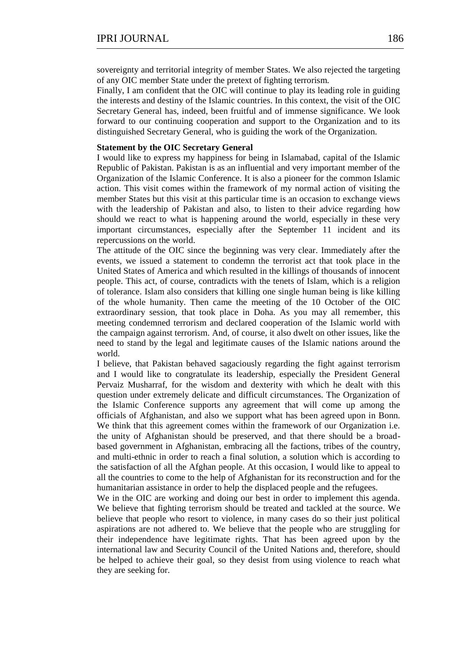sovereignty and territorial integrity of member States. We also rejected the targeting of any OIC member State under the pretext of fighting terrorism.

Finally, I am confident that the OIC will continue to play its leading role in guiding the interests and destiny of the Islamic countries. In this context, the visit of the OIC Secretary General has, indeed, been fruitful and of immense significance. We look forward to our continuing cooperation and support to the Organization and to its distinguished Secretary General, who is guiding the work of the Organization.

### **Statement by the OIC Secretary General**

I would like to express my happiness for being in Islamabad, capital of the Islamic Republic of Pakistan. Pakistan is as an influential and very important member of the Organization of the Islamic Conference. It is also a pioneer for the common Islamic action. This visit comes within the framework of my normal action of visiting the member States but this visit at this particular time is an occasion to exchange views with the leadership of Pakistan and also, to listen to their advice regarding how should we react to what is happening around the world, especially in these very important circumstances, especially after the September 11 incident and its repercussions on the world.

The attitude of the OIC since the beginning was very clear. Immediately after the events, we issued a statement to condemn the terrorist act that took place in the United States of America and which resulted in the killings of thousands of innocent people. This act, of course, contradicts with the tenets of Islam, which is a religion of tolerance. Islam also considers that killing one single human being is like killing of the whole humanity. Then came the meeting of the 10 October of the OIC extraordinary session, that took place in Doha. As you may all remember, this meeting condemned terrorism and declared cooperation of the Islamic world with the campaign against terrorism. And, of course, it also dwelt on other issues, like the need to stand by the legal and legitimate causes of the Islamic nations around the world.

I believe, that Pakistan behaved sagaciously regarding the fight against terrorism and I would like to congratulate its leadership, especially the President General Pervaiz Musharraf, for the wisdom and dexterity with which he dealt with this question under extremely delicate and difficult circumstances. The Organization of the Islamic Conference supports any agreement that will come up among the officials of Afghanistan, and also we support what has been agreed upon in Bonn. We think that this agreement comes within the framework of our Organization i.e. the unity of Afghanistan should be preserved, and that there should be a broadbased government in Afghanistan, embracing all the factions, tribes of the country, and multi-ethnic in order to reach a final solution, a solution which is according to the satisfaction of all the Afghan people. At this occasion, I would like to appeal to all the countries to come to the help of Afghanistan for its reconstruction and for the humanitarian assistance in order to help the displaced people and the refugees.

We in the OIC are working and doing our best in order to implement this agenda. We believe that fighting terrorism should be treated and tackled at the source. We believe that people who resort to violence, in many cases do so their just political aspirations are not adhered to. We believe that the people who are struggling for their independence have legitimate rights. That has been agreed upon by the international law and Security Council of the United Nations and, therefore, should be helped to achieve their goal, so they desist from using violence to reach what they are seeking for.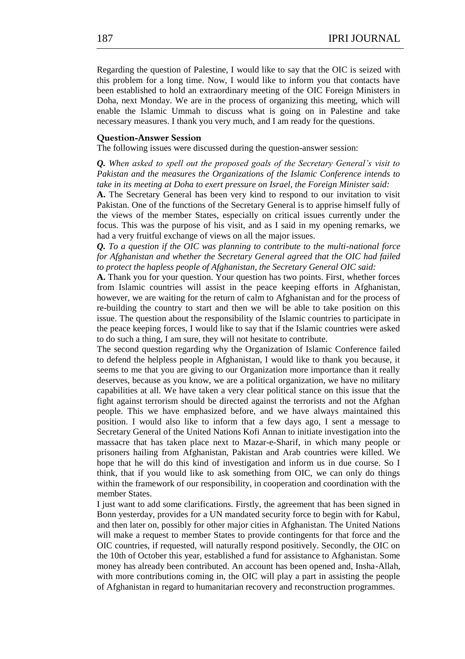Regarding the question of Palestine, I would like to say that the OIC is seized with this problem for a long time. Now, I would like to inform you that contacts have been established to hold an extraordinary meeting of the OIC Foreign Ministers in Doha, next Monday. We are in the process of organizing this meeting, which will enable the Islamic Ummah to discuss what is going on in Palestine and take necessary measures. I thank you very much, and I am ready for the questions.

#### **Question-Answer Session**

The following issues were discussed during the question-answer session:

*Q. When asked to spell out the proposed goals of the Secretary General"s visit to Pakistan and the measures the Organizations of the Islamic Conference intends to take in its meeting at Doha to exert pressure on Israel, the Foreign Minister said:* 

**A.** The Secretary General has been very kind to respond to our invitation to visit Pakistan. One of the functions of the Secretary General is to apprise himself fully of the views of the member States, especially on critical issues currently under the focus. This was the purpose of his visit, and as I said in my opening remarks, we had a very fruitful exchange of views on all the major issues.

*Q. To a question if the OIC was planning to contribute to the multi-national force for Afghanistan and whether the Secretary General agreed that the OIC had failed to protect the hapless people of Afghanistan, the Secretary General OIC said:* 

**A.** Thank you for your question. Your question has two points. First, whether forces from Islamic countries will assist in the peace keeping efforts in Afghanistan, however, we are waiting for the return of calm to Afghanistan and for the process of re-building the country to start and then we will be able to take position on this issue. The question about the responsibility of the Islamic countries to participate in the peace keeping forces, I would like to say that if the Islamic countries were asked to do such a thing, I am sure, they will not hesitate to contribute.

The second question regarding why the Organization of Islamic Conference failed to defend the helpless people in Afghanistan, I would like to thank you because, it seems to me that you are giving to our Organization more importance than it really deserves, because as you know, we are a political organization, we have no military capabilities at all. We have taken a very clear political stance on this issue that the fight against terrorism should be directed against the terrorists and not the Afghan people. This we have emphasized before, and we have always maintained this position. I would also like to inform that a few days ago, I sent a message to Secretary General of the United Nations Kofi Annan to initiate investigation into the massacre that has taken place next to Mazar-e-Sharif, in which many people or prisoners hailing from Afghanistan, Pakistan and Arab countries were killed. We hope that he will do this kind of investigation and inform us in due course. So I think, that if you would like to ask something from OIC, we can only do things within the framework of our responsibility, in cooperation and coordination with the member States.

I just want to add some clarifications. Firstly, the agreement that has been signed in Bonn yesterday, provides for a UN mandated security force to begin with for Kabul, and then later on, possibly for other major cities in Afghanistan. The United Nations will make a request to member States to provide contingents for that force and the OIC countries, if requested, will naturally respond positively. Secondly, the OIC on the 10th of October this year, established a fund for assistance to Afghanistan. Some money has already been contributed. An account has been opened and, Insha-Allah, with more contributions coming in, the OIC will play a part in assisting the people of Afghanistan in regard to humanitarian recovery and reconstruction programmes.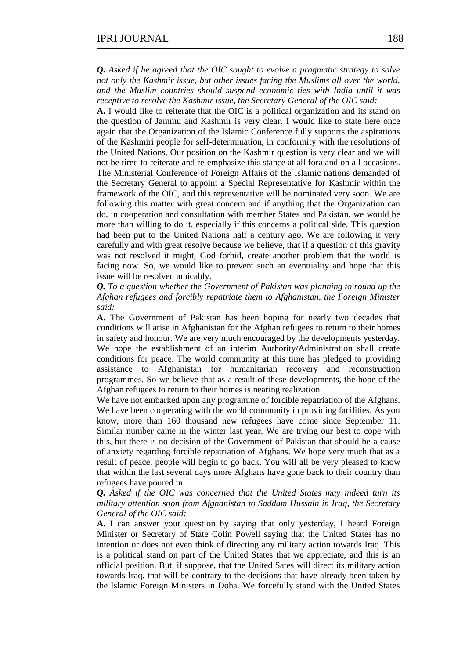*Q. Asked if he agreed that the OIC sought to evolve a pragmatic strategy to solve not only the Kashmir issue, but other issues facing the Muslims all over the world, and the Muslim countries should suspend economic ties with India until it was receptive to resolve the Kashmir issue, the Secretary General of the OIC said:* 

**A.** I would like to reiterate that the OIC is a political organization and its stand on the question of Jammu and Kashmir is very clear. I would like to state here once again that the Organization of the Islamic Conference fully supports the aspirations of the Kashmiri people for self-determination, in conformity with the resolutions of the United Nations. Our position on the Kashmir question is very clear and we will not be tired to reiterate and re-emphasize this stance at all fora and on all occasions. The Ministerial Conference of Foreign Affairs of the Islamic nations demanded of the Secretary General to appoint a Special Representative for Kashmir within the framework of the OIC, and this representative will be nominated very soon. We are following this matter with great concern and if anything that the Organization can do, in cooperation and consultation with member States and Pakistan, we would be more than willing to do it, especially if this concerns a political side. This question had been put to the United Nations half a century ago. We are following it very carefully and with great resolve because we believe, that if a question of this gravity was not resolved it might, God forbid, create another problem that the world is facing now. So, we would like to prevent such an eventuality and hope that this issue will be resolved amicably.

*Q. To a question whether the Government of Pakistan was planning to round up the Afghan refugees and forcibly repatriate them to Afghanistan, the Foreign Minister said:* 

**A.** The Government of Pakistan has been hoping for nearly two decades that conditions will arise in Afghanistan for the Afghan refugees to return to their homes in safety and honour. We are very much encouraged by the developments yesterday. We hope the establishment of an interim Authority/Administration shall create conditions for peace. The world community at this time has pledged to providing assistance to Afghanistan for humanitarian recovery and reconstruction programmes. So we believe that as a result of these developments, the hope of the Afghan refugees to return to their homes is nearing realization.

We have not embarked upon any programme of forcible repatriation of the Afghans. We have been cooperating with the world community in providing facilities. As you know, more than 160 thousand new refugees have come since September 11. Similar number came in the winter last year. We are trying our best to cope with this, but there is no decision of the Government of Pakistan that should be a cause of anxiety regarding forcible repatriation of Afghans. We hope very much that as a result of peace, people will begin to go back. You will all be very pleased to know that within the last several days more Afghans have gone back to their country than refugees have poured in.

*Q. Asked if the OIC was concerned that the United States may indeed turn its military attention soon from Afghanistan to Saddam Hussain in Iraq, the Secretary General of the OIC said:* 

**A.** I can answer your question by saying that only yesterday, I heard Foreign Minister or Secretary of State Colin Powell saying that the United States has no intention or does not even think of directing any military action towards Iraq. This is a political stand on part of the United States that we appreciate, and this is an official position. But, if suppose, that the United Sates will direct its military action towards Iraq, that will be contrary to the decisions that have already been taken by the Islamic Foreign Ministers in Doha. We forcefully stand with the United States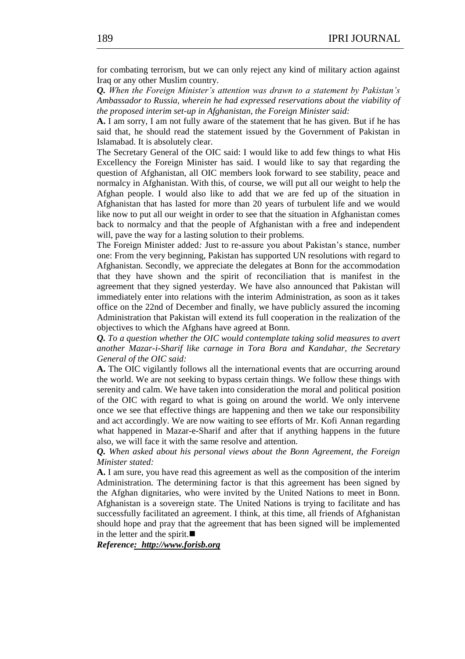for combating terrorism, but we can only reject any kind of military action against Iraq or any other Muslim country.

*Q. When the Foreign Minister"s attention was drawn to a statement by Pakistan"s Ambassador to Russia, wherein he had expressed reservations about the viability of the proposed interim set-up in Afghanistan, the Foreign Minister said:* 

**A.** I am sorry, I am not fully aware of the statement that he has given. But if he has said that, he should read the statement issued by the Government of Pakistan in Islamabad. It is absolutely clear.

The Secretary General of the OIC said: I would like to add few things to what His Excellency the Foreign Minister has said. I would like to say that regarding the question of Afghanistan, all OIC members look forward to see stability, peace and normalcy in Afghanistan. With this, of course, we will put all our weight to help the Afghan people. I would also like to add that we are fed up of the situation in Afghanistan that has lasted for more than 20 years of turbulent life and we would like now to put all our weight in order to see that the situation in Afghanistan comes back to normalcy and that the people of Afghanistan with a free and independent will, pave the way for a lasting solution to their problems.

The Foreign Minister added*:* Just to re-assure you about Pakistan's stance, number one: From the very beginning, Pakistan has supported UN resolutions with regard to Afghanistan. Secondly, we appreciate the delegates at Bonn for the accommodation that they have shown and the spirit of reconciliation that is manifest in the agreement that they signed yesterday. We have also announced that Pakistan will immediately enter into relations with the interim Administration, as soon as it takes office on the 22nd of December and finally, we have publicly assured the incoming Administration that Pakistan will extend its full cooperation in the realization of the objectives to which the Afghans have agreed at Bonn.

*Q. To a question whether the OIC would contemplate taking solid measures to avert another Mazar-i-Sharif like carnage in Tora Bora and Kandahar, the Secretary General of the OIC said:* 

**A.** The OIC vigilantly follows all the international events that are occurring around the world. We are not seeking to bypass certain things. We follow these things with serenity and calm. We have taken into consideration the moral and political position of the OIC with regard to what is going on around the world. We only intervene once we see that effective things are happening and then we take our responsibility and act accordingly. We are now waiting to see efforts of Mr. Kofi Annan regarding what happened in Mazar-e-Sharif and after that if anything happens in the future also, we will face it with the same resolve and attention.

*Q. When asked about his personal views about the Bonn Agreement, the Foreign Minister stated:* 

**A.** I am sure, you have read this agreement as well as the composition of the interim Administration. The determining factor is that this agreement has been signed by the Afghan dignitaries, who were invited by the United Nations to meet in Bonn. Afghanistan is a sovereign state. The United Nations is trying to facilitate and has successfully facilitated an agreement. I think, at this time, all friends of Afghanistan should hope and pray that the agreement that has been signed will be implemented in the letter and the spirit.

*Reference: http://www.forisb.org*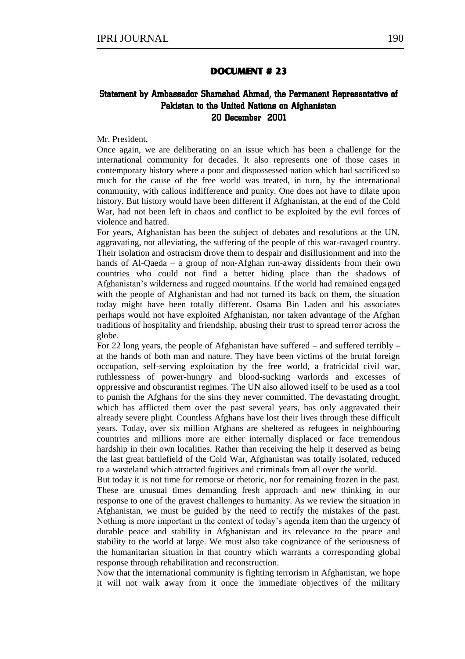## DOCUMENT # 23

# Statement by Ambassador Shamshad Ahmad, the Permanent Representative of Pakistan to the United Nations on Afghanistan 20 December 2001

Mr. President,

Once again, we are deliberating on an issue which has been a challenge for the international community for decades. It also represents one of those cases in contemporary history where a poor and dispossessed nation which had sacrificed so much for the cause of the free world was treated, in turn, by the international community, with callous indifference and punity. One does not have to dilate upon history. But history would have been different if Afghanistan, at the end of the Cold War, had not been left in chaos and conflict to be exploited by the evil forces of violence and hatred.

For years, Afghanistan has been the subject of debates and resolutions at the UN, aggravating, not alleviating, the suffering of the people of this war-ravaged country. Their isolation and ostracism drove them to despair and disillusionment and into the hands of Al-Qaeda – a group of non-Afghan run-away dissidents from their own countries who could not find a better hiding place than the shadows of Afghanistan's wilderness and rugged mountains. If the world had remained engaged with the people of Afghanistan and had not turned its back on them, the situation today might have been totally different. Osama Bin Laden and his associates perhaps would not have exploited Afghanistan, nor taken advantage of the Afghan traditions of hospitality and friendship, abusing their trust to spread terror across the globe.

For 22 long years, the people of Afghanistan have suffered – and suffered terribly – at the hands of both man and nature. They have been victims of the brutal foreign occupation, self-serving exploitation by the free world, a fratricidal civil war, ruthlessness of power-hungry and blood-sucking warlords and excesses of oppressive and obscurantist regimes. The UN also allowed itself to be used as a tool to punish the Afghans for the sins they never committed. The devastating drought, which has afflicted them over the past several years, has only aggravated their already severe plight. Countless Afghans have lost their lives through these difficult years. Today, over six million Afghans are sheltered as refugees in neighbouring countries and millions more are either internally displaced or face tremendous hardship in their own localities. Rather than receiving the help it deserved as being the last great battlefield of the Cold War, Afghanistan was totally isolated, reduced to a wasteland which attracted fugitives and criminals from all over the world.

But today it is not time for remorse or rhetoric, nor for remaining frozen in the past. These are unusual times demanding fresh approach and new thinking in our response to one of the gravest challenges to humanity. As we review the situation in Afghanistan, we must be guided by the need to rectify the mistakes of the past. Nothing is more important in the context of today's agenda item than the urgency of durable peace and stability in Afghanistan and its relevance to the peace and stability to the world at large. We must also take cognizance of the seriousness of the humanitarian situation in that country which warrants a corresponding global response through rehabilitation and reconstruction.

Now that the international community is fighting terrorism in Afghanistan, we hope it will not walk away from it once the immediate objectives of the military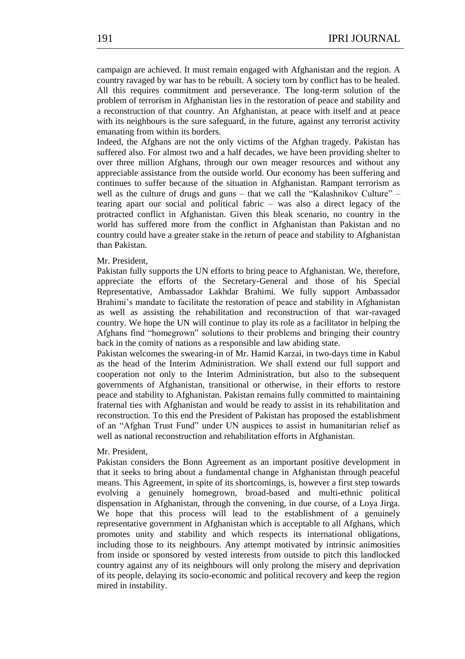campaign are achieved. It must remain engaged with Afghanistan and the region. A country ravaged by war has to be rebuilt. A society torn by conflict has to be healed. All this requires commitment and perseverance. The long-term solution of the problem of terrorism in Afghanistan lies in the restoration of peace and stability and a reconstruction of that country. An Afghanistan, at peace with itself and at peace with its neighbours is the sure safeguard, in the future, against any terrorist activity emanating from within its borders.

Indeed, the Afghans are not the only victims of the Afghan tragedy. Pakistan has suffered also. For almost two and a half decades, we have been providing shelter to over three million Afghans, through our own meager resources and without any appreciable assistance from the outside world. Our economy has been suffering and continues to suffer because of the situation in Afghanistan. Rampant terrorism as well as the culture of drugs and guns – that we call the "Kalashnikov Culture" – tearing apart our social and political fabric – was also a direct legacy of the protracted conflict in Afghanistan. Given this bleak scenario, no country in the world has suffered more from the conflict in Afghanistan than Pakistan and no country could have a greater stake in the return of peace and stability to Afghanistan than Pakistan.

#### Mr. President,

Pakistan fully supports the UN efforts to bring peace to Afghanistan. We, therefore, appreciate the efforts of the Secretary-General and those of his Special Representative, Ambassador Lakhdar Brahimi. We fully support Ambassador Brahimi's mandate to facilitate the restoration of peace and stability in Afghanistan as well as assisting the rehabilitation and reconstruction of that war-ravaged country. We hope the UN will continue to play its role as a facilitator in helping the Afghans find "homegrown" solutions to their problems and bringing their country back in the comity of nations as a responsible and law abiding state.

Pakistan welcomes the swearing-in of Mr. Hamid Karzai, in two-days time in Kabul as the head of the Interim Administration. We shall extend our full support and cooperation not only to the Interim Administration, but also to the subsequent governments of Afghanistan, transitional or otherwise, in their efforts to restore peace and stability to Afghanistan. Pakistan remains fully committed to maintaining fraternal ties with Afghanistan and would be ready to assist in its rehabilitation and reconstruction. To this end the President of Pakistan has proposed the establishment of an "Afghan Trust Fund" under UN auspices to assist in humanitarian relief as well as national reconstruction and rehabilitation efforts in Afghanistan.

#### Mr. President,

Pakistan considers the Bonn Agreement as an important positive development in that it seeks to bring about a fundamental change in Afghanistan through peaceful means. This Agreement, in spite of its shortcomings, is, however a first step towards evolving a genuinely homegrown, broad-based and multi-ethnic political dispensation in Afghanistan, through the convening, in due course, of a Loya Jirga. We hope that this process will lead to the establishment of a genuinely representative government in Afghanistan which is acceptable to all Afghans, which promotes unity and stability and which respects its international obligations, including those to its neighbours. Any attempt motivated by intrinsic animosities from inside or sponsored by vested interests from outside to pitch this landlocked country against any of its neighbours will only prolong the misery and deprivation of its people, delaying its socio-economic and political recovery and keep the region mired in instability.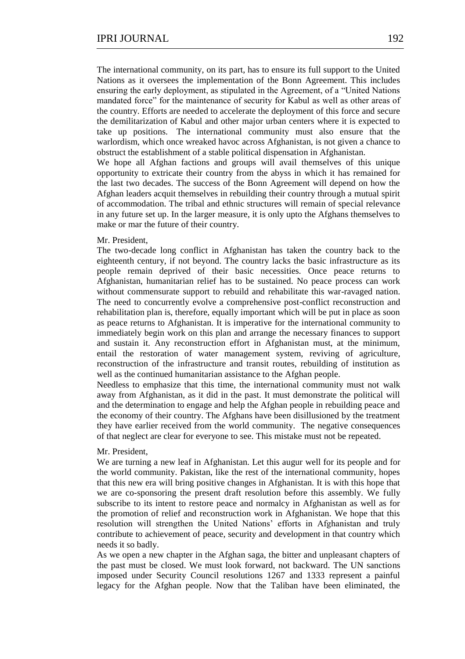The international community, on its part, has to ensure its full support to the United Nations as it oversees the implementation of the Bonn Agreement. This includes ensuring the early deployment, as stipulated in the Agreement, of a "United Nations" mandated force" for the maintenance of security for Kabul as well as other areas of the country. Efforts are needed to accelerate the deployment of this force and secure the demilitarization of Kabul and other major urban centers where it is expected to take up positions. The international community must also ensure that the warlordism, which once wreaked havoc across Afghanistan, is not given a chance to obstruct the establishment of a stable political dispensation in Afghanistan.

We hope all Afghan factions and groups will avail themselves of this unique opportunity to extricate their country from the abyss in which it has remained for the last two decades. The success of the Bonn Agreement will depend on how the Afghan leaders acquit themselves in rebuilding their country through a mutual spirit of accommodation. The tribal and ethnic structures will remain of special relevance in any future set up. In the larger measure, it is only upto the Afghans themselves to make or mar the future of their country.

### Mr. President,

The two-decade long conflict in Afghanistan has taken the country back to the eighteenth century, if not beyond. The country lacks the basic infrastructure as its people remain deprived of their basic necessities. Once peace returns to Afghanistan, humanitarian relief has to be sustained. No peace process can work without commensurate support to rebuild and rehabilitate this war-ravaged nation. The need to concurrently evolve a comprehensive post-conflict reconstruction and rehabilitation plan is, therefore, equally important which will be put in place as soon as peace returns to Afghanistan. It is imperative for the international community to immediately begin work on this plan and arrange the necessary finances to support and sustain it. Any reconstruction effort in Afghanistan must, at the minimum, entail the restoration of water management system, reviving of agriculture, reconstruction of the infrastructure and transit routes, rebuilding of institution as well as the continued humanitarian assistance to the Afghan people.

Needless to emphasize that this time, the international community must not walk away from Afghanistan, as it did in the past. It must demonstrate the political will and the determination to engage and help the Afghan people in rebuilding peace and the economy of their country. The Afghans have been disillusioned by the treatment they have earlier received from the world community. The negative consequences of that neglect are clear for everyone to see. This mistake must not be repeated.

#### Mr. President,

We are turning a new leaf in Afghanistan. Let this augur well for its people and for the world community. Pakistan, like the rest of the international community, hopes that this new era will bring positive changes in Afghanistan. It is with this hope that we are co-sponsoring the present draft resolution before this assembly. We fully subscribe to its intent to restore peace and normalcy in Afghanistan as well as for the promotion of relief and reconstruction work in Afghanistan. We hope that this resolution will strengthen the United Nations' efforts in Afghanistan and truly contribute to achievement of peace, security and development in that country which needs it so badly.

As we open a new chapter in the Afghan saga, the bitter and unpleasant chapters of the past must be closed. We must look forward, not backward. The UN sanctions imposed under Security Council resolutions 1267 and 1333 represent a painful legacy for the Afghan people. Now that the Taliban have been eliminated, the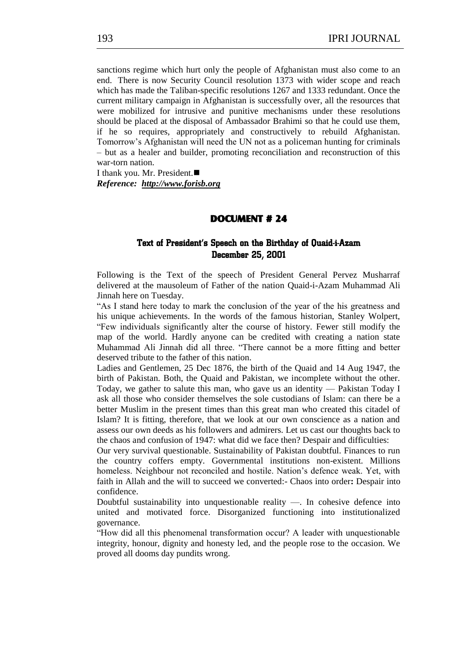sanctions regime which hurt only the people of Afghanistan must also come to an end. There is now Security Council resolution 1373 with wider scope and reach which has made the Taliban-specific resolutions 1267 and 1333 redundant. Once the current military campaign in Afghanistan is successfully over, all the resources that were mobilized for intrusive and punitive mechanisms under these resolutions should be placed at the disposal of Ambassador Brahimi so that he could use them, if he so requires, appropriately and constructively to rebuild Afghanistan. Tomorrow's Afghanistan will need the UN not as a policeman hunting for criminals – but as a healer and builder, promoting reconciliation and reconstruction of this war-torn nation.

I thank you. Mr. President. *Reference: http://www.forisb.org*

## DOCUMENT # 24

## Text of President's Speech on the Birthday of Quaid-i-Azam December 25, 2001

Following is the Text of the speech of President General Pervez Musharraf delivered at the mausoleum of Father of the nation Quaid-i-Azam Muhammad Ali Jinnah here on Tuesday.

"As I stand here today to mark the conclusion of the year of the his greatness and his unique achievements. In the words of the famous historian, Stanley Wolpert, ―Few individuals significantly alter the course of history. Fewer still modify the map of the world. Hardly anyone can be credited with creating a nation state Muhammad Ali Jinnah did all three. "There cannot be a more fitting and better deserved tribute to the father of this nation.

Ladies and Gentlemen, 25 Dec 1876, the birth of the Quaid and 14 Aug 1947, the birth of Pakistan. Both, the Quaid and Pakistan, we incomplete without the other. Today, we gather to salute this man, who gave us an identity — Pakistan Today I ask all those who consider themselves the sole custodians of Islam: can there be a better Muslim in the present times than this great man who created this citadel of Islam? It is fitting, therefore, that we look at our own conscience as a nation and assess our own deeds as his followers and admirers. Let us cast our thoughts back to the chaos and confusion of 1947: what did we face then? Despair and difficulties:

Our very survival questionable. Sustainability of Pakistan doubtful. Finances to run the country coffers empty. Governmental institutions non-existent. Millions homeless. Neighbour not reconciled and hostile. Nation's defence weak. Yet, with faith in Allah and the will to succeed we converted:- Chaos into order**:** Despair into confidence.

Doubtful sustainability into unquestionable reality  $\overline{\phantom{a}}$ . In cohesive defence into united and motivated force. Disorganized functioning into institutionalized governance.

―How did all this phenomenal transformation occur? A leader with unquestionable integrity, honour, dignity and honesty led, and the people rose to the occasion. We proved all dooms day pundits wrong.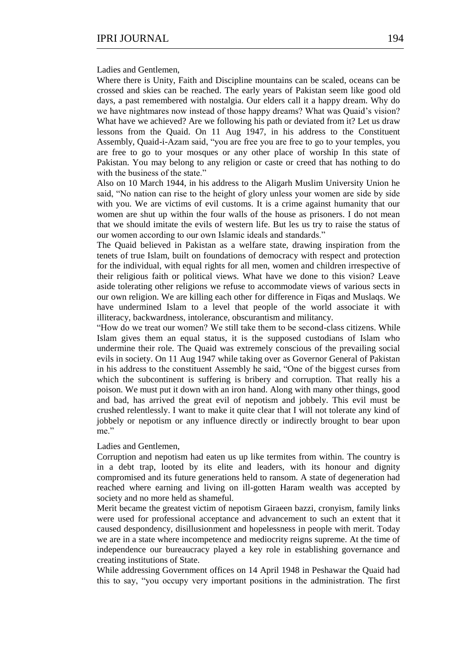Ladies and Gentlemen,

Where there is Unity, Faith and Discipline mountains can be scaled, oceans can be crossed and skies can be reached. The early years of Pakistan seem like good old days, a past remembered with nostalgia. Our elders call it a happy dream. Why do we have nightmares now instead of those happy dreams? What was Quaid's vision? What have we achieved? Are we following his path or deviated from it? Let us draw lessons from the Quaid. On 11 Aug 1947, in his address to the Constituent Assembly, Quaid-i-Azam said, "you are free you are free to go to your temples, you are free to go to your mosques or any other place of worship In this state of Pakistan. You may belong to any religion or caste or creed that has nothing to do with the business of the state."

Also on 10 March 1944, in his address to the Aligarh Muslim University Union he said, "No nation can rise to the height of glory unless your women are side by side with you. We are victims of evil customs. It is a crime against humanity that our women are shut up within the four walls of the house as prisoners. I do not mean that we should imitate the evils of western life. But les us try to raise the status of our women according to our own Islamic ideals and standards."

The Quaid believed in Pakistan as a welfare state, drawing inspiration from the tenets of true Islam, built on foundations of democracy with respect and protection for the individual, with equal rights for all men, women and children irrespective of their religious faith or political views. What have we done to this vision? Leave aside tolerating other religions we refuse to accommodate views of various sects in our own religion. We are killing each other for difference in Fiqas and Muslaqs. We have undermined Islam to a level that people of the world associate it with illiteracy, backwardness, intolerance, obscurantism and militancy.

"How do we treat our women? We still take them to be second-class citizens. While Islam gives them an equal status, it is the supposed custodians of Islam who undermine their role. The Quaid was extremely conscious of the prevailing social evils in society. On 11 Aug 1947 while taking over as Governor General of Pakistan in his address to the constituent Assembly he said, "One of the biggest curses from which the subcontinent is suffering is bribery and corruption. That really his a poison. We must put it down with an iron hand. Along with many other things, good and bad, has arrived the great evil of nepotism and jobbely. This evil must be crushed relentlessly. I want to make it quite clear that I will not tolerate any kind of jobbely or nepotism or any influence directly or indirectly brought to bear upon me."

Ladies and Gentlemen,

Corruption and nepotism had eaten us up like termites from within. The country is in a debt trap, looted by its elite and leaders, with its honour and dignity compromised and its future generations held to ransom. A state of degeneration had reached where earning and living on ill-gotten Haram wealth was accepted by society and no more held as shameful.

Merit became the greatest victim of nepotism Giraeen bazzi, cronyism, family links were used for professional acceptance and advancement to such an extent that it caused despondency, disillusionment and hopelessness in people with merit. Today we are in a state where incompetence and mediocrity reigns supreme. At the time of independence our bureaucracy played a key role in establishing governance and creating institutions of State.

While addressing Government offices on 14 April 1948 in Peshawar the Quaid had this to say, ―you occupy very important positions in the administration. The first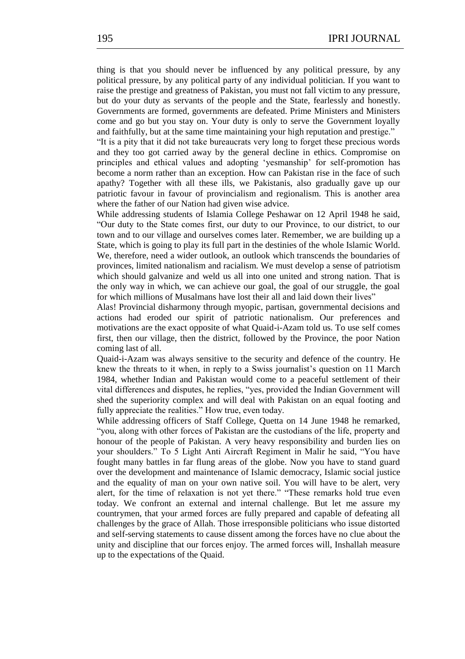thing is that you should never be influenced by any political pressure, by any political pressure, by any political party of any individual politician. If you want to raise the prestige and greatness of Pakistan, you must not fall victim to any pressure, but do your duty as servants of the people and the State, fearlessly and honestly. Governments are formed, governments are defeated. Prime Ministers and Ministers come and go but you stay on. Your duty is only to serve the Government loyally and faithfully, but at the same time maintaining your high reputation and prestige."

―It is a pity that it did not take bureaucrats very long to forget these precious words and they too got carried away by the general decline in ethics. Compromise on principles and ethical values and adopting 'yesmanship' for self-promotion has become a norm rather than an exception. How can Pakistan rise in the face of such apathy? Together with all these ills, we Pakistanis, also gradually gave up our patriotic favour in favour of provincialism and regionalism. This is another area where the father of our Nation had given wise advice.

While addressing students of Islamia College Peshawar on 12 April 1948 he said, ―Our duty to the State comes first, our duty to our Province, to our district, to our town and to our village and ourselves comes later. Remember, we are building up a State, which is going to play its full part in the destinies of the whole Islamic World. We, therefore, need a wider outlook, an outlook which transcends the boundaries of provinces, limited nationalism and racialism. We must develop a sense of patriotism which should galvanize and weld us all into one united and strong nation. That is the only way in which, we can achieve our goal, the goal of our struggle, the goal for which millions of Musalmans have lost their all and laid down their lives"

Alas! Provincial disharmony through myopic, partisan, governmental decisions and actions had eroded our spirit of patriotic nationalism. Our preferences and motivations are the exact opposite of what Quaid-i-Azam told us. To use self comes first, then our village, then the district, followed by the Province, the poor Nation coming last of all.

Quaid-i-Azam was always sensitive to the security and defence of the country. He knew the threats to it when, in reply to a Swiss journalist's question on 11 March 1984, whether Indian and Pakistan would come to a peaceful settlement of their vital differences and disputes, he replies, "yes, provided the Indian Government will shed the superiority complex and will deal with Pakistan on an equal footing and fully appreciate the realities." How true, even today.

While addressing officers of Staff College, Quetta on 14 June 1948 he remarked, ―you, along with other forces of Pakistan are the custodians of the life, property and honour of the people of Pakistan. A very heavy responsibility and burden lies on your shoulders." To 5 Light Anti Aircraft Regiment in Malir he said, "You have fought many battles in far flung areas of the globe. Now you have to stand guard over the development and maintenance of Islamic democracy, Islamic social justice and the equality of man on your own native soil. You will have to be alert, very alert, for the time of relaxation is not yet there." "These remarks hold true even today. We confront an external and internal challenge. But let me assure my countrymen, that your armed forces are fully prepared and capable of defeating all challenges by the grace of Allah. Those irresponsible politicians who issue distorted and self-serving statements to cause dissent among the forces have no clue about the unity and discipline that our forces enjoy. The armed forces will, Inshallah measure up to the expectations of the Quaid.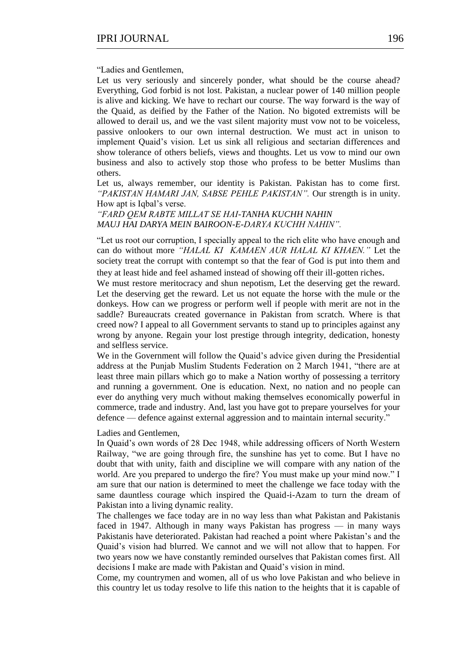―Ladies and Gentlemen,

Let us very seriously and sincerely ponder, what should be the course ahead? Everything, God forbid is not lost. Pakistan, a nuclear power of 140 million people is alive and kicking. We have to rechart our course. The way forward is the way of the Quaid, as deified by the Father of the Nation. No bigoted extremists will be allowed to derail us, and we the vast silent majority must vow not to be voiceless, passive onlookers to our own internal destruction. We must act in unison to implement Quaid's vision. Let us sink all religious and sectarian differences and show tolerance of others beliefs, views and thoughts. Let us vow to mind our own business and also to actively stop those who profess to be better Muslims than others.

Let us, always remember, our identity is Pakistan. Pakistan has to come first. *"PAKISTAN HAMARI JAN, SABSE PEHLE PAKISTAN".* Our strength is in unity. How apt is Iqbal's verse.

*"FARD QEM RABTE MILLAT SE HAI-TANHA KUCHH NAHIN MAUJ HAI DARYA MEIN BAIROON-E-DARYA KUCHH NAHIN".*

―Let us root our corruption, I specially appeal to the rich elite who have enough and can do without more *"HALAL KI KAMAEN AUR HALAL KI KHAEN."* Let the society treat the corrupt with contempt so that the fear of God is put into them and they at least hide and feel ashamed instead of showing off their ill-gotten riches.

We must restore meritocracy and shun nepotism, Let the deserving get the reward. Let the deserving get the reward. Let us not equate the horse with the mule or the donkeys. How can we progress or perform well if people with merit are not in the saddle? Bureaucrats created governance in Pakistan from scratch. Where is that creed now? I appeal to all Government servants to stand up to principles against any wrong by anyone. Regain your lost prestige through integrity, dedication, honesty and selfless service.

We in the Government will follow the Quaid's advice given during the Presidential address at the Punjab Muslim Students Federation on 2 March 1941, "there are at least three main pillars which go to make a Nation worthy of possessing a territory and running a government. One is education. Next, no nation and no people can ever do anything very much without making themselves economically powerful in commerce, trade and industry. And, last you have got to prepare yourselves for your defence — defence against external aggression and to maintain internal security."

Ladies and Gentlemen,

In Quaid's own words of 28 Dec 1948, while addressing officers of North Western Railway, "we are going through fire, the sunshine has yet to come. But I have no doubt that with unity, faith and discipline we will compare with any nation of the world. Are you prepared to undergo the fire? You must make up your mind now." I am sure that our nation is determined to meet the challenge we face today with the same dauntless courage which inspired the Quaid-i-Azam to turn the dream of Pakistan into a living dynamic reality.

The challenges we face today are in no way less than what Pakistan and Pakistanis faced in 1947. Although in many ways Pakistan has progress — in many ways Pakistanis have deteriorated. Pakistan had reached a point where Pakistan's and the Quaid's vision had blurred. We cannot and we will not allow that to happen. For two years now we have constantly reminded ourselves that Pakistan comes first. All decisions I make are made with Pakistan and Quaid's vision in mind.

Come, my countrymen and women, all of us who love Pakistan and who believe in this country let us today resolve to life this nation to the heights that it is capable of